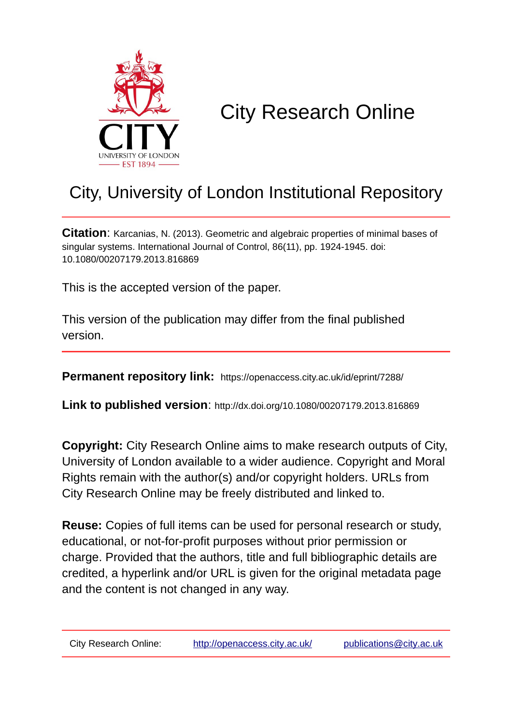

# City Research Online

# City, University of London Institutional Repository

**Citation**: Karcanias, N. (2013). Geometric and algebraic properties of minimal bases of singular systems. International Journal of Control, 86(11), pp. 1924-1945. doi: 10.1080/00207179.2013.816869

This is the accepted version of the paper.

This version of the publication may differ from the final published version.

**Permanent repository link:** https://openaccess.city.ac.uk/id/eprint/7288/

**Link to published version**: http://dx.doi.org/10.1080/00207179.2013.816869

**Copyright:** City Research Online aims to make research outputs of City, University of London available to a wider audience. Copyright and Moral Rights remain with the author(s) and/or copyright holders. URLs from City Research Online may be freely distributed and linked to.

**Reuse:** Copies of full items can be used for personal research or study, educational, or not-for-profit purposes without prior permission or charge. Provided that the authors, title and full bibliographic details are credited, a hyperlink and/or URL is given for the original metadata page and the content is not changed in any way.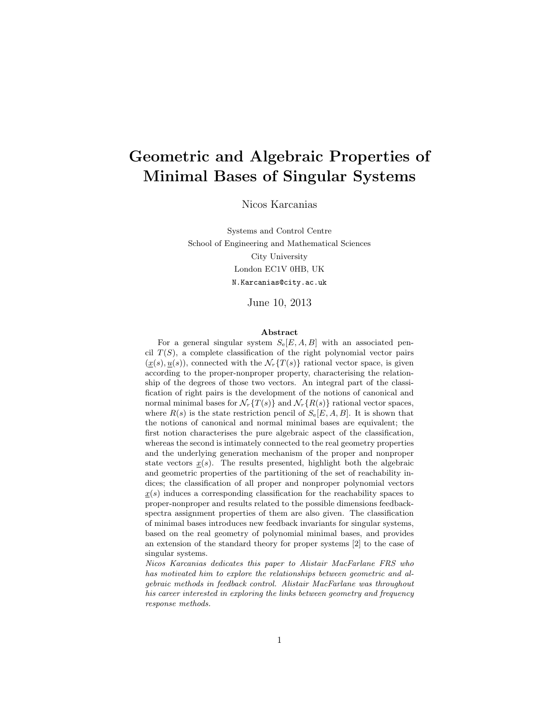# Geometric and Algebraic Properties of Minimal Bases of Singular Systems

Nicos Karcanias

Systems and Control Centre School of Engineering and Mathematical Sciences City University London EC1V 0HB, UK N.Karcanias@city.ac.uk

June 10, 2013

#### Abstract

For a general singular system  $S_e[E, A, B]$  with an associated pencil  $T(S)$ , a complete classification of the right polynomial vector pairs  $(\underline{x}(s), \underline{u}(s))$ , connected with the  $\mathcal{N}_r\{T(s)\}\$ rational vector space, is given according to the proper-nonproper property, characterising the relationship of the degrees of those two vectors. An integral part of the classification of right pairs is the development of the notions of canonical and normal minimal bases for  $\mathcal{N}_r\{T(s)\}\$  and  $\mathcal{N}_r\{R(s)\}\$  rational vector spaces, where  $R(s)$  is the state restriction pencil of  $S_e[E, A, B]$ . It is shown that the notions of canonical and normal minimal bases are equivalent; the first notion characterises the pure algebraic aspect of the classification, whereas the second is intimately connected to the real geometry properties and the underlying generation mechanism of the proper and nonproper state vectors  $\underline{x}(s)$ . The results presented, highlight both the algebraic and geometric properties of the partitioning of the set of reachability indices; the classification of all proper and nonproper polynomial vectors  $x(s)$  induces a corresponding classification for the reachability spaces to proper-nonproper and results related to the possible dimensions feedbackspectra assignment properties of them are also given. The classification of minimal bases introduces new feedback invariants for singular systems, based on the real geometry of polynomial minimal bases, and provides an extension of the standard theory for proper systems [2] to the case of singular systems.

Nicos Karcanias dedicates this paper to Alistair MacFarlane FRS who has motivated him to explore the relationships between geometric and algebraic methods in feedback control. Alistair MacFarlane was throughout his career interested in exploring the links between geometry and frequency response methods.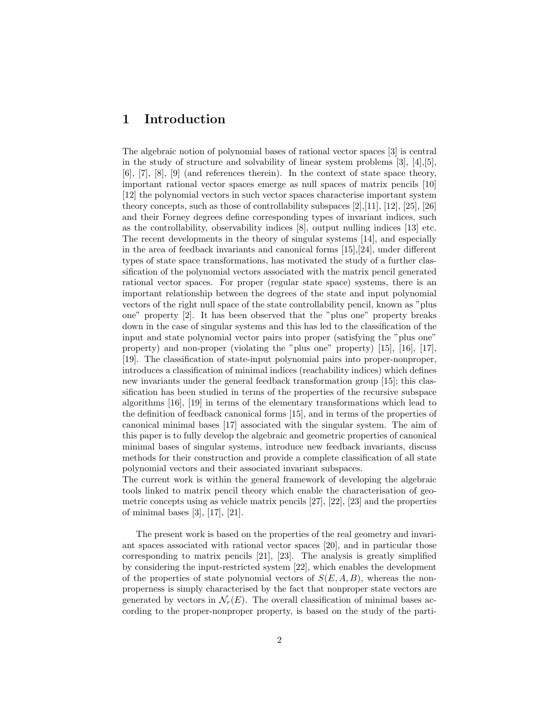#### 1 Introduction

The algebraic notion of polynomial bases of rational vector spaces [3] is central in the study of structure and solvability of linear system problems [3], [4],[5], [6], [7], [8], [9] (and references therein). In the context of state space theory, important rational vector spaces emerge as null spaces of matrix pencils [10] [12] the polynomial vectors in such vector spaces characterise important system theory concepts, such as those of controllability subspaces [2],[11], [12], [25], [26] and their Forney degrees define corresponding types of invariant indices, such as the controllability, observability indices [8], output nulling indices [13] etc. The recent developments in the theory of singular systems [14], and especially in the area of feedback invariants and canonical forms [15],[24], under different types of state space transformations, has motivated the study of a further classification of the polynomial vectors associated with the matrix pencil generated rational vector spaces. For proper (regular state space) systems, there is an important relationship between the degrees of the state and input polynomial vectors of the right null space of the state controllability pencil, known as "plus one" property [2]. It has been observed that the "plus one" property breaks down in the case of singular systems and this has led to the classification of the input and state polynomial vector pairs into proper (satisfying the "plus one" property) and non-proper (violating the "plus one" property) [15], [16], [17], [19]. The classification of state-input polynomial pairs into proper-nonproper, introduces a classification of minimal indices (reachability indices) which defines new invariants under the general feedback transformation group [15]; this classification has been studied in terms of the properties of the recursive subspace algorithms [16], [19] in terms of the elementary transformations which lead to the definition of feedback canonical forms [15], and in terms of the properties of canonical minimal bases [17] associated with the singular system. The aim of this paper is to fully develop the algebraic and geometric properties of canonical minimal bases of singular systems, introduce new feedback invariants, discuss methods for their construction and provide a complete classification of all state polynomial vectors and their associated invariant subspaces.

The current work is within the general framework of developing the algebraic tools linked to matrix pencil theory which enable the characterisation of geometric concepts using as vehicle matrix pencils [27], [22], [23] and the properties of minimal bases [3], [17], [21].

The present work is based on the properties of the real geometry and invariant spaces associated with rational vector spaces [20], and in particular those corresponding to matrix pencils [21], [23]. The analysis is greatly simplified by considering the input-restricted system [22], which enables the development of the properties of state polynomial vectors of  $S(E, A, B)$ , whereas the nonproperness is simply characterised by the fact that nonproper state vectors are generated by vectors in  $\mathcal{N}_r(E)$ . The overall classification of minimal bases according to the proper-nonproper property, is based on the study of the parti-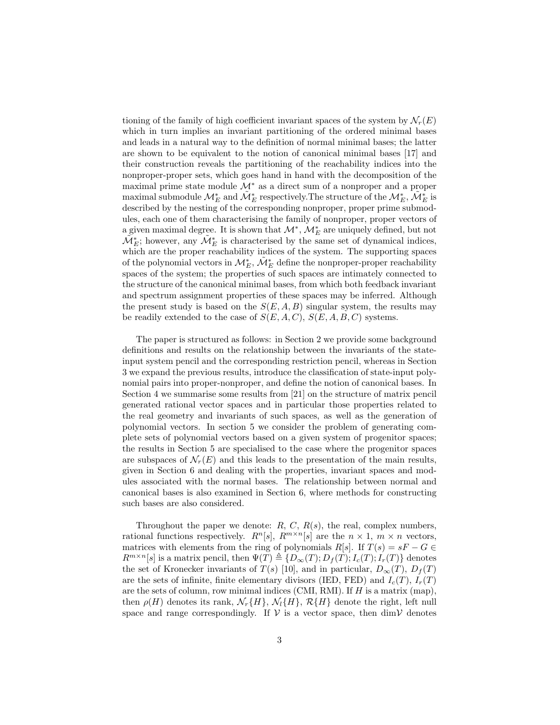tioning of the family of high coefficient invariant spaces of the system by  $\mathcal{N}_r(E)$ which in turn implies an invariant partitioning of the ordered minimal bases and leads in a natural way to the definition of normal minimal bases; the latter are shown to be equivalent to the notion of canonical minimal bases [17] and their construction reveals the partitioning of the reachability indices into the nonproper-proper sets, which goes hand in hand with the decomposition of the maximal prime state module M<sup>∗</sup> as a direct sum of a nonproper and a proper maximal submodule  $\mathcal{M}^*_E$  and  $\tilde{\mathcal{M}}^*_E$  respectively. The structure of the  $\mathcal{M}^*_E$ ,  $\tilde{\mathcal{M}}^*_E$  is described by the nesting of the corresponding nonproper, proper prime submodules, each one of them characterising the family of nonproper, proper vectors of a given maximal degree. It is shown that  $\mathcal{M}^*, \mathcal{M}^*_E$  are uniquely defined, but not  $\tilde{\mathcal{M}}_E^*$ ; however, any  $\tilde{\mathcal{M}}_E^*$  is characterised by the same set of dynamical indices, which are the proper reachability indices of the system. The supporting spaces of the polynomial vectors in  $\mathcal{M}_E^*$ ,  $\tilde{\mathcal{M}}_E^*$  define the nonproper-proper reachability spaces of the system; the properties of such spaces are intimately connected to the structure of the canonical minimal bases, from which both feedback invariant and spectrum assignment properties of these spaces may be inferred. Although the present study is based on the  $S(E, A, B)$  singular system, the results may be readily extended to the case of  $S(E, A, C), S(E, A, B, C)$  systems.

The paper is structured as follows: in Section 2 we provide some background definitions and results on the relationship between the invariants of the stateinput system pencil and the corresponding restriction pencil, whereas in Section 3 we expand the previous results, introduce the classification of state-input polynomial pairs into proper-nonproper, and define the notion of canonical bases. In Section 4 we summarise some results from [21] on the structure of matrix pencil generated rational vector spaces and in particular those properties related to the real geometry and invariants of such spaces, as well as the generation of polynomial vectors. In section 5 we consider the problem of generating complete sets of polynomial vectors based on a given system of progenitor spaces; the results in Section 5 are specialised to the case where the progenitor spaces are subspaces of  $\mathcal{N}_r(E)$  and this leads to the presentation of the main results, given in Section 6 and dealing with the properties, invariant spaces and modules associated with the normal bases. The relationship between normal and canonical bases is also examined in Section 6, where methods for constructing such bases are also considered.

Throughout the paper we denote:  $R, C, R(s)$ , the real, complex numbers, rational functions respectively.  $R^{n}[s]$ ,  $R^{m \times n}[s]$  are the  $n \times 1$ ,  $m \times n$  vectors, matrices with elements from the ring of polynomials R[s]. If  $T(s) = sF - G \in$  $R^{m \times n}[s]$  is a matrix pencil, then  $\Psi(T) \triangleq \{D_{\infty}(T); D_f(T); I_c(T); I_r(T)\}\$  denotes the set of Kronecker invariants of  $T(s)$  [10], and in particular,  $D_{\infty}(T)$ ,  $D_f(T)$ are the sets of infinite, finite elementary divisors (IED, FED) and  $I_c(T)$ ,  $I_r(T)$ are the sets of column, row minimal indices (CMI, RMI). If  $H$  is a matrix (map), then  $\rho(H)$  denotes its rank,  $\mathcal{N}_r\{H\}$ ,  $\mathcal{N}_l\{H\}$ ,  $\mathcal{R}\{H\}$  denote the right, left null space and range correspondingly. If  $V$  is a vector space, then dimV denotes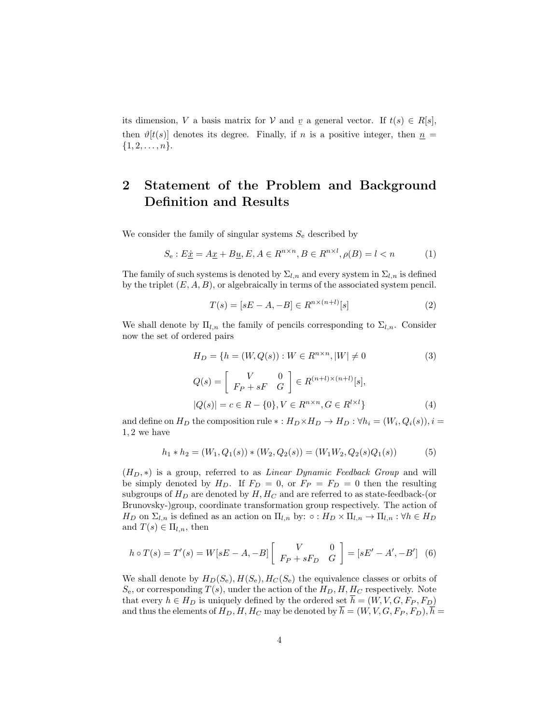its dimension, V a basis matrix for V and  $\underline{v}$  a general vector. If  $t(s) \in R[s]$ , then  $\vartheta[t(s)]$  denotes its degree. Finally, if n is a positive integer, then  $n =$  $\{1, 2, \ldots, n\}.$ 

#### 2 Statement of the Problem and Background Definition and Results

We consider the family of singular systems  $S_e$  described by

$$
S_e: E\underline{\dot{x}} = A\underline{x} + B\underline{u}, E, A \in R^{n \times n}, B \in R^{n \times l}, \rho(B) = l < n \tag{1}
$$

The family of such systems is denoted by  $\Sigma_{l,n}$  and every system in  $\Sigma_{l,n}$  is defined by the triplet  $(E, A, B)$ , or algebraically in terms of the associated system pencil.

$$
T(s) = [sE - A, -B] \in R^{n \times (n+l)}[s]
$$
 (2)

We shall denote by  $\Pi_{l,n}$  the family of pencils corresponding to  $\Sigma_{l,n}$ . Consider now the set of ordered pairs

$$
H_D = \{ h = (W, Q(s)) : W \in R^{n \times n}, |W| \neq 0
$$

$$
Q(s) = \begin{bmatrix} V & 0\\ F_P + sF & G \end{bmatrix} \in R^{(n+l)\times (n+l)}[s],
$$

$$
(3)
$$

$$
|Q(s)| = c \in R - \{0\}, V \in R^{n \times n}, G \in R^{l \times l}\}
$$
\n(4)

and define on  $H_D$  the composition rule  $*: H_D \times H_D \rightarrow H_D : \forall h_i = (W_i, Q_i(s)), i =$ 1, 2 we have

$$
h_1 * h_2 = (W_1, Q_1(s)) * (W_2, Q_2(s)) = (W_1 W_2, Q_2(s) Q_1(s))
$$
\n<sup>(5)</sup>

 $(H_D, *)$  is a group, referred to as *Linear Dynamic Feedback Group* and will be simply denoted by  $H_D$ . If  $F_D = 0$ , or  $F_P = F_D = 0$  then the resulting subgroups of  $H_D$  are denoted by  $H, H_C$  and are referred to as state-feedback-(or Brunovsky-)group, coordinate transformation group respectively. The action of  $H_D$  on  $\Sigma_{l,n}$  is defined as an action on  $\Pi_{l,n}$  by:  $\circ: H_D \times \Pi_{l,n} \to \Pi_{l,n} : \forall h \in H_D$ and  $T(s) \in \Pi_{l,n}$ , then

$$
h \circ T(s) = T'(s) = W[sE - A, -B] \begin{bmatrix} V & 0 \\ F_P + sF_D & G \end{bmatrix} = [sE' - A', -B'] \tag{6}
$$

We shall denote by  $H_D(S_e), H(S_e), H_C(S_e)$  the equivalence classes or orbits of  $S_e$ , or corresponding  $T(s)$ , under the action of the  $H_D$ ,  $H$ ,  $H_C$  respectively. Note that every  $h \in H_D$  is uniquely defined by the ordered set  $\overline{h} = (W, V, G, F_P, F_D)$ and thus the elements of  $H_D$ ,  $H$ ,  $H_C$  may be denoted by  $h = (W, V, G, F_P, F_D)$ ,  $h =$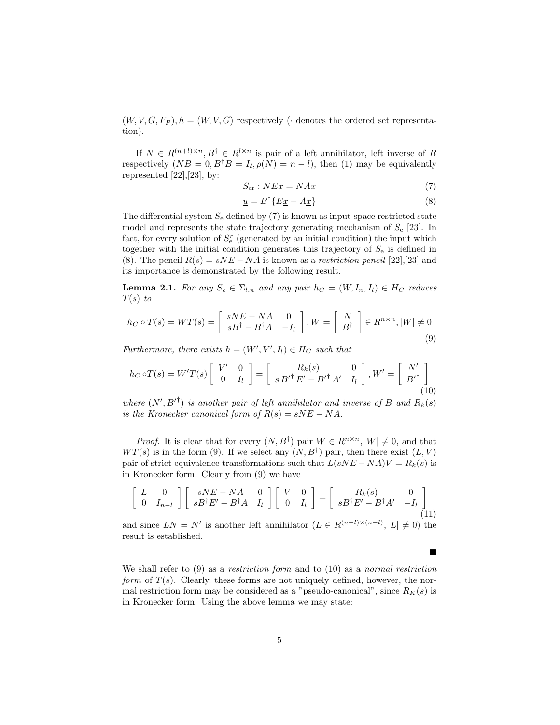$(W, V, G, F_P), \overline{h} = (W, V, G)$  respectively ( $\overline{\cdot}$  denotes the ordered set representation).

If  $N \in R^{(n+l)\times n}, B^{\dagger} \in R^{l\times n}$  is pair of a left annihilator, left inverse of B respectively  $(NB = 0, B^{\dagger}B = I_l, \rho(N) = n - l)$ , then (1) may be equivalently represented  $[22],[23]$ , by:

$$
S_{\rm er} : NE\underline{x} = NA\underline{x} \tag{7}
$$

$$
\underline{u} = B^{\dagger} \{ E \underline{x} - A \underline{x} \} \tag{8}
$$

The differential system  $S_e$  defined by (7) is known as input-space restricted state model and represents the state trajectory generating mechanism of  $S_e$  [23]. In fact, for every solution of  $S_{\rm e}^r$  (generated by an initial condition) the input which together with the initial condition generates this trajectory of  $S<sub>e</sub>$  is defined in (8). The pencil  $R(s) = sNE - NA$  is known as a *restriction pencil* [22],[23] and its importance is demonstrated by the following result.

**Lemma 2.1.** For any  $S_e \in \Sigma_{l,n}$  and any pair  $\overline{h}_C = (W, I_n, I_l) \in H_C$  reduces  $T(s)$  to

$$
h_C \circ T(s) = WT(s) = \begin{bmatrix} sNE - NA & 0 \\ sB^{\dagger} - B^{\dagger}A & -I_l \end{bmatrix}, W = \begin{bmatrix} N \\ B^{\dagger} \end{bmatrix} \in R^{n \times n}, |W| \neq 0
$$
\n(9)

Furthermore, there exists  $\overline{h} = (W', V', I_l) \in H_C$  such that

$$
\overline{h}_C \circ T(s) = W'T(s) \left[ \begin{array}{cc} V' & 0 \\ 0 & I_l \end{array} \right] = \left[ \begin{array}{cc} R_k(s) & 0 \\ s B'^{\dagger} E' - B'^{\dagger} A' & I_l \end{array} \right], W' = \left[ \begin{array}{cc} N' \\ B'^{\dagger} \end{array} \right] \tag{10}
$$

where  $(N', {B'}^{\dagger})$  is another pair of left annihilator and inverse of B and  $R_k(s)$ is the Kronecker canonical form of  $R(s) = sNE - NA$ .

*Proof.* It is clear that for every  $(N, B^{\dagger})$  pair  $W \in R^{n \times n}$ ,  $|W| \neq 0$ , and that  $WT(s)$  is in the form (9). If we select any  $(N, B^{\dagger})$  pair, then there exist  $(L, V)$ pair of strict equivalence transformations such that  $L(sNE - NA)V = R_k(s)$  is in Kronecker form. Clearly from (9) we have

$$
\begin{bmatrix} L & 0 \\ 0 & I_{n-l} \end{bmatrix} \begin{bmatrix} sNE - NA & 0 \\ sB^{\dagger}E' - B^{\dagger}A & I_l \end{bmatrix} \begin{bmatrix} V & 0 \\ 0 & I_l \end{bmatrix} = \begin{bmatrix} R_k(s) & 0 \\ sB^{\dagger}E' - B^{\dagger}A' & -I_l \end{bmatrix}
$$
(11)

and since  $LN = N'$  is another left annihilator  $(L \in R^{(n-l)\times (n-l)}, |L| \neq 0)$  the result is established.

 $\blacksquare$ 

We shall refer to  $(9)$  as a *restriction form* and to  $(10)$  as a *normal restriction* form of  $T(s)$ . Clearly, these forms are not uniquely defined, however, the normal restriction form may be considered as a "pseudo-canonical", since  $R_K(s)$  is in Kronecker form. Using the above lemma we may state: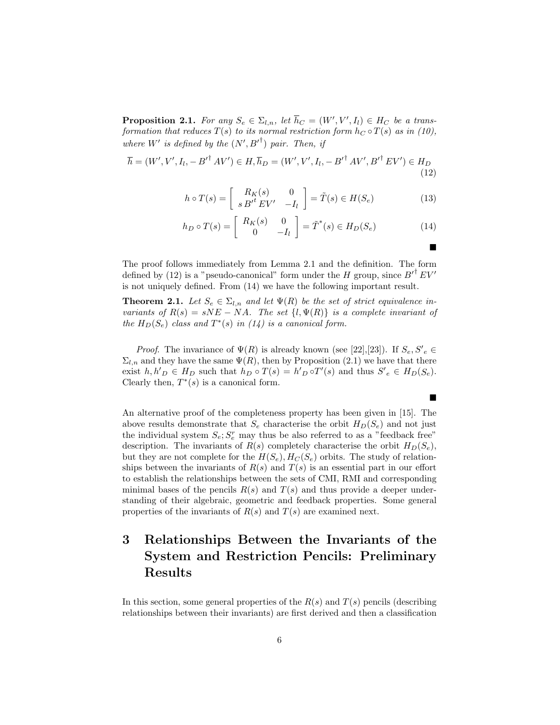**Proposition 2.1.** For any  $S_e \in \Sigma_{l,n}$ , let  $\overline{h}_C = (W', V', I_l) \in H_C$  be a transformation that reduces  $T(s)$  to its normal restriction form  $h<sub>C</sub> \circ T(s)$  as in (10), where W' is defined by the  $(N', {B'}^{\dagger})$  pair. Then, if

$$
\overline{h} = (W', V', I_l, -{B'}^{\dagger} A V') \in H, \overline{h}_D = (W', V', I_l, -{B'}^{\dagger} A V', {B'}^{\dagger} E V') \in H_D
$$
\n(12)

$$
h \circ T(s) = \begin{bmatrix} R_K(s) & 0 \\ s B'^t E V' & -I_l \end{bmatrix} = \tilde{T}(s) \in H(S_e)
$$
 (13)

$$
h_D \circ T(s) = \begin{bmatrix} R_K(s) & 0 \\ 0 & -I_l \end{bmatrix} = \tilde{T}^*(s) \in H_D(S_e)
$$
 (14)

■

The proof follows immediately from Lemma 2.1 and the definition. The form defined by (12) is a "pseudo-canonical" form under the H group, since  $B'^{\dagger} E V'$ is not uniquely defined. From (14) we have the following important result.

**Theorem 2.1.** Let  $S_e \in \Sigma_{l,n}$  and let  $\Psi(R)$  be the set of strict equivalence invariants of  $R(s) = sNE - NA$ . The set  $\{l, \Psi(R)\}\$ is a complete invariant of the  $H_D(S_e)$  class and  $T^*(s)$  in (14) is a canonical form.

*Proof.* The invariance of  $\Psi(R)$  is already known (see [22],[23]). If  $S_e, S'_e \in$  $\Sigma_{l,n}$  and they have the same  $\Psi(R)$ , then by Proposition (2.1) we have that there exist  $h, h'_{D} \in H_{D}$  such that  $h_{D} \circ T(s) = h'_{D} \circ T'(s)$  and thus  $S'_{e} \in H_{D}(S_{e})$ . Clearly then,  $T^*(s)$  is a canonical form.

An alternative proof of the completeness property has been given in [15]. The above results demonstrate that  $S_e$  characterise the orbit  $H_D(S_e)$  and not just the individual system  $S_e; S_e^r$  may thus be also referred to as a "feedback free" description. The invariants of  $R(s)$  completely characterise the orbit  $H_D(S_e)$ , but they are not complete for the  $H(S_e), H_C(S_e)$  orbits. The study of relationships between the invariants of  $R(s)$  and  $T(s)$  is an essential part in our effort to establish the relationships between the sets of CMI, RMI and corresponding minimal bases of the pencils  $R(s)$  and  $T(s)$  and thus provide a deeper understanding of their algebraic, geometric and feedback properties. Some general properties of the invariants of  $R(s)$  and  $T(s)$  are examined next.

## 3 Relationships Between the Invariants of the System and Restriction Pencils: Preliminary Results

In this section, some general properties of the  $R(s)$  and  $T(s)$  pencils (describing relationships between their invariants) are first derived and then a classification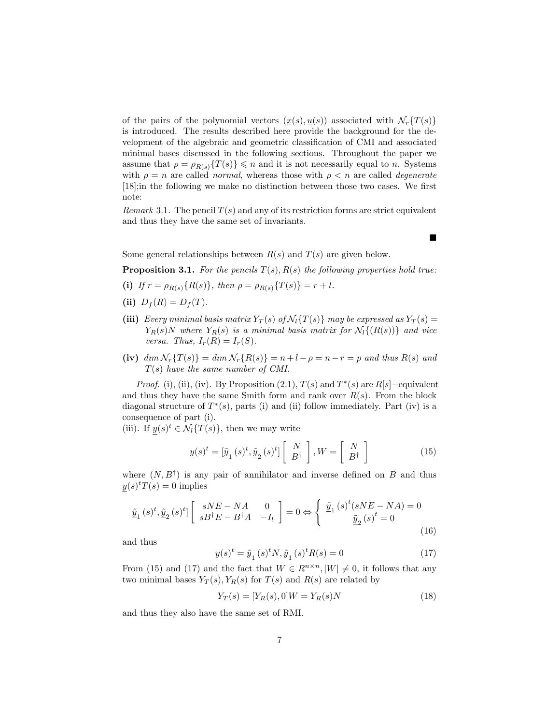of the pairs of the polynomial vectors  $(\underline{x}(s), \underline{u}(s))$  associated with  $\mathcal{N}_r\{T(s)\}$ is introduced. The results described here provide the background for the development of the algebraic and geometric classification of CMI and associated minimal bases discussed in the following sections. Throughout the paper we assume that  $\rho = \rho_{R(s)}\{T(s)\} \leq n$  and it is not necessarily equal to n. Systems with  $\rho = n$  are called *normal*, whereas those with  $\rho < n$  are called *degenerate* [18];in the following we make no distinction between those two cases. We first note:

Remark 3.1. The pencil  $T(s)$  and any of its restriction forms are strict equivalent and thus they have the same set of invariants.

 $\blacksquare$ 

Some general relationships between  $R(s)$  and  $T(s)$  are given below.

**Proposition 3.1.** For the pencils  $T(s)$ ,  $R(s)$  the following properties hold true:

- (i) If  $r = \rho_{R(s)}\{R(s)\}\$ , then  $\rho = \rho_{R(s)}\{T(s)\} = r + l$ .
- (ii)  $D_f(R) = D_f(T)$ .
- (iii) Every minimal basis matrix  $Y_T(s)$  of  $\mathcal{N}_l\{T(s)\}\$  may be expressed as  $Y_T(s)$  =  $Y_R(s)N$  where  $Y_R(s)$  is a minimal basis matrix for  $\mathcal{N}_l\{(R(s))\}$  and vice versa. Thus,  $I_r(R) = I_r(S)$ .
- (iv)  $\dim \mathcal{N}_r \{T(s)\} = \dim \mathcal{N}_r \{R(s)\} = n+l \rho = n-r = p$  and thus  $R(s)$  and T(s) have the same number of CMI.

*Proof.* (i), (ii), (iv). By Proposition (2.1),  $T(s)$  and  $T^*(s)$  are  $R[s]$ -equivalent and thus they have the same Smith form and rank over  $R(s)$ . From the block diagonal structure of  $T^*(s)$ , parts (i) and (ii) follow immediately. Part (iv) is a consequence of part (i).

(iii). If  $y(s)^t \in \mathcal{N}_l\{T(s)\}\,$ , then we may write

$$
\underline{y}(s)^{t} = [\underline{\tilde{y}}_{1}(s)^{t}, \underline{\tilde{y}}_{2}(s)^{t}] \left[ \begin{array}{c} N \\ B^{\dagger} \end{array} \right], W = \left[ \begin{array}{c} N \\ B^{\dagger} \end{array} \right] \tag{15}
$$

where  $(N, B^{\dagger})$  is any pair of annihilator and inverse defined on B and thus  $y(s)^t T(s) = 0$  implies

$$
\underline{\tilde{y}}_{1}(s)^{t}, \underline{\tilde{y}}_{2}(s)^{t} \begin{bmatrix} sNE - NA & 0\\ sB^{\dagger}E - B^{\dagger}A & -I_{l} \end{bmatrix} = 0 \Leftrightarrow \begin{cases} \underline{\tilde{y}}_{1}(s)^{t}(sNE - NA) = 0\\ \underline{\tilde{y}}_{2}(s)^{t} = 0 \end{cases}
$$
\n(16)

and thus

$$
\underline{y}(s)^t = \underline{\tilde{y}}_1(s)^t N, \underline{\tilde{y}}_1(s)^t R(s) = 0 \tag{17}
$$

From (15) and (17) and the fact that  $W \in R^{n \times n}$ ,  $|W| \neq 0$ , it follows that any two minimal bases  $Y_T(s)$ ,  $Y_R(s)$  for  $T(s)$  and  $R(s)$  are related by

$$
Y_T(s) = [Y_R(s), 0]W = Y_R(s)N
$$
\n(18)

and thus they also have the same set of RMI.

7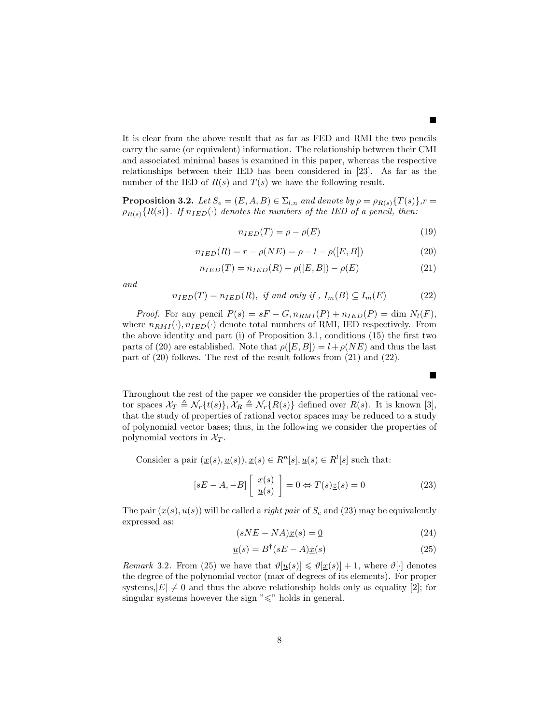It is clear from the above result that as far as FED and RMI the two pencils carry the same (or equivalent) information. The relationship between their CMI and associated minimal bases is examined in this paper, whereas the respective relationships between their IED has been considered in [23]. As far as the number of the IED of  $R(s)$  and  $T(s)$  we have the following result.

**Proposition 3.2.** Let  $S_e = (E, A, B) \in \Sigma_{l,n}$  and denote by  $\rho = \rho_{R(s)}\{T(s)\}, r =$  $\rho_{R(s)}\{R(s)\}\.$  If  $n_{IED}(\cdot)$  denotes the numbers of the IED of a pencil, then:

$$
n_{IED}(T) = \rho - \rho(E) \tag{19}
$$

$$
n_{IED}(R) = r - \rho(NE) = \rho - l - \rho([E, B])
$$
\n(20)

$$
n_{IED}(T) = n_{IED}(R) + \rho([E, B]) - \rho(E)
$$
\n(21)

and

$$
n_{IED}(T) = n_{IED}(R), \text{ if and only if }, I_m(B) \subseteq I_m(E) \tag{22}
$$

*Proof.* For any pencil  $P(s) = sF - G, n_{RMI}(P) + n_{IED}(P) = \dim N_l(F),$ where  $n_{RMI}(\cdot), n_{IED}(\cdot)$  denote total numbers of RMI, IED respectively. From the above identity and part (i) of Proposition 3.1, conditions (15) the first two parts of (20) are established. Note that  $\rho([E, B]) = l + \rho(NE)$  and thus the last part of (20) follows. The rest of the result follows from (21) and (22).

Throughout the rest of the paper we consider the properties of the rational vector spaces  $\mathcal{X}_T \triangleq \mathcal{N}_r\{t(s)\}, \mathcal{X}_R \triangleq \mathcal{N}_r\{R(s)\}\$  defined over  $R(s)$ . It is known [3], that the study of properties of rational vector spaces may be reduced to a study of polynomial vector bases; thus, in the following we consider the properties of polynomial vectors in  $\mathcal{X}_T$ .

Consider a pair  $(\underline{x}(s), \underline{u}(s)), \underline{x}(s) \in R^n[s], \underline{u}(s) \in R^l[s]$  such that:

$$
[sE - A, -B] \begin{bmatrix} \underline{x}(s) \\ \underline{u}(s) \end{bmatrix} = 0 \Leftrightarrow T(s)\underline{z}(s) = 0
$$
 (23)

The pair  $(x(s), u(s))$  will be called a *right pair* of  $S_e$  and (23) may be equivalently expressed as:

$$
(sNE - NA)\underline{x}(s) = \underline{0}
$$
\n<sup>(24)</sup>

$$
\underline{u}(s) = B^{\dagger}(sE - A)\underline{x}(s) \tag{25}
$$

*Remark* 3.2. From (25) we have that  $\vartheta[\underline{u}(s)] \leq \vartheta[\underline{x}(s)] + 1$ , where  $\vartheta[\cdot]$  denotes the degree of the polynomial vector (max of degrees of its elements). For proper systems,  $|E| \neq 0$  and thus the above relationship holds only as equality [2]; for singular systems however the sign " $\leq$ " holds in general.

 $\blacksquare$ 

■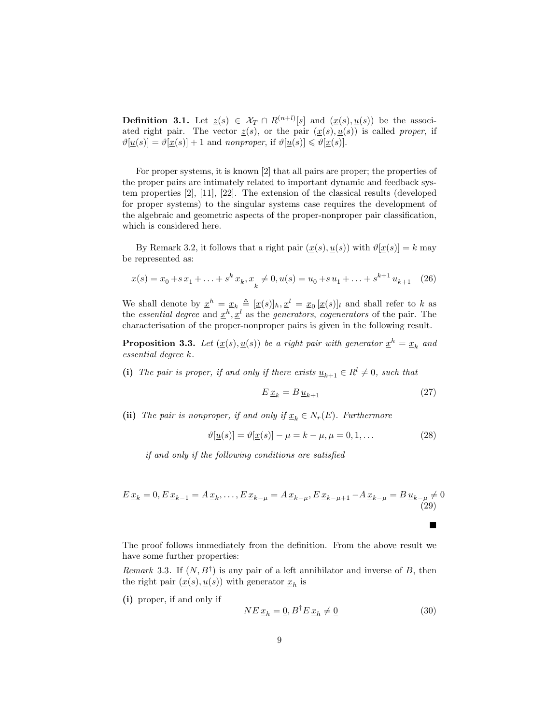**Definition 3.1.** Let  $\underline{z}(s) \in \mathcal{X}_T \cap R^{(n+l)}[s]$  and  $(\underline{x}(s), \underline{u}(s))$  be the associated right pair. The vector  $\underline{z}(s)$ , or the pair  $(\underline{x}(s), \underline{u}(s))$  is called proper, if  $\vartheta[\underline{u}(s)] = \vartheta[\underline{x}(s)] + 1$  and nonproper, if  $\vartheta[\underline{u}(s)] \leq \vartheta[\underline{x}(s)]$ .

For proper systems, it is known [2] that all pairs are proper; the properties of the proper pairs are intimately related to important dynamic and feedback system properties [2], [11], [22]. The extension of the classical results (developed for proper systems) to the singular systems case requires the development of the algebraic and geometric aspects of the proper-nonproper pair classification, which is considered here.

By Remark 3.2, it follows that a right pair  $(x(s), u(s))$  with  $\vartheta[x(s)] = k$  may be represented as:

$$
\underline{x}(s) = \underline{x}_0 + s \,\underline{x}_1 + \ldots + s^k \,\underline{x}_k, \, \underline{x}_k \neq 0, \, \underline{u}(s) = \underline{u}_0 + s \,\underline{u}_1 + \ldots + s^{k+1} \,\underline{u}_{k+1} \tag{26}
$$

We shall denote by  $\underline{x}^h = \underline{x}_k \triangleq [\underline{x}(s)]_h, \underline{x}^l = \underline{x}_0 [\underline{x}(s)]_l$  and shall refer to k as the essential degree and  $\underline{x}^h, \underline{x}^l$  as the generators, cogenerators of the pair. The characterisation of the proper-nonproper pairs is given in the following result.

**Proposition 3.3.** Let  $(\underline{x}(s), \underline{u}(s))$  be a right pair with generator  $\underline{x}^h = \underline{x}_k$  and essential degree k.

(i) The pair is proper, if and only if there exists  $\underline{u}_{k+1} \in R^l \neq 0$ , such that

$$
E \underline{x}_k = B \underline{u}_{k+1} \tag{27}
$$

(ii) The pair is nonproper, if and only if  $\underline{x}_k \in N_r(E)$ . Furthermore

$$
\vartheta[\underline{u}(s)] = \vartheta[\underline{x}(s)] - \mu = k - \mu, \mu = 0, 1, \dots
$$
\n(28)

if and only if the following conditions are satisfied

$$
E \underline{x}_k = 0, E \underline{x}_{k-1} = A \underline{x}_k, \dots, E \underline{x}_{k-\mu} = A \underline{x}_{k-\mu}, E \underline{x}_{k-\mu+1} - A \underline{x}_{k-\mu} = B \underline{u}_{k-\mu} \neq 0
$$
\n(29)

The proof follows immediately from the definition. From the above result we have some further properties:

Remark 3.3. If  $(N, B^{\dagger})$  is any pair of a left annihilator and inverse of B, then the right pair  $(\underline{x}(s), \underline{u}(s))$  with generator  $\underline{x}_h$  is

(i) proper, if and only if

$$
NE \underline{x}_h = \underline{0}, B^{\dagger} E \underline{x}_h \neq \underline{0}
$$
\n(30)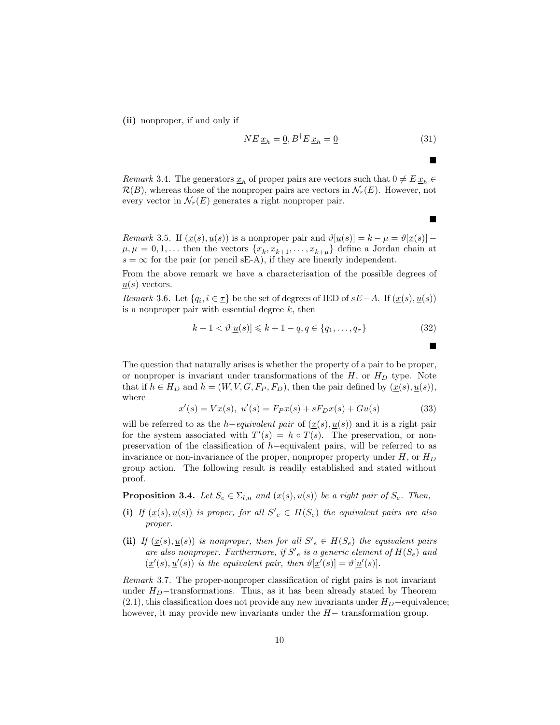(ii) nonproper, if and only if

$$
NE \underline{x}_h = \underline{0}, B^{\dagger} E \underline{x}_h = \underline{0}
$$
\n(31)

■

■

 $\blacksquare$ 

*Remark* 3.4. The generators  $\underline{x}_h$  of proper pairs are vectors such that  $0 \neq E \underline{x}_h \in$  $\mathcal{R}(B)$ , whereas those of the nonproper pairs are vectors in  $\mathcal{N}_r(E)$ . However, not every vector in  $\mathcal{N}_r(E)$  generates a right nonproper pair.

Remark 3.5. If  $(\underline{x}(s), \underline{u}(s))$  is a nonproper pair and  $\vartheta[\underline{u}(s)] = k - \mu = \vartheta[\underline{x}(s)] \mu, \mu = 0, 1, \ldots$  then the vectors  $\{\underline{x}_k, \underline{x}_{k+1}, \ldots, \underline{x}_{k+\mu}\}\$  define a Jordan chain at  $s = \infty$  for the pair (or pencil sE-A), if they are linearly independent.

From the above remark we have a characterisation of the possible degrees of  $\underline{u}(s)$  vectors.

*Remark* 3.6. Let  $\{q_i, i \in \underline{\tau}\}\)$  be the set of degrees of IED of  $sE-A$ . If  $(\underline{x}(s), \underline{u}(s))$ is a nonproper pair with essential degree  $k$ , then

$$
k + 1 < \vartheta[\underline{u}(s)] \leq k + 1 - q, q \in \{q_1, \dots, q_\tau\} \tag{32}
$$

The question that naturally arises is whether the property of a pair to be proper, or nonproper is invariant under transformations of the  $H$ , or  $H_D$  type. Note that if  $h \in H_D$  and  $\overline{h} = (W, V, G, F_P, F_D)$ , then the pair defined by  $(\underline{x}(s), \underline{u}(s)),$ where

$$
\underline{x}'(s) = V\underline{x}(s), \ \underline{u}'(s) = F_P \underline{x}(s) + sF_D \underline{x}(s) + G\underline{u}(s)
$$
\n(33)

will be referred to as the h–equivalent pair of  $(\underline{x}(s), \underline{u}(s))$  and it is a right pair for the system associated with  $T'(s) = h \circ T(s)$ . The preservation, or nonpreservation of the classification of h−equivalent pairs, will be referred to as invariance or non-invariance of the proper, nonproper property under  $H$ , or  $H_D$ group action. The following result is readily established and stated without proof.

**Proposition 3.4.** Let  $S_e \in \Sigma_{l,n}$  and  $(\underline{x}(s), \underline{u}(s))$  be a right pair of  $S_e$ . Then,

- (i) If  $(\underline{x}(s), \underline{u}(s))$  is proper, for all  $S'_{e} \in H(S_e)$  the equivalent pairs are also proper.
- (ii) If  $(\underline{x}(s), \underline{u}(s))$  is nonproper, then for all  $S'_{e} \in H(S_{e})$  the equivalent pairs are also nonproper. Furthermore, if  $S'_{e}$  is a generic element of  $H(S_{e})$  and  $(\underline{x}'(s), \underline{u}'(s))$  is the equivalent pair, then  $\vartheta[\underline{x}'(s)] = \vartheta[\underline{u}'(s)]$ .

Remark 3.7. The proper-nonproper classification of right pairs is not invariant under  $H_D$ -transformations. Thus, as it has been already stated by Theorem  $(2.1)$ , this classification does not provide any new invariants under  $H_D$ −equivalence; however, it may provide new invariants under the  $H-$  transformation group.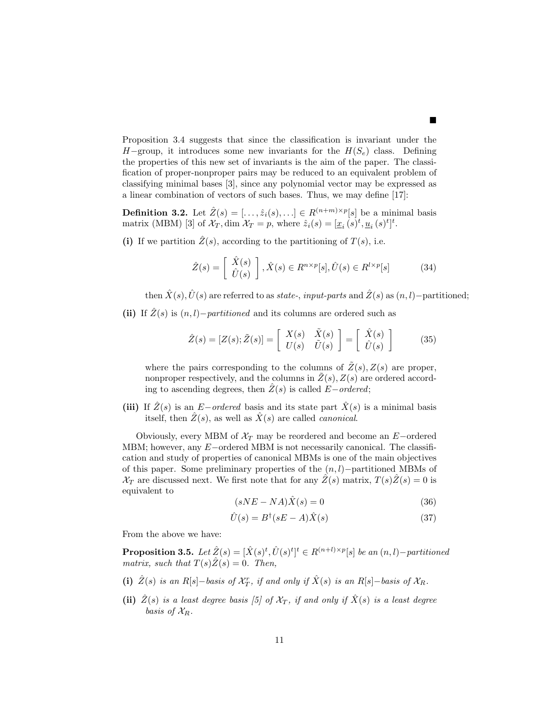Proposition 3.4 suggests that since the classification is invariant under the H–group, it introduces some new invariants for the  $H(S_e)$  class. Defining the properties of this new set of invariants is the aim of the paper. The classification of proper-nonproper pairs may be reduced to an equivalent problem of classifying minimal bases [3], since any polynomial vector may be expressed as a linear combination of vectors of such bases. Thus, we may define [17]:

**Definition 3.2.** Let  $\hat{Z}(s) = [\ldots, \hat{z}_i(s), \ldots] \in R^{(n+m)\times p}[s]$  be a minimal basis matrix (MBM) [3] of  $\mathcal{X}_T$ , dim  $\mathcal{X}_T = p$ , where  $\hat{z}_i(s) = [\underline{x}_i(s)^t, \underline{u}_i(s)^t]^t$ .

(i) If we partition  $\hat{Z}(s)$ , according to the partitioning of  $T(s)$ , i.e.

$$
\hat{Z}(s) = \begin{bmatrix} \hat{X}(s) \\ \hat{U}(s) \end{bmatrix}, \hat{X}(s) \in R^{n \times p}[s], \hat{U}(s) \in R^{l \times p}[s]
$$
(34)

then  $\hat{X}(s),\hat{U}(s)$  are referred to as state-, input-parts and  $\hat{Z}(s)$  as  $(n, l)$ –partitioned;

(ii) If  $\hat{Z}(s)$  is  $(n, l)$ –*partitioned* and its columns are ordered such as

$$
\hat{Z}(s) = [Z(s); \tilde{Z}(s)] = \begin{bmatrix} X(s) & \tilde{X}(s) \\ U(s) & \tilde{U}(s) \end{bmatrix} = \begin{bmatrix} \hat{X}(s) \\ \hat{U}(s) \end{bmatrix} \tag{35}
$$

where the pairs corresponding to the columns of  $\tilde{Z}(s)$ ,  $Z(s)$  are proper, nonproper respectively, and the columns in  $\tilde{Z}(s)$ ,  $Z(s)$  are ordered according to ascending degrees, then  $\hat{Z}(s)$  is called  $E-ordered$ ;

(iii) If  $\hat{Z}(s)$  is an E−ordered basis and its state part  $\hat{X}(s)$  is a minimal basis itself, then  $\hat{Z}(s)$ , as well as  $\hat{X}(s)$  are called *canonical*.

Obviously, every MBM of  $\mathcal{X}_T$  may be reordered and become an E–ordered MBM; however, any E−ordered MBM is not necessarily canonical. The classification and study of properties of canonical MBMs is one of the main objectives of this paper. Some preliminary properties of the  $(n, l)$ −partitioned MBMs of  $\mathcal{X}_T$  are discussed next. We first note that for any  $\hat{Z}(s)$  matrix,  $T(s)\hat{Z}(s) = 0$  is equivalent to

$$
(sNE - NA)\hat{X}(s) = 0 \tag{36}
$$

$$
\hat{U}(s) = B^{\dagger}(sE - A)\hat{X}(s)
$$
\n(37)

From the above we have:

**Proposition 3.5.** Let  $\hat{Z}(s) = [\hat{X}(s)^t, \hat{U}(s)^t]^t \in R^{(n+l)\times p}[s]$  be an  $(n, l)$ -partitioned matrix, such that  $T(s)\hat{Z}(s) = 0$ . Then,

- (i)  $\hat{Z}(s)$  is an R[s]–basis of  $\mathcal{X}_T^r$ , if and only if  $\hat{X}(s)$  is an R[s]–basis of  $\mathcal{X}_R$ .
- (ii)  $\hat{Z}(s)$  is a least degree basis [5] of  $\mathcal{X}_T$ , if and only if  $\hat{X}(s)$  is a least degree basis of  $\mathcal{X}_R$ .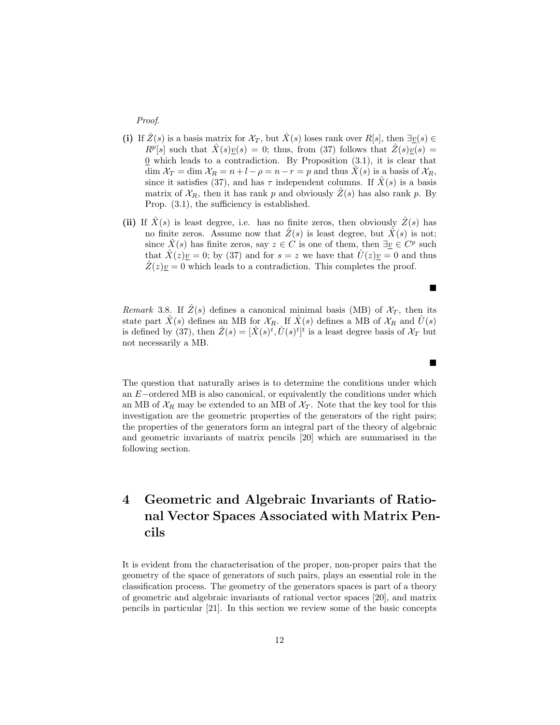Proof.

- (i) If  $\hat{Z}(s)$  is a basis matrix for  $\mathcal{X}_T$ , but  $\hat{X}(s)$  loses rank over  $R[s]$ , then  $\exists v(s) \in$  $R^p[s]$  such that  $\hat{X}(s)\underline{v}(s) = 0$ ; thus, from (37) follows that  $\hat{Z}(s)\overline{\underline{v}(s)} = 0$  $\Omega$  which leads to a contradiction. By Proposition  $(3.1)$ , it is clear that dim  $\mathcal{X}_T = \dim \mathcal{X}_R = n + l - \rho = n - r = p$  and thus  $\tilde{X}(s)$  is a basis of  $\mathcal{X}_R$ , since it satisfies (37), and has  $\tau$  independent columns. If  $\ddot{X}(s)$  is a basis matrix of  $\mathcal{X}_R$ , then it has rank p and obviously  $Z(s)$  has also rank p. By Prop. (3.1), the sufficiency is established.
- (ii) If  $\hat{X}(s)$  is least degree, i.e. has no finite zeros, then obviously  $\hat{Z}(s)$  has no finite zeros. Assume now that  $\hat{Z}(s)$  is least degree, but  $\hat{X}(s)$  is not; since  $\hat{X}(s)$  has finite zeros, say  $z \in C$  is one of them, then  $\exists \underline{v} \in C^p$  such that  $\hat{X}(z)y = 0$ ; by (37) and for  $s = z$  we have that  $\hat{U}(z)y = 0$  and thus  $\hat{Z}(z)\underline{v} = 0$  which leads to a contradiction. This completes the proof.

Remark 3.8. If  $Z(s)$  defines a canonical minimal basis (MB) of  $\mathcal{X}_T$ , then its state part  $\hat{X}(s)$  defines an MB for  $\mathcal{X}_R$ . If  $\hat{X}(s)$  defines a MB of  $\mathcal{X}_R$  and  $U(s)$ is defined by (37), then  $\hat{Z}(s) = [\hat{X}(s)^t, \hat{U}(s)^t]^t$  is a least degree basis of  $\mathcal{X}_T$  but not necessarily a MB.

 $\blacksquare$ 

п

The question that naturally arises is to determine the conditions under which an E−ordered MB is also canonical, or equivalently the conditions under which an MB of  $\mathcal{X}_R$  may be extended to an MB of  $\mathcal{X}_T$ . Note that the key tool for this investigation are the geometric properties of the generators of the right pairs; the properties of the generators form an integral part of the theory of algebraic and geometric invariants of matrix pencils [20] which are summarised in the following section.

### 4 Geometric and Algebraic Invariants of Rational Vector Spaces Associated with Matrix Pencils

It is evident from the characterisation of the proper, non-proper pairs that the geometry of the space of generators of such pairs, plays an essential role in the classification process. The geometry of the generators spaces is part of a theory of geometric and algebraic invariants of rational vector spaces [20], and matrix pencils in particular [21]. In this section we review some of the basic concepts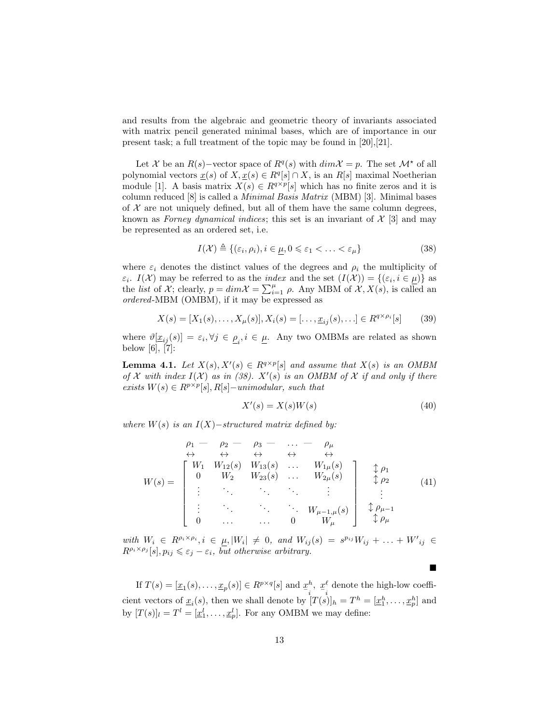and results from the algebraic and geometric theory of invariants associated with matrix pencil generated minimal bases, which are of importance in our present task; a full treatment of the topic may be found in [20],[21].

Let X be an  $R(s)$ -vector space of  $R<sup>q</sup>(s)$  with  $dim \mathcal{X} = p$ . The set  $\mathcal{M}^*$  of all polynomial vectors  $\underline{x}(s)$  of  $X, \underline{x}(s) \in R^q[s] \cap X$ , is an  $R[s]$  maximal Noetherian module [1]. A basis matrix  $X(s) \in R^{q \times p}[s]$  which has no finite zeros and it is column reduced [8] is called a Minimal Basis Matrix (MBM) [3]. Minimal bases of  $\mathcal X$  are not uniquely defined, but all of them have the same column degrees, known as Forney dynamical indices; this set is an invariant of  $\mathcal{X}$  [3] and may be represented as an ordered set, i.e.

$$
I(\mathcal{X}) \triangleq \{(\varepsilon_i, \rho_i), i \in \mu, 0 \leq \varepsilon_1 < \ldots < \varepsilon_\mu\}
$$
\n(38)

where  $\varepsilon_i$  denotes the distinct values of the degrees and  $\rho_i$  the multiplicity of  $\varepsilon_i$ .  $I(\mathcal{X})$  may be referred to as the *index* and the set  $(I(\mathcal{X})) = \{(\varepsilon_i, i \in \mu)\}\$  as the *list* of X; clearly,  $p = dim \mathcal{X} = \sum_{i=1}^{\mu} \rho$ . Any MBM of  $\mathcal{X}, X(s)$ , is called an ordered-MBM (OMBM), if it may be expressed as

$$
X(s) = [X_1(s), \dots, X_\mu(s)], X_i(s) = [\dots, \underline{x}_{ij}(s), \dots] \in R^{q \times \rho_i}[s]
$$
(39)

where  $\vartheta[\underline{x}_{ij}(s)] = \varepsilon_i, \forall j \in \underline{\rho}_i, i \in \underline{\mu}$ . Any two OMBMs are related as shown below [6], [7]:

**Lemma 4.1.** Let  $X(s)$ ,  $X'(s) \in R^{q \times p}[s]$  and assume that  $X(s)$  is an OMBM of X with index  $I(X)$  as in (38).  $X'(s)$  is an OMBM of X if and only if there exists  $W(s) \in R^{p \times p}[s], R[s]$ -unimodular, such that

$$
X'(s) = X(s)W(s)
$$
\n<sup>(40)</sup>

 $\blacksquare$ 

where  $W(s)$  is an  $I(X)$ −structured matrix defined by:

$$
W(s) = \begin{bmatrix} \rho_1 - \rho_2 - \rho_3 - \dots - \rho_{\mu} \\ \leftrightarrow & \leftrightarrow & \leftrightarrow & \leftrightarrow \\ 0 & W_{12}(s) & W_{13}(s) & \dots & W_{1\mu}(s) \\ 0 & W_2 & W_{23}(s) & \dots & W_{2\mu}(s) \\ \vdots & \vdots & \ddots & \vdots & \vdots \\ 0 & \dots & \dots & 0 & W_{\mu-1,\mu}(s) \end{bmatrix} \begin{bmatrix} \updownarrow \rho_1 \\ \updownarrow \rho_2 \\ \updownarrow \rho_2 \\ \vdots \\ \updownarrow \rho_{\mu-1} \\ \updownarrow \rho_{\mu} \end{bmatrix}
$$
 (41)

with  $W_i \in R^{\rho_i \times \rho_i}, i \in \mu, |W_i| \neq 0$ , and  $W_{ij}(s) = s^{\rho_{ij}} W_{ij} + \ldots + W'_{ij} \in$  $R^{\rho_i \times \rho_j}[s], p_{ij} \leqslant \varepsilon_j - \varepsilon_i$ , but otherwise arbitrary.

If  $T(s) = [\underline{x}_1(s), \ldots, \underline{x}_p(s)] \in R^{p \times q}[s]$  and  $\underline{x}^h$ ,  $\underline{x}^l$  denote the high-low coefficient vectors of  $\underline{x}_i(s)$ , then we shall denote by  $[T(s)]_h = T^h = [\underline{x}_1^h, \ldots, \underline{x}_p^h]$  and by  $[T(s)]_l = T^l = [\underline{x}_1^l, \ldots, \underline{x}_p^l]$ . For any OMBM we may define: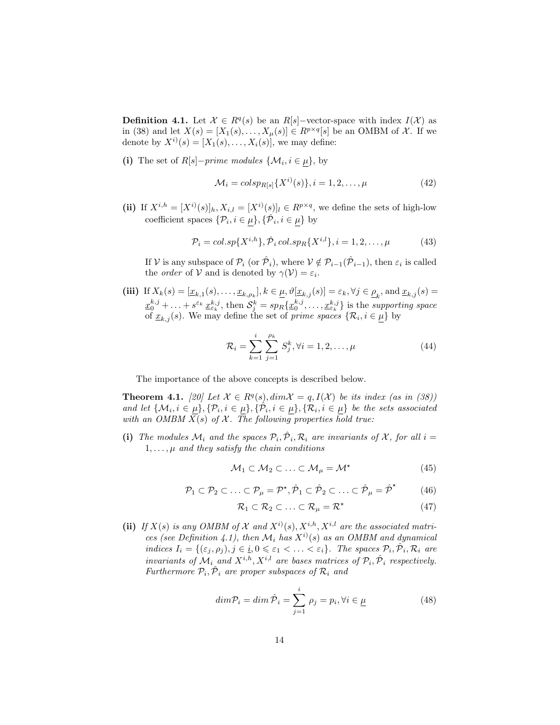**Definition 4.1.** Let  $\mathcal{X} \in R^q(s)$  be an  $R[s]$ -vector-space with index  $I(\mathcal{X})$  as in (38) and let  $X(s) = [X_1(s), \ldots, X_\mu(s)] \in R^{p \times q}[s]$  be an OMBM of X. If we denote by  $X^{i}(s) = [X_1(s), \ldots, X_i(s)]$ , we may define:

(i) The set of  $R[s]$ -prime modules  $\{\mathcal{M}_i, i \in \mu\}$ , by

$$
\mathcal{M}_i = \operatorname{colsp}_{R[s]} \{ X^{i)}(s) \}, i = 1, 2, \dots, \mu \tag{42}
$$

(ii) If  $X^{i,h} = [X^{i}(s)]_h, X_{i,l} = [X^{i}(s)]_l \in R^{p \times q}$ , we define the sets of high-low coefficient spaces  $\{\mathcal{P}_i, i \in \mu\}, \{\hat{\mathcal{P}}_i, i \in \mu\}$  by

$$
\mathcal{P}_{i} = col.\text{sp}\{X^{i,h}\}, \hat{\mathcal{P}}_{i} \text{ col.sp}_{R}\{X^{i,l}\}, i = 1, 2, \dots, \mu
$$
\n(43)

If V is any subspace of  $\mathcal{P}_i$  (or  $\hat{\mathcal{P}}_i$ ), where  $\mathcal{V} \notin \mathcal{P}_{i-1}(\hat{\mathcal{P}}_{i-1})$ , then  $\varepsilon_i$  is called the *order* of  $V$  and is denoted by  $\gamma(V) = \varepsilon_i$ .

(iii) If  $X_k(s) = [\underline{x}_{k,1}(s), \ldots, \underline{x}_{k,\rho_k}], k \in \underline{\mu}, \vartheta[\underline{x}_{k,j}(s)] = \varepsilon_k, \forall j \in \underline{\rho}_k$ , and  $\underline{x}_{k,j}(s) =$ k  $\underline{x}_0^{k,j} + \ldots + s^{\varepsilon_k} \underline{x}_{\varepsilon_k}^{k,j}$ , then  $\mathcal{S}_j^k = sp_R\{\underline{x}_0^{k,j}, \ldots, \underline{x}_{\varepsilon_k}^{k,j}\}$  is the supporting space of  $\underline{x}_{k,j}(s)$ . We may define the set of *prime spaces*  $\{\mathcal{R}_i, i \in \underline{\mu}\}\$  by

$$
\mathcal{R}_i = \sum_{k=1}^i \sum_{j=1}^{\rho_k} S_j^k, \forall i = 1, 2, \dots, \mu
$$
 (44)

The importance of the above concepts is described below.

**Theorem 4.1.** [20] Let  $\mathcal{X} \in R^q(s)$ ,  $dim \mathcal{X} = q$ ,  $I(\mathcal{X})$  be its index (as in (38)) and let  $\{\mathcal{M}_i, i \in \mu\}, {\{\mathcal{P}_i, i \in \mu\}}, {\{\hat{\mathcal{P}_i, i \in \mu\}}, {\{\mathcal{R}_i, i \in \mu\}}}$  be the sets associated with an OMBM  $\overline{X}(s)$  of X. The following properties hold true:

(i) The modules  $\mathcal{M}_i$  and the spaces  $\mathcal{P}_i$ ,  $\hat{\mathcal{P}}_i$ ,  $\mathcal{R}_i$  are invariants of X, for all  $i =$  $1, \ldots, \mu$  and they satisfy the chain conditions

$$
\mathcal{M}_1 \subset \mathcal{M}_2 \subset \ldots \subset \mathcal{M}_{\mu} = \mathcal{M}^{\star}
$$
 (45)

$$
\mathcal{P}_1 \subset \mathcal{P}_2 \subset \ldots \subset \mathcal{P}_\mu = \mathcal{P}^\star, \hat{\mathcal{P}}_1 \subset \hat{\mathcal{P}}_2 \subset \ldots \subset \hat{\mathcal{P}}_\mu = \hat{\mathcal{P}}^\star \tag{46}
$$

$$
\mathcal{R}_1 \subset \mathcal{R}_2 \subset \ldots \subset \mathcal{R}_{\mu} = \mathcal{R}^{\star} \tag{47}
$$

(ii) If  $X(s)$  is any OMBM of  $\mathcal X$  and  $X^{i}(s)$ ,  $X^{i,h}$ ,  $X^{i,l}$  are the associated matrices (see Definition 4.1), then  $\mathcal{M}_i$  has  $X^{i}(s)$  as an OMBM and dynamical indices  $I_i = \{(\varepsilon_j, \rho_j), j \in i, 0 \leq \varepsilon_1 < \ldots < \varepsilon_i\}$ . The spaces  $\mathcal{P}_i, \mathcal{P}_i, \mathcal{R}_i$  are invariants of  $\mathcal{M}_i$  and  $X^{i,h}, X^{i,l}$  are bases matrices of  $\mathcal{P}_i, \hat{\mathcal{P}}_i$  respectively. Furthermore  $\mathcal{P}_i$ ,  $\hat{\mathcal{P}}_i$  are proper subspaces of  $\mathcal{R}_i$  and

$$
dim \mathcal{P}_i = dim \,\hat{\mathcal{P}}_i = \sum_{j=1}^i \rho_j = p_i, \forall i \in \underline{\mu}
$$
\n(48)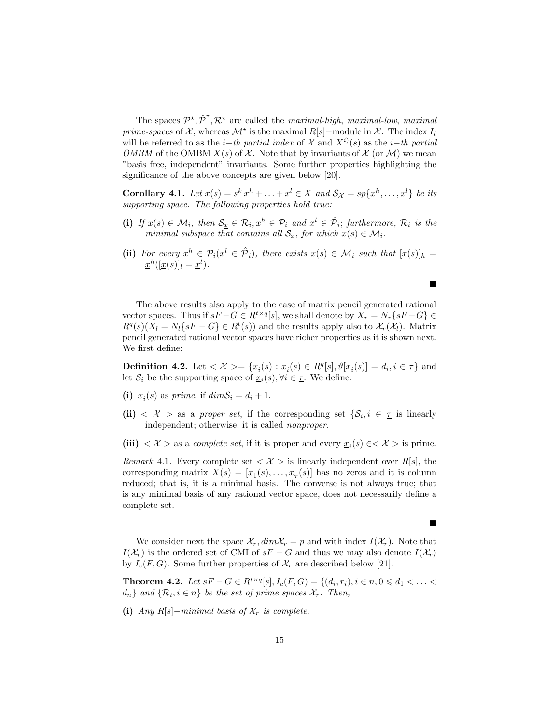The spaces  $\mathcal{P}^{\star}, \hat{\mathcal{P}}^{\star}, \mathcal{R}^{\star}$  are called the *maximal-high*, *maximal-low*, *maximal* prime-spaces of  $\mathcal{X}$ , whereas  $\mathcal{M}^*$  is the maximal  $R[s]$ -module in  $\mathcal{X}$ . The index  $I_i$ will be referred to as the *i*−th partial index of X and  $X^{i}(s)$  as the *i*−th partial OMBM of the OMBM  $X(s)$  of X. Note that by invariants of X (or M) we mean "basis free, independent" invariants. Some further properties highlighting the significance of the above concepts are given below [20].

**Corollary 4.1.** Let  $\underline{x}(s) = s^k \underline{x}^h + \ldots + \underline{x}^l \in X$  and  $S_{\mathcal{X}} = sp\{\underline{x}^h, \ldots, \underline{x}^l\}$  be its supporting space. The following properties hold true:

- (i) If  $\underline{x}(s) \in \mathcal{M}_i$ , then  $\mathcal{S}_x \in \mathcal{R}_i, \underline{x}^h \in \mathcal{P}_i$  and  $\underline{x}^l \in \hat{\mathcal{P}}_i$ ; furthermore,  $\mathcal{R}_i$  is the minimal subspace that contains all  $\mathcal{S}_x$ , for which  $\underline{x}(s) \in \mathcal{M}_i$ .
- (ii) For every  $\underline{x}^h \in \mathcal{P}_i(\underline{x}^l \in \hat{\mathcal{P}}_i)$ , there exists  $\underline{x}(s) \in \mathcal{M}_i$  such that  $[\underline{x}(s)]_h =$  $\underline{x}^h([\underline{x}(s)]_l = \underline{x}^l).$

The above results also apply to the case of matrix pencil generated rational vector spaces. Thus if  $sF - G \in R^{t \times q}[s]$ , we shall denote by  $X_r = N_r\{sF - G\} \in$  $R^q(s)(X_l = N_l \{ sF - G \} \in R^t(s))$  and the results apply also to  $\mathcal{X}_r(\mathcal{X}_l)$ . Matrix pencil generated rational vector spaces have richer properties as it is shown next. We first define:

**Definition 4.2.** Let  $\langle X \rangle = {\underline{x_i}}(s) : \underline{x_i}(s) \in R^q[s], \vartheta[\underline{x_i}(s)] = d_i, i \in \underline{\tau}$  and let  $S_i$  be the supporting space of  $\underline{x}_i(s)$ ,  $\forall i \in \underline{\tau}$ . We define:

- (i)  $\underline{x}_i(s)$  as prime, if  $dim \mathcal{S}_i = d_i + 1$ .
- (ii)  $\langle X \rangle$  as a proper set, if the corresponding set  $\{S_i, i \in I \text{ is linearly}\}$ independent; otherwise, it is called nonproper.
- (iii)  $\langle X \rangle$  as a *complete set*, if it is proper and every  $\underline{x}_i(s) \in \langle X \rangle$  is prime.

Remark 4.1. Every complete set  $\langle \mathcal{X} \rangle$  is linearly independent over R[s], the corresponding matrix  $X(s) = [\underline{x}_1(s), \ldots, \underline{x}_r(s)]$  has no zeros and it is column reduced; that is, it is a minimal basis. The converse is not always true; that is any minimal basis of any rational vector space, does not necessarily define a complete set.

We consider next the space  $\mathcal{X}_r, dim \mathcal{X}_r = p$  and with index  $I(\mathcal{X}_r)$ . Note that  $I(\mathcal{X}_r)$  is the ordered set of CMI of  $sF - G$  and thus we may also denote  $I(\mathcal{X}_r)$ by  $I_c(F, G)$ . Some further properties of  $\mathcal{X}_r$  are described below [21].

**Theorem 4.2.** Let  $sF - G \in R^{t \times q}[s], I_c(F, G) = \{(d_i, r_i), i \in \underline{n}, 0 \leq d_1 < \ldots <$  $d_n$ } and  $\{\mathcal{R}_i, i \in \underline{n}\}$  be the set of prime spaces  $\mathcal{X}_r$ . Then,

(i) Any R[s]–minimal basis of  $\mathcal{X}_r$  is complete.

 $\blacksquare$ 

П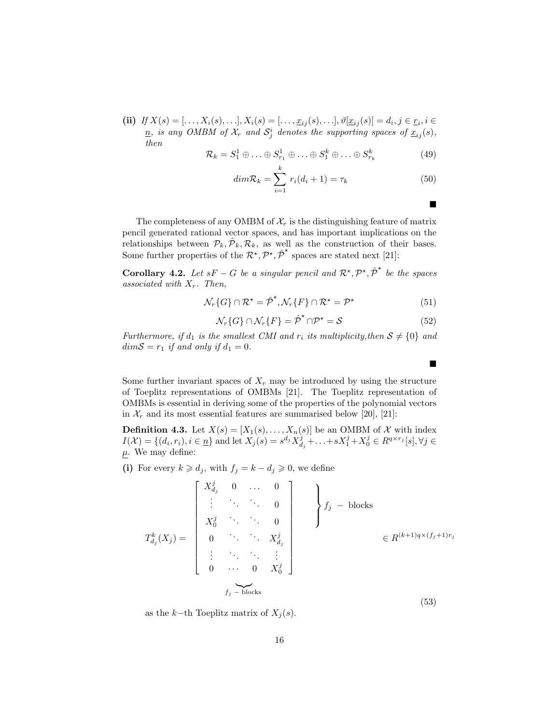(ii) If  $X(s) = [\ldots, X_i(s), \ldots], X_i(s) = [\ldots, x_{ij}(s), \ldots], \vartheta[\underline{x}_{ij}(s)] = d_i, j \in \underline{r}_i, i \in$  $\underline{n}$ , is any OMBM of  $\mathcal{X}_r$  and  $\mathcal{S}^i_j$  denotes the supporting spaces of  $\underline{x}_{ij}(s)$ , then

$$
\mathcal{R}_k = S_1^1 \oplus \ldots \oplus S_{r_1}^1 \oplus \ldots \oplus S_1^k \oplus \ldots \oplus S_{r_k}^k \tag{49}
$$

$$
dim \mathcal{R}_k = \sum_{i=1}^k r_i(d_i + 1) = \tau_k \tag{50}
$$

The completeness of any OMBM of  $\mathcal{X}_r$  is the distinguishing feature of matrix pencil generated rational vector spaces, and has important implications on the relationships between  $\mathcal{P}_k$ ,  $\mathcal{P}_k$ ,  $\mathcal{R}_k$ , as well as the construction of their bases. Some further properties of the  $\mathcal{R}^*, \mathcal{P}^*, \hat{\mathcal{P}}^*$  spaces are stated next [21]:

**Corollary 4.2.** Let  $sF - G$  be a singular pencil and  $\mathcal{R}^*, \mathcal{P}^*, \hat{\mathcal{P}}^*$  be the spaces associated with  $X_r$ . Then,

$$
\mathcal{N}_r\{G\} \cap \mathcal{R}^\star = \hat{\mathcal{P}}^\star, \mathcal{N}_r\{F\} \cap \mathcal{R}^\star = \mathcal{P}^\star \tag{51}
$$

$$
\mathcal{N}_r\{G\} \cap \mathcal{N}_r\{F\} = \hat{\mathcal{P}}^{\star} \cap \mathcal{P}^{\star} = \mathcal{S}
$$
\n(52)

Furthermore, if  $d_1$  is the smallest CMI and  $r_i$  its multiplicity, then  $S \neq \{0\}$  and  $dimS = r_1$  if and only if  $d_1 = 0$ .

Some further invariant spaces of  $X_r$  may be introduced by using the structure of Toeplitz representations of OMBMs [21]. The Toeplitz representation of OMBMs is essential in deriving some of the properties of the polynomial vectors in  $\mathcal{X}_r$  and its most essential features are summarised below [20], [21]:

**Definition 4.3.** Let  $X(s) = [X_1(s), \ldots, X_n(s)]$  be an OMBM of X with index  $I(\mathcal{X}) = \{(d_i, r_i), i \in \underline{n}\}\$ and let  $X_j(s) = s^{d_j} X_{d_j}^j + \ldots + s X_1^j + X_0^j \in R^{q \times r_j}[s], \forall j \in \mathcal{X}$  $\mu.$  We may define:

(i) For every  $k \geq d_j$ , with  $f_j = k - d_j \geq 0$ , we define

$$
T_{d_j}^{k}(X_j) = \begin{bmatrix} X_{d_j}^j & 0 & \dots & 0 \\ \vdots & \ddots & \ddots & 0 \\ X_0^j & \ddots & \ddots & 0 \\ 0 & \ddots & \ddots & X_{d_j}^j \\ \vdots & \ddots & \ddots & \vdots \\ 0 & \dots & 0 & X_0^j \end{bmatrix} f_j - \text{blocks} \in R^{(k+1)q \times (f_j+1)r_j}
$$
  
 $f_j - \text{blocks}$  (53)

as the k−th Toeplitz matrix of  $X_j(s)$ .

■

п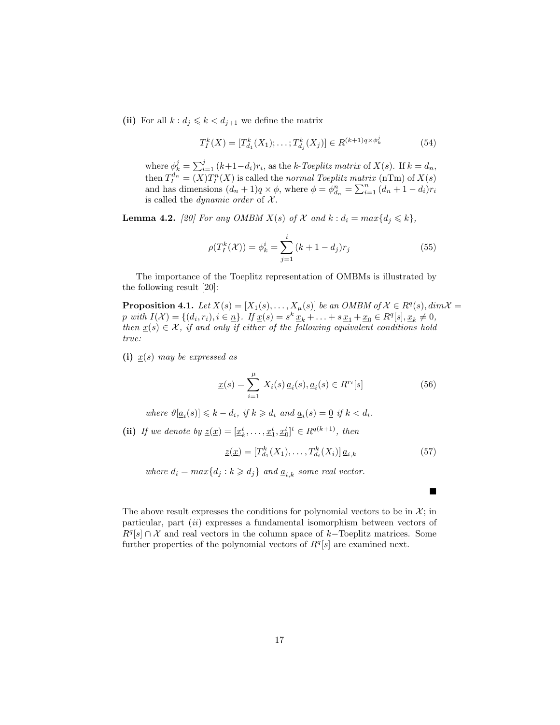(ii) For all  $k : d_j \leq k < d_{j+1}$  we define the matrix

$$
T_I^k(X) = [T_{d_1}^k(X_1); \dots; T_{d_j}^k(X_j)] \in R^{(k+1)q \times \phi_k^j}
$$
(54)

where  $\phi_k^j = \sum_{i=1}^j (k+1-d_i)r_i$ , as the k-Toeplitz matrix of  $X(s)$ . If  $k = d_n$ , then  $T_I^{d_n} = (X)T_I^n(X)$  is called the normal Toeplitz matrix (nTm) of  $X(s)$ and has dimensions  $(d_n + 1)q \times \phi$ , where  $\phi = \phi^n_{d_n} = \sum_{i=1}^n (d_n + 1 - d_i)r_i$ is called the *dynamic order* of  $X$ .

**Lemma 4.2.** [20] For any OMBM  $X(s)$  of  $\mathcal X$  and  $k : d_i = max\{d_j \leq k\},$ 

$$
\rho(T_I^k(\mathcal{X})) = \phi_k^i = \sum_{j=1}^i (k+1-d_j)r_j \tag{55}
$$

The importance of the Toeplitz representation of OMBMs is illustrated by the following result [20]:

**Proposition 4.1.** Let  $X(s) = [X_1(s), \ldots, X_\mu(s)]$  be an OMBM of  $\mathcal{X} \in R^q(s)$ ,  $dim \mathcal{X} =$ p with  $I(\mathcal{X}) = \{(d_i, r_i), i \in \underline{n}\}\$ . If  $\underline{x}(s) = s^k \underline{x}_k + \ldots + s \underline{x}_1 + \underline{x}_0 \in R^q[s], \underline{x}_k \neq 0$ , then  $x(s) \in \mathcal{X}$ , if and only if either of the following equivalent conditions hold true:

(i)  $x(s)$  may be expressed as

$$
\underline{x}(s) = \sum_{i=1}^{\mu} X_i(s) \underline{a}_i(s), \underline{a}_i(s) \in R^{r_i}[s]
$$
\n(56)

where  $\vartheta[\underline{a}_i(s)] \leq k - d_i$ , if  $k \geq d_i$  and  $\underline{a}_i(s) = \underline{0}$  if  $k < d_i$ .

(ii) If we denote by  $\underline{z}(\underline{x}) = [\underline{x}_k^t, \ldots, \underline{x}_1^t, \underline{x}_0^t]^t \in R^{q(k+1)}$ , then

$$
\underline{z}(\underline{x}) = [T_{d_1}^k(X_1), \dots, T_{d_i}^k(X_i)] \, \underline{a}_{i,k} \tag{57}
$$

where  $d_i = max\{d_j : k \geq d_j\}$  and  $\underline{a}_{i,k}$  some real vector.

The above result expresses the conditions for polynomial vectors to be in  $\mathcal{X}$ ; in particular, part (ii) expresses a fundamental isomorphism between vectors of  $R^{q}[s] \cap \mathcal{X}$  and real vectors in the column space of k–Toeplitz matrices. Some further properties of the polynomial vectors of  $R<sup>q</sup>[s]$  are examined next.

п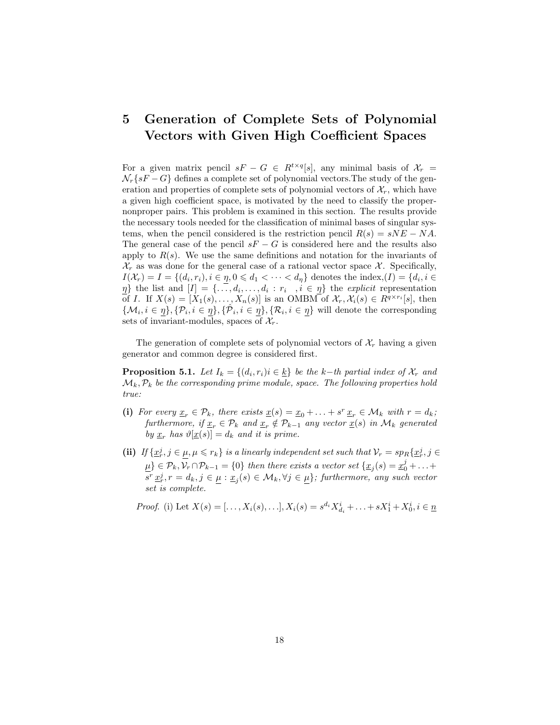#### 5 Generation of Complete Sets of Polynomial Vectors with Given High Coefficient Spaces

For a given matrix pencil  $sF - G \in R^{t \times q}[s]$ , any minimal basis of  $\mathcal{X}_r =$  $\mathcal{N}_r\{sF - G\}$  defines a complete set of polynomial vectors. The study of the generation and properties of complete sets of polynomial vectors of  $\mathcal{X}_r$ , which have a given high coefficient space, is motivated by the need to classify the propernonproper pairs. This problem is examined in this section. The results provide the necessary tools needed for the classification of minimal bases of singular systems, when the pencil considered is the restriction pencil  $R(s) = sNE - NA$ . The general case of the pencil  $sF - G$  is considered here and the results also apply to  $R(s)$ . We use the same definitions and notation for the invariants of  $\mathcal{X}_r$  as was done for the general case of a rational vector space X. Specifically,  $I(\mathcal{X}_r) = I = \{(d_i, r_i), i \in \eta, 0 \leq d_1 < \cdots < d_\eta\}$  denotes the index,  $(I) = \{d_i, i \in I\}$  $\{\eta\}$  the list and  $[I] = \{\ldots, d_i, \ldots, d_i : r_i, i \in \eta\}$  the explicit representation of I. If  $X(s) = [X_1(s), \ldots, X_n(s)]$  is an OMBM of  $\mathcal{X}_r, \mathcal{X}_i(s) \in R^{q \times r_i}[s]$ , then  $\{\mathcal{M}_i, i \in \eta\}, {\{\mathcal{P}_i, i \in \eta\}}, {\{\hat{\mathcal{P}}_i, i \in \eta\}}, {\{\mathcal{R}_i, i \in \eta\}}$  will denote the corresponding sets of invariant-modules, spaces of  $\mathcal{X}_r$ .

The generation of complete sets of polynomial vectors of  $\mathcal{X}_r$  having a given generator and common degree is considered first.

**Proposition 5.1.** Let  $I_k = \{(d_i, r_i) | i \in \underline{k}\}$  be the k-th partial index of  $\mathcal{X}_r$  and  $\mathcal{M}_k, \mathcal{P}_k$  be the corresponding prime module, space. The following properties hold true:

- (i) For every  $\underline{x}_r \in \mathcal{P}_k$ , there exists  $\underline{x}(s) = \underline{x}_0 + \ldots + s^r \underline{x}_r \in \mathcal{M}_k$  with  $r = d_k$ ; furthermore, if  $\underline{x}_r \in \mathcal{P}_k$  and  $\underline{x}_r \notin \mathcal{P}_{k-1}$  any vector  $\underline{x}(s)$  in  $\mathcal{M}_k$  generated by  $\underline{x}_r$  has  $\vartheta[\underline{x}(s)] = d_k$  and it is prime.
- (ii) If  $\{\underline{x}_r^j, j \in \underline{\mu}, \mu \leqslant r_k\}$  is a linearly independent set such that  $\mathcal{V}_r = sp_R\{\underline{x}_r^j, j \in \mathcal{V}_r\}$  $\underline{\mu} \in \mathcal{P}_k, \mathcal{V}_r \cap \mathcal{P}_{k-1} = \{0\}$  then there exists a vector set  $\{\underline{x}_j(s) = \underline{x}_0^j + \ldots + \underline{x}_j^j\}$  $s^r \underline{x}_r^j, r = d_k, j \in \underline{\mu} : \underline{x}_j(s) \in \mathcal{M}_k, \forall j \in \underline{\mu}$ ; furthermore, any such vector set is complete.

*Proof.* (i) Let 
$$
X(s) = [..., X_i(s),...], X_i(s) = s^{d_i} X_{d_i}^i + ... + s X_1^i + X_0^i, i \in \underline{n}
$$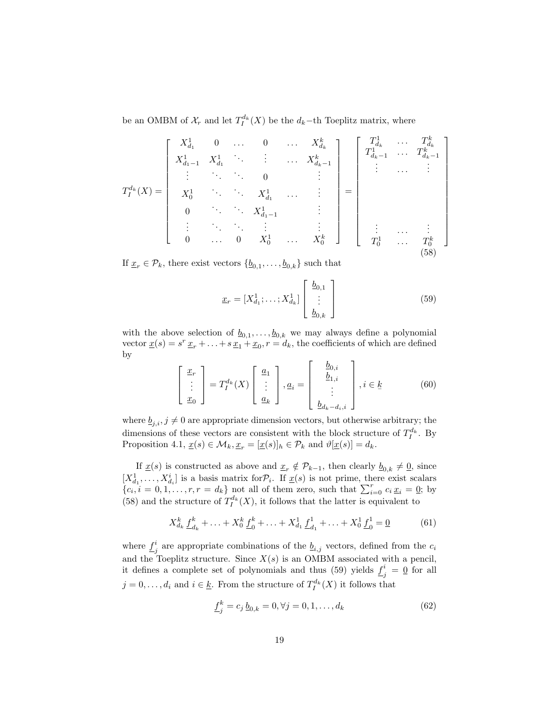be an OMBM of  $\mathcal{X}_r$  and let  $T^{d_k}_I(X)$  be the  $d_k$ -th Toeplitz matrix, where

$$
T_I^{d_k}(X) = \begin{bmatrix} X_{d_1}^1 & 0 & \cdots & 0 & \cdots & X_{d_k}^k \\ X_{d_1-1}^1 & X_{d_1}^1 & \ddots & \vdots & \cdots & X_{d_k-1}^k \\ \vdots & \ddots & \ddots & 0 & & \vdots \\ X_0^1 & \ddots & \ddots & X_{d_1}^1 & \cdots & \vdots \\ 0 & \cdots & \ddots & X_{d_1-1}^1 & & \vdots \\ \vdots & \ddots & \ddots & \vdots & \ddots & \vdots \\ 0 & \cdots & 0 & X_0^1 & \cdots & X_0^k \end{bmatrix} = \begin{bmatrix} T_{d_k}^1 & \cdots & T_{d_k}^k \\ T_{d_{k-1}}^1 & \cdots & T_{d_{k-1}}^k \\ \vdots & \cdots & \vdots \\ T_0^1 & \cdots & T_0^k \\ \vdots & \cdots & \vdots \\ T_0^1 & \cdots & T_0^k \end{bmatrix}
$$
 (58)

If  $\underline{x}_r \in \mathcal{P}_k$ , there exist vectors  $\{\underline{b}_{0,1}, \ldots, \underline{b}_{0,k}\}$  such that

$$
\underline{x}_r = [X_{d_1}^1; \dots; X_{d_k}^1] \begin{bmatrix} \underline{b}_{0,1} \\ \vdots \\ \underline{b}_{0,k} \end{bmatrix}
$$
 (59)

with the above selection of  $\underline{b}_{0,1}, \ldots, \underline{b}_{0,k}$  we may always define a polynomial vector  $\underline{x}(s) = s^r \underline{x}_r + \ldots + s \underline{x}_1 + \underline{x}_0, r = d_k$ , the coefficients of which are defined by

$$
\begin{bmatrix} \frac{x_r}{\cdot} \\ \frac{x_0}{\cdot} \end{bmatrix} = T_I^{d_k}(X) \begin{bmatrix} \frac{a_1}{\cdot} \\ \frac{a_k}{\cdot} \end{bmatrix}, \underline{a}_i = \begin{bmatrix} \underline{b}_{0,i} \\ \underline{b}_{1,i} \\ \vdots \\ \underline{b}_{d_k - d_i,i} \end{bmatrix}, i \in \underline{k} \tag{60}
$$

where  $\underline{b}_{j,i}$ ,  $j \neq 0$  are appropriate dimension vectors, but otherwise arbitrary; the dimensions of these vectors are consistent with the block structure of  $T_I^{d_k}$ . By Proposition 4.1,  $\underline{x}(s) \in \mathcal{M}_k$ ,  $\underline{x}_r = [\underline{x}(s)]_h \in \mathcal{P}_k$  and  $\vartheta[\underline{x}(s)] = d_k$ .

If  $\underline{x}(s)$  is constructed as above and  $\underline{x}_r \notin \mathcal{P}_{k-1}$ , then clearly  $\underline{b}_{0,k} \neq \underline{0}$ , since  $[X_{d_1}^1, \ldots, X_{d_i}^i]$  is a basis matrix for  $\mathcal{P}_i$ . If  $\underline{x}(s)$  is not prime, there exist scalars  ${c_i, i = 0, 1, \ldots, r, r = d_k}$  not all of them zero, such that  $\sum_{i=0}^{r} c_i \underline{x}_i = \underline{0}$ ; by (58) and the structure of  $T_I^{d_k}(X)$ , it follows that the latter is equivalent to

$$
X_{d_k}^k \underline{f}_{d_k}^k + \ldots + X_0^k \underline{f}_0^k + \ldots + X_{d_1}^1 \underline{f}_{d_1}^1 + \ldots + X_0^1 \underline{f}_0^1 = \underline{0}
$$
 (61)

where  $f^i$ <sup>*i*</sup> are appropriate combinations of the  $\underline{b}_{i,j}$  vectors, defined from the  $c_i$ and the Toeplitz structure. Since  $X(s)$  is an OMBM associated with a pencil, it defines a complete set of polynomials and thus (59) yields  $f_s^i$  $j^i = \underline{0}$  for all  $j = 0, \ldots, d_i$  and  $i \in \underline{k}$ . From the structure of  $T_I^{d_k}(X)$  it follows that

$$
\underline{f}_j^k = c_j \, \underline{b}_{0,k} = 0, \forall j = 0, 1, \dots, d_k \tag{62}
$$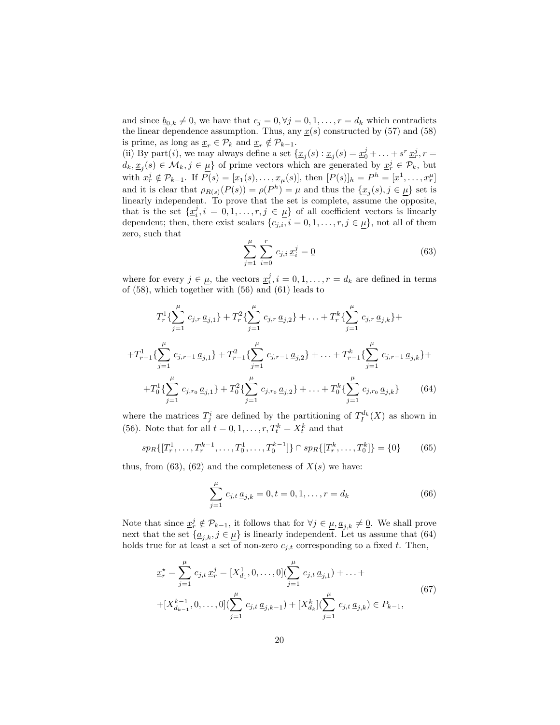and since  $\underline{b}_{0,k} \neq 0$ , we have that  $c_j = 0, \forall j = 0, 1, \ldots, r = d_k$  which contradicts the linear dependence assumption. Thus, any  $x(s)$  constructed by (57) and (58) is prime, as long as  $\underline{x}_r \in \mathcal{P}_k$  and  $\underline{x}_r \notin \mathcal{P}_{k-1}$ .

(ii) By part(*i*), we may always define a set  $\{\underline{x}_j(s) : \underline{x}_j(s) = \underline{x}_0^j + \ldots + s^r \,\underline{x}_r^j, r =$  $d_k, \underline{x}_j(s) \in \mathcal{M}_k, j \in \underline{\mu}$  of prime vectors which are generated by  $\underline{x}_r^j \in \mathcal{P}_k$ , but with  $\underline{x}_r^j \notin \mathcal{P}_{k-1}$ . If  $P(s) = [\underline{x}_1(s), \ldots, \underline{x}_{\mu}(s)],$  then  $[P(s)]_h = P^h = [\underline{x}^1, \ldots, \underline{x}_r^{\mu}]$ and it is clear that  $\rho_{R(s)}(P(s)) = \rho(P^h) = \mu$  and thus the  $\{\underline{x}_j(s), j \in \underline{\mu}\}\$  set is linearly independent. To prove that the set is complete, assume the opposite, that is the set  $\{\underline{x}_i^j, i = 0, 1, \ldots, r, j \in \underline{\mu}\}\$  of all coefficient vectors is linearly dependent; then, there exist scalars  $\{c_{j,i}, i = 0, 1, \ldots, r, j \in \mu\}$ , not all of them zero, such that

$$
\sum_{j=1}^{\mu} \sum_{i=0}^{r} c_{j,i} \underline{x}_i^j = \underline{0}
$$
 (63)

where for every  $j \in \underline{\mu}$ , the vectors  $\underline{x}_i^j, i = 0, 1, \ldots, r = d_k$  are defined in terms of (58), which together with (56) and (61) leads to

$$
T_r^1\left\{\sum_{j=1}^{\mu} c_{j,r} \underline{a}_{j,1}\right\} + T_r^2\left\{\sum_{j=1}^{\mu} c_{j,r} \underline{a}_{j,2}\right\} + \ldots + T_r^k\left\{\sum_{j=1}^{\mu} c_{j,r} \underline{a}_{j,k}\right\} +
$$
  
+
$$
T_{r-1}^1\left\{\sum_{j=1}^{\mu} c_{j,r-1} \underline{a}_{j,1}\right\} + T_{r-1}^2\left\{\sum_{j=1}^{\mu} c_{j,r-1} \underline{a}_{j,2}\right\} + \ldots + T_{r-1}^k\left\{\sum_{j=1}^{\mu} c_{j,r-1} \underline{a}_{j,k}\right\} +
$$
  
+
$$
T_0^1\left\{\sum_{j=1}^{\mu} c_{j,r_0} \underline{a}_{j,1}\right\} + T_0^2\left\{\sum_{j=1}^{\mu} c_{j,r_0} \underline{a}_{j,2}\right\} + \ldots + T_0^k\left\{\sum_{j=1}^{\mu} c_{j,r_0} \underline{a}_{j,k}\right\} \qquad (64)
$$

where the matrices  $T_j^i$  are defined by the partitioning of  $T_I^{d_k}(X)$  as shown in (56). Note that for all  $t = 0, 1, \ldots, r, T_t^k = X_t^k$  and that

$$
sp_R\{[T_r^1, \dots, T_r^{k-1}, \dots, T_0^1, \dots, T_0^{k-1}]\} \cap sp_R\{[T_r^k, \dots, T_0^k]\} = \{0\} \tag{65}
$$

thus, from (63), (62) and the completeness of  $X(s)$  we have:

$$
\sum_{j=1}^{\mu} c_{j,t} \underline{a}_{j,k} = 0, t = 0, 1, \dots, r = d_k
$$
 (66)

Note that since  $\underline{x}_r^j \notin \mathcal{P}_{k-1}$ , it follows that for  $\forall j \in \underline{\mu}, \underline{a}_{j,k} \neq \underline{0}$ . We shall prove next that the set  $\{a_{j,k}, j \in \mu\}$  is linearly independent. Let us assume that (64) holds true for at least a set of non-zero  $c_{i,t}$  corresponding to a fixed t. Then,

$$
\underline{x}_{r}^{\star} = \sum_{j=1}^{\mu} c_{j,t} \underline{x}_{r}^{j} = [X_{d_{1}}^{1}, 0, \dots, 0] (\sum_{j=1}^{\mu} c_{j,t} \underline{a}_{j,1}) + \dots +
$$
  
+ 
$$
[X_{d_{k-1}}^{k-1}, 0, \dots, 0] (\sum_{j=1}^{\mu} c_{j,t} \underline{a}_{j,k-1}) + [X_{d_{k}}^{k}] (\sum_{j=1}^{\mu} c_{j,t} \underline{a}_{j,k}) \in P_{k-1},
$$
  
(67)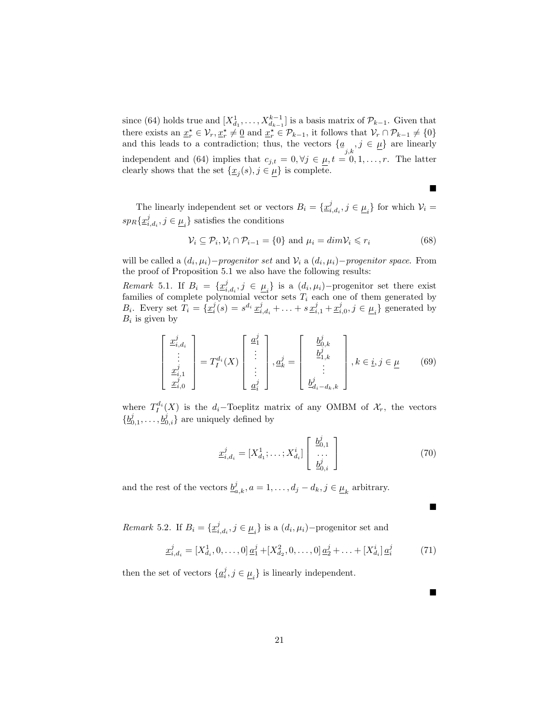since (64) holds true and  $[X_{d_1}^1, \ldots, X_{d_{k-1}}^{k-1}]$  is a basis matrix of  $\mathcal{P}_{k-1}$ . Given that there exists an  $\underline{x}_r^* \in \mathcal{V}_r, \underline{x}_r^* \neq \underline{0}$  and  $\underline{x}_r^* \in \mathcal{P}_{k-1}$ , it follows that  $\mathcal{V}_r \cap \mathcal{P}_{k-1} \neq \{0\}$ and this leads to a contradiction; thus, the vectors  $\{\underline{a}_{j,k}, j \in \underline{\mu}\}\$  are linearly independent and (64) implies that  $c_{j,t} = 0, \forall j \in \mu, t = 0, 1, \ldots, r$ . The latter clearly shows that the set  $\{\underline{x}_j(s), j \in \underline{\mu}\}\$ is complete.

The linearly independent set or vectors  $B_i = \{ \underline{x}_{i,d_i}^j, j \in \underline{\mu}_i \}$  for which  $\mathcal{V}_i$  $sp_R\{\underline{x}^j_{i,d_i}, j \in \underline{\mu}_i\}$  satisfies the conditions

$$
\mathcal{V}_i \subseteq \mathcal{P}_i, \mathcal{V}_i \cap \mathcal{P}_{i-1} = \{0\} \text{ and } \mu_i = \dim \mathcal{V}_i \leq r_i \tag{68}
$$

 $\blacksquare$ 

 $\blacksquare$ 

 $\blacksquare$ 

will be called a  $(d_i, \mu_i)$ -progenitor set and  $\mathcal{V}_i$  a  $(d_i, \mu_i)$ -progenitor space. From the proof of Proposition 5.1 we also have the following results:

Remark 5.1. If  $B_i = \{x_{i,d_i}^j, j \in \underline{\mu}_i\}$  is a  $(d_i, \mu_i)$ -progenitor set there exist families of complete polynomial vector sets  $T_i$  each one of them generated by  $B_i$ . Every set  $T_i = \{x_i^j(s) = s^{d_i} x_{i,d_i}^j + \ldots + s x_{i,1}^j + x_{i,0}^j, j \in \mu_i\}$  generated by  $B_i$  is given by

$$
\begin{bmatrix} \underline{x}_{i,d_i}^j \\ \vdots \\ \underline{x}_{i,1}^j \\ \underline{x}_{i,0}^j \end{bmatrix} = T_I^{d_i}(X) \begin{bmatrix} \underline{a}_1^j \\ \vdots \\ \vdots \\ \underline{a}_i^j \end{bmatrix}, \underline{a}_k^j = \begin{bmatrix} \underline{b}_{0,k}^j \\ \underline{b}_{1,k}^j \\ \vdots \\ \underline{b}_{d_i-d_k,k}^j \end{bmatrix}, k \in \underline{i}, j \in \underline{\mu} \qquad (69)
$$

where  $T_I^{d_i}(X)$  is the d<sub>i</sub>-Toeplitz matrix of any OMBM of  $\mathcal{X}_r$ , the vectors  $\{\underline{b}_{0,1}^j,\ldots,\underline{b}_{0,i}^j\}$  are uniquely defined by

$$
\underline{x}_{i,d_i}^j = [X_{d_1}^1; \dots; X_{d_i}^i] \begin{bmatrix} \underline{b}_{0,1}^j \\ \dots \\ \underline{b}_{0,i}^j \end{bmatrix}
$$
(70)

and the rest of the vectors  $\underline{b}_{a,k}^j$ ,  $a = 1, \ldots, d_j - d_k$ ,  $j \in \underline{\mu}_k$  arbitrary.

*Remark* 5.2. If  $B_i = \{ \underline{x}_{i,d_i}^j, j \in \underline{\mu}_i \}$  is a  $(d_i, \mu_i)$ -progenitor set and

$$
\underline{x}_{i,d_i}^j = [X_{d_i}^1, 0, \dots, 0] \underline{a}_1^j + [X_{d_2}^2, 0, \dots, 0] \underline{a}_2^j + \dots + [X_{d_i}^i] \underline{a}_i^j \tag{71}
$$

then the set of vectors  $\{ \underline{a}_i^j, j \in \underline{\mu}_i \}$  is linearly independent.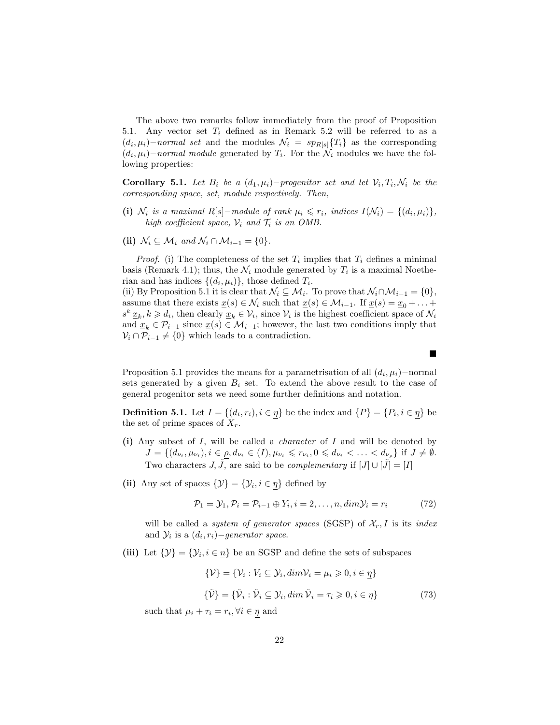The above two remarks follow immediately from the proof of Proposition 5.1. Any vector set  $T_i$  defined as in Remark 5.2 will be referred to as a  $(d_i, \mu_i)$ –normal set and the modules  $\mathcal{N}_i = sp_{R[s]}{T_i}$  as the corresponding  $(d_i, \mu_i)$ –normal module generated by  $T_i$ . For the  $\mathcal{N}_i$  modules we have the following properties:

**Corollary 5.1.** Let  $B_i$  be a  $(d_1, \mu_i)$ -progenitor set and let  $V_i, T_i, N_i$  be the corresponding space, set, module respectively. Then,

- (i)  $\mathcal{N}_i$  is a maximal R[s]-module of rank  $\mu_i \leqslant r_i$ , indices  $I(\mathcal{N}_i) = \{(d_i, \mu_i)\},$ high coefficient space,  $\mathcal{V}_i$  and  $\mathcal{T}_i$  is an OMB.
- (ii)  $\mathcal{N}_i \subseteq \mathcal{M}_i$  and  $\mathcal{N}_i \cap \mathcal{M}_{i-1} = \{0\}.$

*Proof.* (i) The completeness of the set  $T_i$  implies that  $T_i$  defines a minimal basis (Remark 4.1); thus, the  $\mathcal{N}_i$  module generated by  $T_i$  is a maximal Noetherian and has indices  $\{(d_i, \mu_i)\}\$ , those defined  $T_i$ .

(ii) By Proposition 5.1 it is clear that  $\mathcal{N}_i \subseteq \mathcal{M}_i$ . To prove that  $\mathcal{N}_i \cap \mathcal{M}_{i-1} = \{0\},$ assume that there exists  $\underline{x}(s) \in \mathcal{N}_i$  such that  $\underline{x}(s) \in \mathcal{M}_{i-1}$ . If  $\underline{x}(s) = \underline{x}_0 + \ldots +$  $s^k \underline{x}_k, k \geq d_i$ , then clearly  $\underline{x}_k \in V_i$ , since  $V_i$  is the highest coefficient space of  $\mathcal{N}_i$ and  $\underline{x}_k \in \mathcal{P}_{i-1}$  since  $\underline{x}(s) \in \mathcal{M}_{i-1}$ ; however, the last two conditions imply that  $\mathcal{V}_i \cap \mathcal{P}_{i-1} \neq \{0\}$  which leads to a contradiction.

Proposition 5.1 provides the means for a parametrisation of all  $(d_i, \mu_i)$ –normal sets generated by a given  $B_i$  set. To extend the above result to the case of general progenitor sets we need some further definitions and notation.

**Definition 5.1.** Let  $I = \{(d_i, r_i), i \in \eta\}$  be the index and  $\{P\} = \{P_i, i \in \eta\}$  be the set of prime spaces of  $X_r$ .

- (i) Any subset of  $I$ , will be called a *character* of  $I$  and will be denoted by  $J = \{(d_{\nu_i}, \mu_{\nu_i}), i \in \rho, d_{\nu_i} \in (I), \mu_{\nu_i} \leq r_{\nu_i}, 0 \leq d_{\nu_i} < \ldots < d_{\nu_\rho}\}\$ if  $J \neq \emptyset$ . Two characters J,  $\tilde{J}$ , are said to be *complementary* if  $[J] \cup [\tilde{J}] = [I]$
- (ii) Any set of spaces  $\{\mathcal{Y}\} = \{\mathcal{Y}_i, i \in \eta\}$  defined by

$$
\mathcal{P}_1 = \mathcal{Y}_1, \mathcal{P}_i = \mathcal{P}_{i-1} \oplus Y_i, i = 2, \dots, n, \dim \mathcal{Y}_i = r_i \tag{72}
$$

will be called a *system of generator spaces* (SGSP) of  $\mathcal{X}_r$ , I is its *index* and  $\mathcal{Y}_i$  is a  $(d_i, r_i)$  – generator space.

(iii) Let  $\{\mathcal{Y}\} = \{\mathcal{Y}_i, i \in \underline{n}\}\$  be an SGSP and define the sets of subspaces

$$
\{\mathcal{V}\} = \{\mathcal{V}_i : V_i \subseteq \mathcal{Y}_i, \dim \mathcal{V}_i = \mu_i \geq 0, i \in \underline{\eta}\}\
$$

$$
\{\tilde{\mathcal{V}}\} = \{\tilde{\mathcal{V}}_i : \tilde{\mathcal{V}}_i \subseteq \mathcal{Y}_i, \dim \tilde{\mathcal{V}}_i = \tau_i \geq 0, i \in \underline{\eta}\}\
$$
(73)

such that  $\mu_i + \tau_i = r_i, \forall i \in \eta$  and

■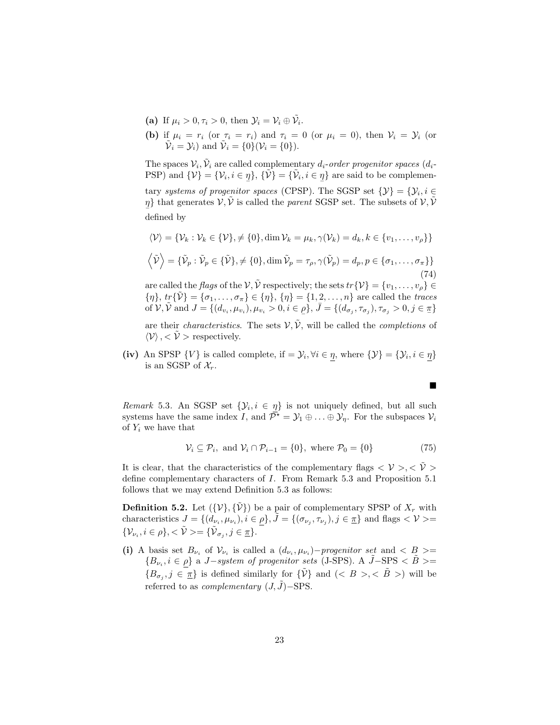- (a) If  $\mu_i > 0, \tau_i > 0$ , then  $\mathcal{Y}_i = \mathcal{V}_i \oplus \tilde{\mathcal{V}}_i$ .
- (b) if  $\mu_i = r_i$  (or  $\tau_i = r_i$ ) and  $\tau_i = 0$  (or  $\mu_i = 0$ ), then  $\mathcal{V}_i = \mathcal{Y}_i$  (or  $\tilde{\mathcal{V}}_i = \mathcal{Y}_i$  and  $\tilde{\mathcal{V}}_i = \{0\}(\mathcal{V}_i = \{0\}).$

The spaces  $\mathcal{V}_i$ ,  $\tilde{\mathcal{V}}_i$  are called complementary  $d_i$ -order progenitor spaces  $(d_i$ -PSP) and  $\{\mathcal{V}\} = {\{\mathcal{V}_i, i \in \eta\}}, \{\tilde{\mathcal{V}}\} = {\{\tilde{\mathcal{V}}_i, i \in \eta\}}$  are said to be complementary systems of progenitor spaces (CPSP). The SGSP set  $\{\mathcal{Y}\} = \{\mathcal{Y}_i, i \in$ 

 $\eta$ } that generates  $\mathcal{V}, \tilde{\mathcal{V}}$  is called the *parent* SGSP set. The subsets of  $\mathcal{V}, \tilde{\mathcal{V}}$ defined by

$$
\langle \mathcal{V} \rangle = \{ \mathcal{V}_k : \mathcal{V}_k \in \{ \mathcal{V} \}, \neq \{ 0 \}, \dim \mathcal{V}_k = \mu_k, \gamma(\mathcal{V}_k) = d_k, k \in \{ v_1, \dots, v_\rho \} \}
$$
  

$$
\langle \tilde{\mathcal{V}} \rangle = \{ \tilde{\mathcal{V}}_p : \tilde{\mathcal{V}}_p \in \{ \tilde{\mathcal{V}} \}, \neq \{ 0 \}, \dim \tilde{\mathcal{V}}_p = \tau_\rho, \gamma(\tilde{\mathcal{V}}_p) = d_p, p \in \{ \sigma_1, \dots, \sigma_\pi \} \}
$$
(74)

are called the *flags* of the  $V$ ,  $\tilde{V}$  respectively; the sets  $tr{V} = {v_1, \ldots, v_p} \in$  ${\eta}, {\text{tr}}\{\tilde{\nu}\} = {\sigma_1, \ldots, \sigma_{\pi}} \in {\eta}, {\eta} = {1, 2, \ldots, n}$  are called the traces of  $V$ ,  $\tilde{V}$  and  $J = \{(d_{v_i}, \mu_{v_i}), \mu_{v_i} > 0, i \in \rho\}, \bar{J} = \{(d_{\sigma_j}, \tau_{\sigma_j}), \tau_{\sigma_j} > 0, j \in \pi\}$ 

are their *characteristics*. The sets  $V, \tilde{V}$ , will be called the *completions* of  $\langle \mathcal{V} \rangle$ ,  $\langle \mathcal{V} \rangle$  respectively.

(iv) An SPSP  $\{V\}$  is called complete, if  $= \mathcal{Y}_i, \forall i \in \eta$ , where  $\{\mathcal{Y}\} = \{\mathcal{Y}_i, i \in \eta\}$ is an SGSP of  $\mathcal{X}_r$ .

Remark 5.3. An SGSP set  $\{\mathcal{Y}_i, i \in \eta\}$  is not uniquely defined, but all such systems have the same index I, and  $\overline{\mathcal{P}}^* = \mathcal{Y}_1 \oplus \ldots \oplus \mathcal{Y}_\eta$ . For the subspaces  $\mathcal{V}_i$ of  $Y_i$  we have that

$$
\mathcal{V}_i \subseteq \mathcal{P}_i, \text{ and } \mathcal{V}_i \cap \mathcal{P}_{i-1} = \{0\}, \text{ where } \mathcal{P}_0 = \{0\} \tag{75}
$$

It is clear, that the characteristics of the complementary flags  $\langle V \rangle, \langle \tilde{V} \rangle$ define complementary characters of I. From Remark 5.3 and Proposition 5.1 follows that we may extend Definition 5.3 as follows:

**Definition 5.2.** Let  $({\mathcal{V}}, {\tilde{\mathcal{V}}})$  be a pair of complementary SPSP of  $X_r$  with characteristics  $J = \{ (d_{\nu_i}, \mu_{\nu_i}), i \in \rho \}, \tilde{J} = \{ (\sigma_{\nu_j}, \tau_{\nu_j}), j \in \pi \}$  and flags  $\langle V \rangle$  $\{\mathcal{V}_{\nu_i}, i \in \rho\}, < \tilde{\mathcal{V}} \geq \ \{\tilde{\mathcal{V}}_{\sigma_j}, j \in \underline{\pi}\}.$ 

(i) A basis set  $B_{\nu_i}$  of  $V_{\nu_i}$  is called a  $(d_{\nu_i}, \mu_{\nu_i})$ -progenitor set and  $\langle B \rangle$  =  ${B_{\nu_i}, i \in \rho}$  a J-system of progenitor sets (J-SPS). A  $\tilde{J}$ -SPS <  $\tilde{B}$  >=  ${B_{\sigma_j}, j \in \underline{\pi}}$  is defined similarly for  ${\tilde{\nu}}$  and  $(< B > , < \tilde{B} >$  will be referred to as *complementary*  $(J, \tilde{J})$ −SPS.

 $\blacksquare$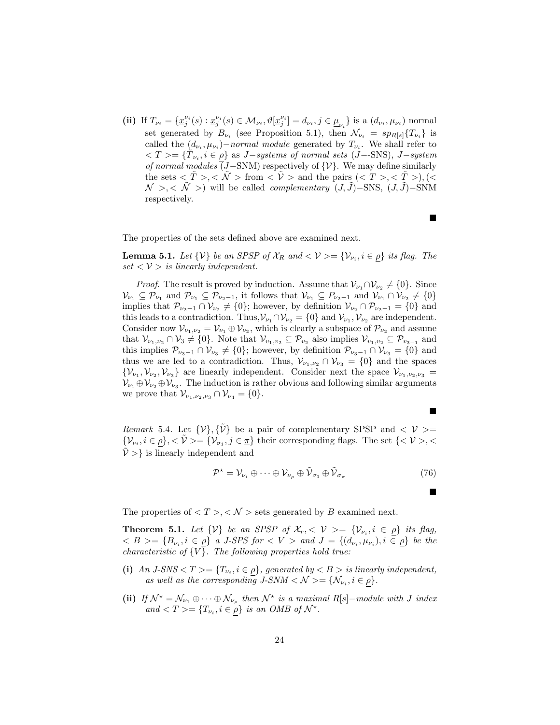(ii) If  $T_{\nu_i} = \{ \underline{x}_j^{\nu_i}(s) : \underline{x}_j^{\nu_i}(s) \in \mathcal{M}_{\nu_i}, \vartheta[\underline{x}_j^{\nu_i}] = d_{\nu_i}, j \in \underline{\mu}_{\nu_i} \}$  is a  $(d_{\nu_i}, \mu_{\nu_i})$  normal set generated by  $B_{\nu_i}$  (see Proposition 5.1), then  $\mathcal{N}_{\nu_i} = sp_{R[s]} \{T_{\nu_i}\}\$ is called the  $(d_{\nu_i}, \mu_{\nu_i})$ -normal module generated by  $T_{\nu_i}$ . We shall refer to  $\langle T \rangle = {\{\tilde{T}_{\nu_i}, i \in \rho\}}$  as J-systems of normal sets (J--SNS), J-system of normal modules (J–SNM) respectively of  $\{\mathcal{V}\}\$ . We may define similarly the sets  $\langle \tilde{T} \rangle, \langle \tilde{\mathcal{N}} \rangle$  from  $\langle \tilde{\mathcal{V}} \rangle$  and the pairs  $\langle \langle T \rangle, \langle \tilde{\mathcal{T}} \rangle, \langle \langle \tilde{\mathcal{T}} \rangle \rangle$  $\mathcal{N}$  >, <  $\tilde{\mathcal{N}}$  >) will be called *complementary*  $(J, \tilde{J})$ –SNS,  $(J, \tilde{J})$ –SNM respectively.

The properties of the sets defined above are examined next.

**Lemma 5.1.** Let  $\{V\}$  be an SPSP of  $\mathcal{X}_R$  and  $\langle V \rangle = \{V_{\nu_i}, i \in \rho\}$  its flag. The  $set < V >$  is linearly independent.

*Proof.* The result is proved by induction. Assume that  $\mathcal{V}_{\nu_1} \cap \mathcal{V}_{\nu_2} \neq \{0\}$ . Since  $\mathcal{V}_{\nu_1} \subseteq \mathcal{P}_{\nu_1}$  and  $\mathcal{P}_{\nu_1} \subseteq \mathcal{P}_{\nu_2-1}$ , it follows that  $\mathcal{V}_{\nu_1} \subseteq \mathcal{P}_{\nu_2-1}$  and  $\mathcal{V}_{\nu_1} \cap \mathcal{V}_{\nu_2} \neq \{0\}$ implies that  $\mathcal{P}_{\nu_2-1} \cap \mathcal{V}_{\nu_2} \neq \{0\}$ ; however, by definition  $\mathcal{V}_{\nu_2} \cap \mathcal{P}_{\nu_2-1} = \{0\}$  and this leads to a contradiction. Thus,  $\mathcal{V}_{\nu_1} \cap \mathcal{V}_{\nu_2} = \{0\}$  and  $\mathcal{V}_{\nu_1}, \mathcal{V}_{\nu_2}$  are independent. Consider now  $\mathcal{V}_{\nu_1,\nu_2} = \mathcal{V}_{\nu_1} \oplus \mathcal{V}_{\nu_2}$ , which is clearly a subspace of  $\mathcal{P}_{\nu_2}$  and assume that  $\mathcal{V}_{\nu_1,\nu_2} \cap \mathcal{V}_3 \neq \{0\}$ . Note that  $\mathcal{V}_{\nu_1,\nu_2} \subseteq \mathcal{P}_{\nu_2}$  also implies  $\mathcal{V}_{\nu_1,\nu_2} \subseteq \mathcal{P}_{\nu_{3-1}}$  and this implies  $\mathcal{P}_{\nu_3-1} \cap \mathcal{V}_{\nu_3} \neq \{0\}$ ; however, by definition  $\mathcal{P}_{\nu_3-1} \cap \mathcal{V}_{\nu_3} = \{0\}$  and thus we are led to a contradiction. Thus,  $\mathcal{V}_{\nu_1,\nu_2} \cap \mathcal{V}_{\nu_3} = \{0\}$  and the spaces  $\{\mathcal{V}_{\nu_1},\mathcal{V}_{\nu_2},\mathcal{V}_{\nu_3}\}\$ are linearly independent. Consider next the space  $\mathcal{V}_{\nu_1,\nu_2,\nu_3}$  $\mathcal{V}_{\nu_1} \oplus \mathcal{V}_{\nu_2} \oplus \mathcal{V}_{\nu_3}$ . The induction is rather obvious and following similar arguments we prove that  $\mathcal{V}_{\nu_1,\nu_2,\nu_3} \cap \mathcal{V}_{\nu_4} = \{0\}.$ 

*Remark* 5.4. Let  $\{V\}, \{\tilde{V}\}\$  be a pair of complementary SPSP and  $\langle V \rangle$  =  $\{\mathcal{V}_{\nu_i}, i \in \rho\}, < \tilde{\mathcal{V}}>= \{\mathcal{V}_{\sigma_j}, j \in \underline{\pi}\}\$  their corresponding flags. The set  $\{<\mathcal{V}>, <\$  $\hat{V}$  >} is linearly independent and

$$
\mathcal{P}^{\star} = \mathcal{V}_{\nu_i} \oplus \cdots \oplus \mathcal{V}_{\nu_\rho} \oplus \tilde{\mathcal{V}}_{\sigma_1} \oplus \tilde{\mathcal{V}}_{\sigma_\pi}
$$
\n(76)

The properties of  $\langle T \rangle, \langle N \rangle$  sets generated by B examined next.

**Theorem 5.1.** Let  $\{V\}$  be an SPSP of  $\mathcal{X}_r$ ,  $\langle V \rangle = \{V_{\nu_i}, i \in \rho\}$  its flag,  $\langle B \rangle = \{B_{\nu_i}, i \in \rho\}$  a J-SPS for  $\langle V \rangle$  and  $J = \{(d_{\nu_i}, \mu_{\nu_i}), i \in \rho\}$  be the *characteristic of*  $\{V\}$ . The following properties hold true:

- (i) An  $J\text{-}SNS < T \ge \{T_{\nu_i}, i \in \rho\}$ , generated by  $\langle B \rangle$  is linearly independent, as well as the corresponding  $J-SNM < N > = \{N_{\nu_i}, i \in \rho\}.$
- (ii) If  $\mathcal{N}^* = \mathcal{N}_{\nu_1} \oplus \cdots \oplus \mathcal{N}_{\nu_\rho}$  then  $\mathcal{N}^*$  is a maximal R[s]-module with J index and  $\langle T \rangle = \{T_{\nu_i}, i \in \rho\}$  is an OMB of  $\mathcal{N}^*$ .

 $\blacksquare$ 

■

п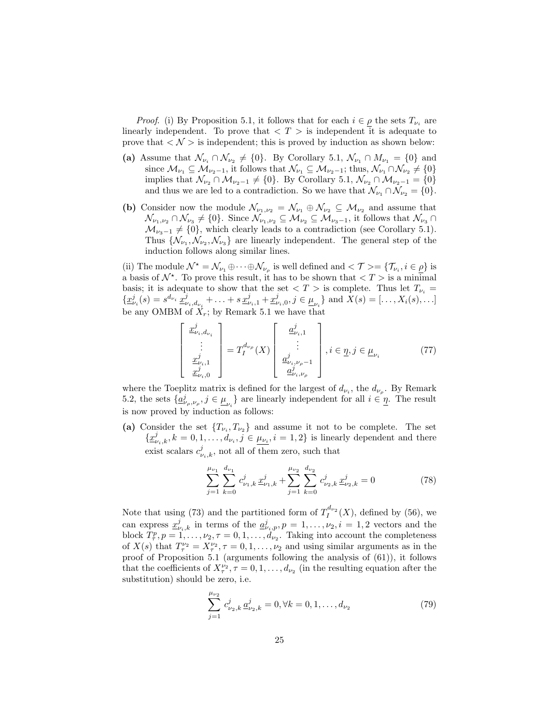*Proof.* (i) By Proposition 5.1, it follows that for each  $i \in \rho$  the sets  $T_{\nu_i}$  are linearly independent. To prove that  $\langle T \rangle$  is independent it is adequate to prove that  $\langle N \rangle$  is independent; this is proved by induction as shown below:

- (a) Assume that  $\mathcal{N}_{\nu_i} \cap \mathcal{N}_{\nu_2} \neq \{0\}$ . By Corollary 5.1,  $\mathcal{N}_{\nu_1} \cap M_{\nu_1} = \{0\}$  and since  $\mathcal{M}_{\nu_1} \subseteq \mathcal{M}_{\nu_2-1}$ , it follows that  $\mathcal{N}_{\nu_1} \subseteq \mathcal{M}_{\nu_2-1}$ ; thus,  $\mathcal{N}_{\nu_1} \cap \mathcal{N}_{\nu_2} \neq \{0\}$ implies that  $\mathcal{N}_{\nu_2} \cap \mathcal{M}_{\nu_2-1} \neq \{0\}$ . By Corollary 5.1,  $\mathcal{N}_{\nu_2} \cap \mathcal{M}_{\nu_2-1} = \{0\}$ and thus we are led to a contradiction. So we have that  $\mathcal{N}_{\nu_1} \cap \mathcal{N}_{\nu_2} = \{0\}.$
- (b) Consider now the module  $\mathcal{N}_{\nu_1,\nu_2} = \mathcal{N}_{\nu_1} \oplus \mathcal{N}_{\nu_2} \subseteq \mathcal{M}_{\nu_2}$  and assume that  $\mathcal{N}_{\nu_1,\nu_2}\cap\mathcal{N}_{\nu_3}\neq\{0\}$ . Since  $\mathcal{N}_{\nu_1,\nu_2}\subseteq\mathcal{M}_{\nu_2}\subseteq\mathcal{M}_{\nu_3-1}$ , it follows that  $\mathcal{N}_{\nu_3}\cap\mathcal{N}_{\nu_4}$  $\mathcal{M}_{\nu_3-1} \neq \{0\}$ , which clearly leads to a contradiction (see Corollary 5.1). Thus  $\{\mathcal{N}_{\nu_1}, \mathcal{N}_{\nu_2}, \mathcal{N}_{\nu_3}\}\$  are linearly independent. The general step of the induction follows along similar lines.

(ii) The module  $\mathcal{N}^* = \mathcal{N}_{\nu_1} \oplus \cdots \oplus \mathcal{N}_{\nu_\rho}$  is well defined and  $\langle \mathcal{T} \rangle = \{ \mathcal{T}_{\nu_i}, i \in \rho \}$  is a basis of  $\mathcal{N}^*$ . To prove this result, it has to be shown that  $\langle T \rangle$  is a minimal basis; it is adequate to show that the set  $\langle T \rangle$  is complete. Thus let  $T_{\nu_i} =$  $\{\underline{x}_{\nu_i}^j(s) = s^{d_{\nu_i}}\,\underline{x}_{\nu_i,d_{\nu_i}}^j + \ldots + s\,\underline{x}_{\nu_i,1}^j + \underline{x}_{\nu_i,0}^j, j \in \underline{\mu}_{\nu_i}\}\$ and  $\overline{X}(s) = [\ldots, X_i(s), \ldots]$ be any OMBM of  $X_r$ ; by Remark 5.1 we have that

$$
\begin{bmatrix} \frac{x_{\nu_i,d_{\nu_i}}^j}{\vdots} \\ \frac{x_{\nu_i,1}^j}{\frac{x_{\nu_i,1}^j}{\ldots}} \end{bmatrix} = T_I^{d_{\nu_\rho}}(X) \begin{bmatrix} \frac{a_{\nu_i,1}^j}{\vdots} \\ \frac{a_{\nu_i,\nu_\rho-1}^j}{\frac{a_{\nu_i,\nu_\rho-1}^j}{\ldots}} \end{bmatrix}, i \in \underline{\eta}, j \in \underline{\mu}_{\nu_i} \tag{77}
$$

where the Toeplitz matrix is defined for the largest of  $d_{\nu_i}$ , the  $d_{\nu_\rho}$ . By Remark 5.2, the sets  $\{\underline{a}^j_{\nu_\rho,\nu_\rho}, j \in \underline{\mu}_{\nu_i}\}$  are linearly independent for all  $i \in \underline{\eta}$ . The result is now proved by induction as follows:

(a) Consider the set  $\{T_{\nu_i}, T_{\nu_2}\}\$  and assume it not to be complete. The set  $\{\underline{x}_{\nu_i,k}^j, k=0,1,\ldots,\widehat{d}_{\nu_i},\widehat{j}\in\underline{\mu_{\nu_i}}, i=1,2\}$  is linearly dependent and there exist scalars  $c_{\nu_i,k}^j$ , not all of them zero, such that

$$
\sum_{j=1}^{\mu_{\nu_1}} \sum_{k=0}^{d_{\nu_1}} c_{\nu_1,k}^j \underline{x}_{\nu_1,k}^j + \sum_{j=1}^{\mu_{\nu_2}} \sum_{k=0}^{d_{\nu_2}} c_{\nu_2,k}^j \underline{x}_{\nu_2,k}^j = 0 \tag{78}
$$

Note that using (73) and the partitioned form of  $T_I^{d_{\nu_2}}(X)$ , defined by (56), we can express  $\underline{x}_{\nu_i,k}^j$  in terms of the  $\underline{a}_{\nu_i,p}^j, p = 1,\ldots,\nu_2, i = 1,2$  vectors and the block  $T^p_\tau, p = 1, \ldots, \nu_2, \tau = 0, 1, \ldots, \tilde{d}_{\nu_2}$ . Taking into account the completeness of  $X(s)$  that  $T^{\nu_2}_{\tau} = X^{\nu_2}_{\tau}$ ,  $\tau = 0, 1, \ldots, \nu_2$  and using similar arguments as in the proof of Proposition 5.1 (arguments following the analysis of (61)), it follows that the coefficients of  $X_{\tau}^{\nu_2}$ ,  $\tau = 0, 1, \ldots, d_{\nu_2}$  (in the resulting equation after the substitution) should be zero, i.e.

$$
\sum_{j=1}^{\mu_{\nu_2}} c_{\nu_2,k}^j \underline{a}_{\nu_2,k}^j = 0, \forall k = 0, 1, \dots, d_{\nu_2}
$$
 (79)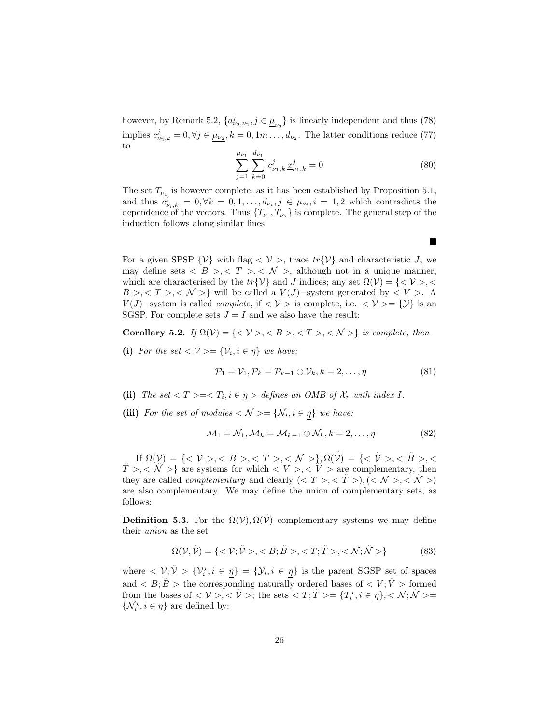however, by Remark 5.2,  $\{\underline{a}_{\nu_2,\nu_2}^j, j \in \underline{\mu}_{\nu_2}\}$  is linearly independent and thus (78) implies  $c_{\nu_2,k}^j = 0, \forall j \in \mu_{\nu_2}, k = 0, 1m \dots, d_{\nu_2}$ . The latter conditions reduce (77) to

$$
\sum_{j=1}^{\mu_{\nu_1}} \sum_{k=0}^{d_{\nu_1}} c_{\nu_1,k}^j \underline{x}_{\nu_1,k}^j = 0
$$
\n(80)

The set  $T_{\nu_1}$  is however complete, as it has been established by Proposition 5.1, and thus  $c_{\nu_i,k}^j = 0, \forall k = 0,1,\ldots,d_{\nu_i}, j \in \mu_{\nu_i}, i = 1,2$  which contradicts the dependence of the vectors. Thus  $\{T_{\nu_1}, T_{\nu_2}\}$  is complete. The general step of the induction follows along similar lines.

For a given SPSP  $\{\mathcal{V}\}\$  with flag  $\langle \mathcal{V}\rangle$ , trace  $tr\{\mathcal{V}\}\$  and characteristic J, we may define sets  $\langle B \rangle, \langle T \rangle, \langle N \rangle$ , although not in a unique manner, which are characterised by the  $tr{V}$  and J indices; any set  $\Omega(V) = \{ \langle V \rangle, \langle V \rangle\}$  $B >, < T >, < N >$ } will be called a  $V(J)$ -system generated by  $< V >$ . A  $V(J)$ –system is called *complete*, if  $\langle V \rangle$  is complete, i.e.  $\langle V \rangle = \{V\}$  is an SGSP. For complete sets  $J = I$  and we also have the result:

Corollary 5.2. If  $\Omega(\mathcal{V}) = \{ \langle \mathcal{V} \rangle, \langle B \rangle, \langle T \rangle, \langle \mathcal{N} \rangle \}$  is complete, then

(i) For the set  $\langle V \rangle = \{V_i, i \in \eta\}$  we have:

$$
\mathcal{P}_1 = \mathcal{V}_1, \mathcal{P}_k = \mathcal{P}_{k-1} \oplus \mathcal{V}_k, k = 2, \dots, \eta
$$
\n(81)

- (ii) The set  $\langle T \rangle = \langle T_i, i \in \eta \rangle$  defines an OMB of  $\mathcal{X}_r$  with index I.
- (iii) For the set of modules  $\langle \mathcal{N} \rangle = \{ \mathcal{N}_i, i \in \eta \}$  we have:

$$
\mathcal{M}_1 = \mathcal{N}_1, \mathcal{M}_k = \mathcal{M}_{k-1} \oplus \mathcal{N}_k, k = 2, \dots, \eta
$$
\n(82)

If  $\Omega(\mathcal{V}) = \{ \langle \mathcal{V} \rangle, \langle \mathcal{B} \rangle, \langle \mathcal{I} \rangle, \langle \mathcal{I} \rangle, \langle \mathcal{N} \rangle, \langle \mathcal{N} \rangle \}, \Omega(\tilde{\mathcal{V}}) = \{ \langle \mathcal{V} \rangle, \langle \mathcal{B} \rangle, \langle \mathcal{I} \rangle, \langle \mathcal{I} \rangle, \langle \mathcal{I} \rangle, \langle \mathcal{I} \rangle, \langle \mathcal{I} \rangle, \langle \mathcal{I} \rangle, \langle \mathcal{I} \rangle, \langle \mathcal{I} \rangle, \langle \mathcal{I} \rangle, \langle \$  $\tilde{T} > \langle \tilde{\mathcal{N}} \rangle$  are systems for which  $\langle V \rangle, \langle \tilde{\mathcal{V}} \rangle$  are complementary, then they are called *complementary* and clearly  $(*T*>, *T*), (*N*>, *N*)$ are also complementary. We may define the union of complementary sets, as follows:

**Definition 5.3.** For the  $\Omega(\mathcal{V}), \Omega(\tilde{\mathcal{V}})$  complementary systems we may define their union as the set

$$
\Omega(\mathcal{V}, \tilde{\mathcal{V}}) = \{ \langle \mathcal{V}; \tilde{\mathcal{V}} \rangle, \langle B; \tilde{B} \rangle, \langle T; \tilde{T} \rangle, \langle \mathcal{N}; \tilde{\mathcal{N}} \rangle \} \tag{83}
$$

where  $\langle \nu_i, \tilde{\nu} \rangle = {\nu_i, i \in \underline{\eta}} = {\nu_i, i \in \underline{\eta}}$  is the parent SGSP set of spaces and  $\langle B; \tilde{B} \rangle$  the corresponding naturally ordered bases of  $\langle V; \tilde{V} \rangle$  formed from the bases of  $\langle V \rangle, \langle \tilde{V} \rangle$ ; the sets  $\langle T; \tilde{T} \rangle = \{T_i^*, i \in \underline{\eta}\}, \langle \mathcal{N}; \tilde{\mathcal{N}} \rangle =$  $\{\mathcal{N}^\star_i, i\in\underline{\eta}\}$  are defined by:

 $\blacksquare$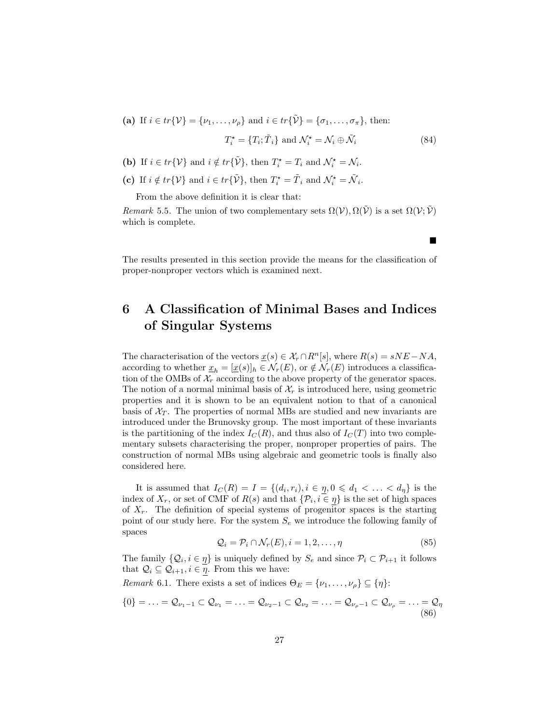(a) If 
$$
i \in tr\{\mathcal{V}\} = \{\nu_1, ..., \nu_\rho\}
$$
 and  $i \in tr\{\tilde{\mathcal{V}}\} = \{\sigma_1, ..., \sigma_\pi\}$ , then:  

$$
T_i^* = \{T_i; \tilde{T}_i\} \text{ and } \mathcal{N}_i^* = \mathcal{N}_i \oplus \tilde{\mathcal{N}}_i
$$
(84)

- (b) If  $i \in tr\{V\}$  and  $i \notin tr\{\tilde{\mathcal{V}}\}$ , then  $T_i^* = T_i$  and  $\mathcal{N}_i^* = \mathcal{N}_i$ .
- (c) If  $i \notin tr\{V\}$  and  $i \in tr\{\tilde{V}\}\$ , then  $T_i^* = \tilde{T}_i$  and  $\mathcal{N}_i^* = \tilde{\mathcal{N}}_i$ .

From the above definition it is clear that:

Remark 5.5. The union of two complementary sets  $\Omega(V)$ ,  $\Omega(\tilde{V})$  is a set  $\Omega(V;\tilde{V})$ which is complete.

п

The results presented in this section provide the means for the classification of proper-nonproper vectors which is examined next.

### 6 A Classification of Minimal Bases and Indices of Singular Systems

The characterisation of the vectors  $\underline{x}(s) \in \mathcal{X}_r \cap R^n[s]$ , where  $R(s) = sNE - NA$ , according to whether  $\underline{x}_h = [\underline{x}(s)]_h \in \mathcal{N}_r(E)$ , or  $\notin \mathcal{N}_r(E)$  introduces a classification of the OMBs of  $\mathcal{X}_r$  according to the above property of the generator spaces. The notion of a normal minimal basis of  $\mathcal{X}_r$  is introduced here, using geometric properties and it is shown to be an equivalent notion to that of a canonical basis of  $X_T$ . The properties of normal MBs are studied and new invariants are introduced under the Brunovsky group. The most important of these invariants is the partitioning of the index  $I_C(R)$ , and thus also of  $I_C(T)$  into two complementary subsets characterising the proper, nonproper properties of pairs. The construction of normal MBs using algebraic and geometric tools is finally also considered here.

It is assumed that  $I_C(R) = I = \{(d_i, r_i), i \in \eta, 0 \leq d_1 < \ldots < d_\eta\}$  is the index of  $X_r$ , or set of CMF of  $R(s)$  and that  $\{\mathcal{P}_i, i \in \eta\}$  is the set of high spaces of  $X_r$ . The definition of special systems of progenitor spaces is the starting point of our study here. For the system  $S_e$  we introduce the following family of spaces

$$
\mathcal{Q}_i = \mathcal{P}_i \cap \mathcal{N}_r(E), i = 1, 2, \dots, \eta
$$
\n
$$
(85)
$$

The family  $\{Q_i, i \in \eta\}$  is uniquely defined by  $S_e$  and since  $\mathcal{P}_i \subset \mathcal{P}_{i+1}$  it follows that  $\mathcal{Q}_i \subseteq \mathcal{Q}_{i+1}, i \in \overline{\eta}$ . From this we have:

Remark 6.1. There exists a set of indices  $\Theta_E = {\nu_1, \ldots, \nu_\rho} \subseteq {\eta}$ :

$$
\{0\}=\ldots=\mathcal{Q}_{\nu_1-1}\subset\mathcal{Q}_{\nu_1}=\ldots=\mathcal{Q}_{\nu_2-1}\subset\mathcal{Q}_{\nu_2}=\ldots=\mathcal{Q}_{\nu_\rho-1}\subset\mathcal{Q}_{\nu_\rho}=\ldots=\mathcal{Q}_{\eta}
$$
\n(86)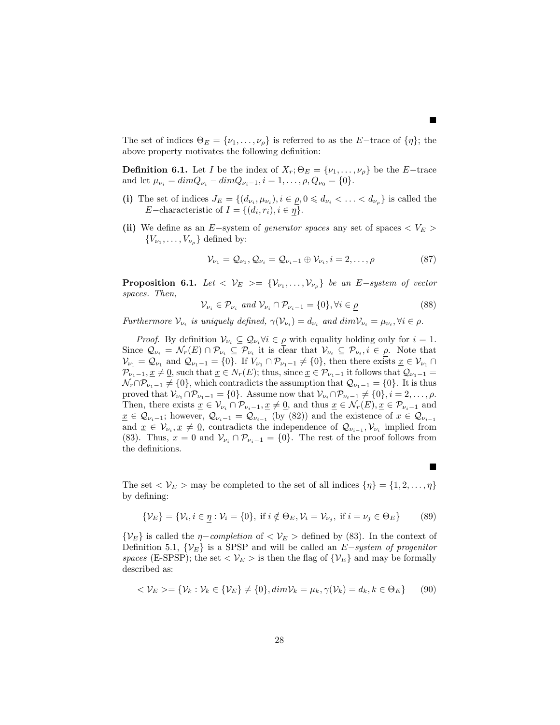The set of indices  $\Theta_E = \{\nu_1, \ldots, \nu_\rho\}$  is referred to as the E−trace of  $\{\eta\}$ ; the above property motivates the following definition:

**Definition 6.1.** Let I be the index of  $X_r$ ;  $\Theta_E = {\nu_1, \ldots, \nu_{\rho}}$  be the E−trace and let  $\mu_{\nu_i} = \dim Q_{\nu_i} - \dim Q_{\nu_{i-1}}, i = 1, \ldots, \rho, Q_{\nu_0} = \{0\}.$ 

- (i) The set of indices  $J_E = \{(d_{\nu_i}, \mu_{\nu_i}), i \in \rho, 0 \leq d_{\nu_i} < \ldots < d_{\nu_\rho}\}\)$  is called the E−characteristic of  $I = \{(d_i, r_i), i \in \eta\}.$
- (ii) We define as an E–system of generator spaces any set of spaces  $\langle V_E \rangle$  ${V_{\nu_1}, \ldots, V_{\nu_\rho}}$  defined by:

$$
\mathcal{V}_{\nu_1} = \mathcal{Q}_{\nu_1}, \mathcal{Q}_{\nu_i} = \mathcal{Q}_{\nu_i - 1} \oplus \mathcal{V}_{\nu_i}, i = 2, \dots, \rho \tag{87}
$$

 $\blacksquare$ 

 $\blacksquare$ 

**Proposition 6.1.** Let  $\langle V_E \rangle = \{V_{\nu_1}, \ldots, V_{\nu_p}\}\$ be an E−system of vector spaces. Then,

$$
\mathcal{V}_{\nu_i} \in \mathcal{P}_{\nu_i} \text{ and } \mathcal{V}_{\nu_i} \cap \mathcal{P}_{\nu_i - 1} = \{0\}, \forall i \in \underline{\rho} \tag{88}
$$

Furthermore  $\mathcal{V}_{\nu_i}$  is uniquely defined,  $\gamma(\mathcal{V}_{\nu_i}) = d_{\nu_i}$  and  $dim \mathcal{V}_{\nu_i} = \mu_{\nu_i}, \forall i \in \rho$ .

*Proof.* By definition  $V_{\nu_i} \subseteq Q_{\nu_i} \forall i \in \rho$  with equality holding only for  $i = 1$ . Since  $\mathcal{Q}_{\nu_i} = \mathcal{N}_r(E) \cap \mathcal{P}_{\nu_i} \subseteq \mathcal{P}_{\nu_i}$  it is clear that  $\mathcal{V}_{\nu_i} \subseteq \mathcal{P}_{\nu_i}, i \in \rho$ . Note that  $\mathcal{V}_{\nu_1} = \mathcal{Q}_{\nu_1}$  and  $\mathcal{Q}_{\nu_1-1} = \{0\}$ . If  $V_{\nu_1} \cap \mathcal{P}_{\nu_1-1} \neq \{0\}$ , then there exists  $\underline{x} \in \mathcal{V}_{\nu_1} \cap$  $\mathcal{P}_{\nu_1-1}, \underline{x} \neq \underline{0}$ , such that  $\underline{x} \in N_r(E)$ ; thus, since  $\underline{x} \in \mathcal{P}_{\nu_1-1}$  it follows that  $\mathcal{Q}_{\nu_1-1} =$  $\mathcal{N}_r \cap \mathcal{P}_{\nu_1-1} \neq \{0\}$ , which contradicts the assumption that  $\mathcal{Q}_{\nu_1-1} = \{0\}$ . It is thus proved that  $\mathcal{V}_{\nu_1} \cap \mathcal{P}_{\nu_1-1} = \{0\}$ . Assume now that  $\mathcal{V}_{\nu_i} \cap \mathcal{P}_{\nu_i-1} \neq \{0\}, i = 2, \ldots, \rho$ . Then, there exists  $\underline{x} \in \mathcal{V}_{\nu_i} \cap \mathcal{P}_{\nu_i-1}, \underline{x} \neq \underline{0}$ , and thus  $\underline{x} \in \mathcal{N}_r(E), \underline{x} \in \mathcal{P}_{\nu_i-1}$  and  $\underline{x} \in \mathcal{Q}_{\nu_i-1}$ ; however,  $\mathcal{Q}_{\nu_i-1} = \mathcal{Q}_{\nu_{i-1}}$  (by (82)) and the existence of  $x \in \mathcal{Q}_{\nu_{i-1}}$ and  $\underline{x} \in \mathcal{V}_{\nu_i}, \underline{x} \neq \underline{0}$ , contradicts the independence of  $\mathcal{Q}_{\nu_{i-1}}, \mathcal{V}_{\nu_i}$  implied from (83). Thus,  $\underline{x} = \underline{0}$  and  $V_{\nu_i} \cap \mathcal{P}_{\nu_i-1} = \{0\}$ . The rest of the proof follows from the definitions.

The set  $\langle V_E \rangle$  may be completed to the set of all indices  $\{\eta\} = \{1, 2, \ldots, \eta\}$ by defining:

$$
\{\mathcal{V}_E\} = \{\mathcal{V}_i, i \in \underline{\eta} : \mathcal{V}_i = \{0\}, \text{ if } i \notin \Theta_E, \mathcal{V}_i = \mathcal{V}_{\nu_j}, \text{ if } i = \nu_j \in \Theta_E\} \tag{89}
$$

 $\{\mathcal{V}_E\}$  is called the *η*−*completion* of <  $\mathcal{V}_E$  > defined by (83). In the context of Definition 5.1,  $\{\mathcal{V}_E\}$  is a SPSP and will be called an E–system of progenitor spaces (E-SPSP); the set  $\langle V_E \rangle$  is then the flag of  $\{V_E\}$  and may be formally described as:

$$
\langle V_E \rangle = \{ V_k : V_k \in \{ V_E \} \neq \{ 0 \}, \dim V_k = \mu_k, \gamma(V_k) = d_k, k \in \Theta_E \} \qquad (90)
$$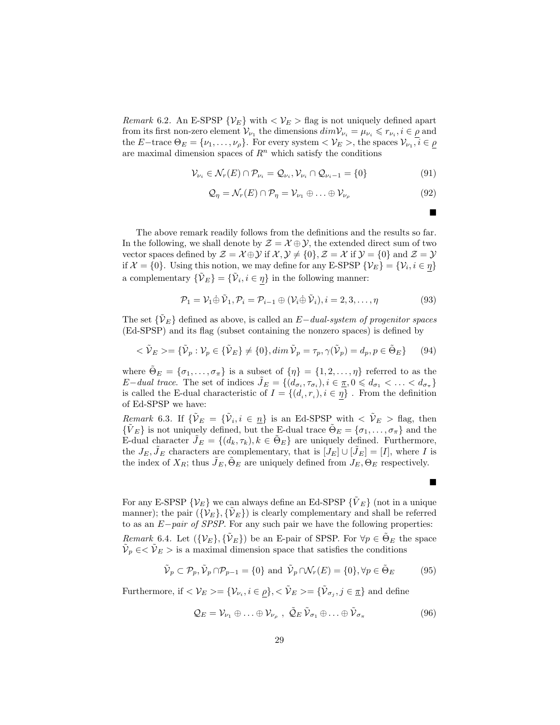*Remark* 6.2. An E-SPSP  $\{\mathcal{V}_E\}$  with  $\langle \mathcal{V}_E \rangle$  flag is not uniquely defined apart from its first non-zero element  $\mathcal{V}_{\nu_1}$  the dimensions  $dim \mathcal{V}_{\nu_i} = \mu_{\nu_i} \leq r_{\nu_i}, i \in \rho$  and the E−trace  $\Theta_E = {\nu_1, \ldots, \nu_\rho}$ . For every system  $\langle \mathcal{V}_E \rangle$ , the spaces  $\mathcal{V}_{\nu_1}, i \in \rho$ are maximal dimension spaces of  $R<sup>n</sup>$  which satisfy the conditions

$$
\mathcal{V}_{\nu_i} \in \mathcal{N}_r(E) \cap \mathcal{P}_{\nu_i} = \mathcal{Q}_{\nu_i}, \mathcal{V}_{\nu_i} \cap \mathcal{Q}_{\nu_i - 1} = \{0\}
$$
\n
$$
(91)
$$

$$
\mathcal{Q}_{\eta} = \mathcal{N}_r(E) \cap \mathcal{P}_{\eta} = \mathcal{V}_{\nu_1} \oplus \ldots \oplus \mathcal{V}_{\nu_\rho}
$$
\n(92)

The above remark readily follows from the definitions and the results so far. In the following, we shall denote by  $\mathcal{Z} = \mathcal{X} \oplus \mathcal{Y}$ , the extended direct sum of two vector spaces defined by  $\mathcal{Z} = \mathcal{X} \oplus \mathcal{Y}$  if  $\mathcal{X}, \mathcal{Y} \neq \{0\}, \mathcal{Z} = \mathcal{X}$  if  $\mathcal{Y} = \{0\}$  and  $\mathcal{Z} = \mathcal{Y}$ if  $\mathcal{X} = \{0\}$ . Using this notion, we may define for any E-SPSP  $\{\mathcal{V}_E\} = \{\mathcal{V}_i, i \in \eta\}$ a complementary  $\{\tilde{\mathcal{V}}_E\} = \{\tilde{\mathcal{V}}_i, i \in \eta\}$  in the following manner:

$$
\mathcal{P}_1 = \mathcal{V}_1 \oplus \tilde{\mathcal{V}}_1, \mathcal{P}_i = \mathcal{P}_{i-1} \oplus (\mathcal{V}_i \oplus \tilde{\mathcal{V}}_i), i = 2, 3, \dots, \eta
$$
\n(93)

The set  $\{V_{E}\}\$  defined as above, is called an  $E-dual-system$  of progenitor spaces (Ed-SPSP) and its flag (subset containing the nonzero spaces) is defined by

$$
\langle \tilde{\mathcal{V}}_E \rangle = \{ \tilde{\mathcal{V}}_p : \mathcal{V}_p \in \{ \tilde{\mathcal{V}}_E \} \neq \{ 0 \}, \dim \tilde{\mathcal{V}}_p = \tau_p, \gamma(\tilde{\mathcal{V}}_p) = d_p, p \in \tilde{\Theta}_E \} \tag{94}
$$

where  $\tilde{\Theta}_E = {\sigma_1, \ldots, \sigma_{\pi}}$  is a subset of  ${\eta} = {1, 2, \ldots, \eta}$  referred to as the E-dual trace. The set of indices  $\tilde{J}_E = \{ (d_{\sigma_i}, \tau_{\sigma_i}), i \in \pi, 0 \leqslant d_{\sigma_1} < \ldots < d_{\sigma_{\pi}} \}$ is called the E-dual characteristic of  $I = \{(d_i, r_i), i \in \eta\}$ . From the definition of Ed-SPSP we have:

*Remark* 6.3. If  $\{\tilde{\mathcal{V}}_E = \{\tilde{\mathcal{V}}_i, i \in \underline{n}\}\$ is an Ed-SPSP with  $\langle \tilde{\mathcal{V}}_E \rangle$  flag, then  ${\{\tilde{V}_E\}}$  is not uniquely defined, but the E-dual trace  $\tilde{\Theta}_E = {\{\sigma_1, \ldots, \sigma_{\pi}\}}$  and the E-dual character  $\tilde{J}_E = \{(d_k, \tau_k), k \in \tilde{\Theta}_E\}$  are uniquely defined. Furthermore, the  $J_E, J_E$  characters are complementary, that is  $[J_E] \cup [J_E] = [I]$ , where I is the index of  $X_R$ ; thus  $\tilde{J}_E$ ,  $\tilde{\Theta}_E$  are uniquely defined from  $J_E$ ,  $\Theta_E$  respectively.

For any E-SPSP  $\{\mathcal{V}_E\}$  we can always define an Ed-SPSP  $\{\tilde{V}_E\}$  (not in a unique manner); the pair  $({\{\mathcal{V}_E\}}, {\{\tilde{\mathcal{V}}_E\}})$  is clearly complementary and shall be referred to as an E−pair of SPSP. For any such pair we have the following properties: *Remark* 6.4. Let  $({\{\mathcal{V}_E\}}, {\{\tilde{\mathcal{V}}_E\}})$  be an E-pair of SPSP. For  $\forall p \in {\tilde{\Theta}_E}$  the space  $\tilde{\mathcal{V}}_p \in \langle \tilde{\mathcal{V}}_E \rangle$  is a maximal dimension space that satisfies the conditions

$$
\tilde{\mathcal{V}}_p \subset \mathcal{P}_p, \tilde{\mathcal{V}}_p \cap \mathcal{P}_{p-1} = \{0\} \text{ and } \tilde{\mathcal{V}}_p \cap \mathcal{N}_r(E) = \{0\}, \forall p \in \tilde{\Theta}_E \tag{95}
$$

Furthermore, if  $\langle \mathcal{V}_E \rangle = {\mathcal{V}_{\nu_i}, i \in \rho}, \langle \tilde{\mathcal{V}}_E \rangle = {\tilde{\mathcal{V}}}_{\sigma_j}, j \in \underline{\pi}$  and define

$$
\mathcal{Q}_E = \mathcal{V}_{\nu_1} \oplus \ldots \oplus \mathcal{V}_{\nu_\rho} , \ \tilde{\mathcal{Q}}_E \, \tilde{\mathcal{V}}_{\sigma_1} \oplus \ldots \oplus \tilde{\mathcal{V}}_{\sigma_\pi} \tag{96}
$$

 $\blacksquare$ 

■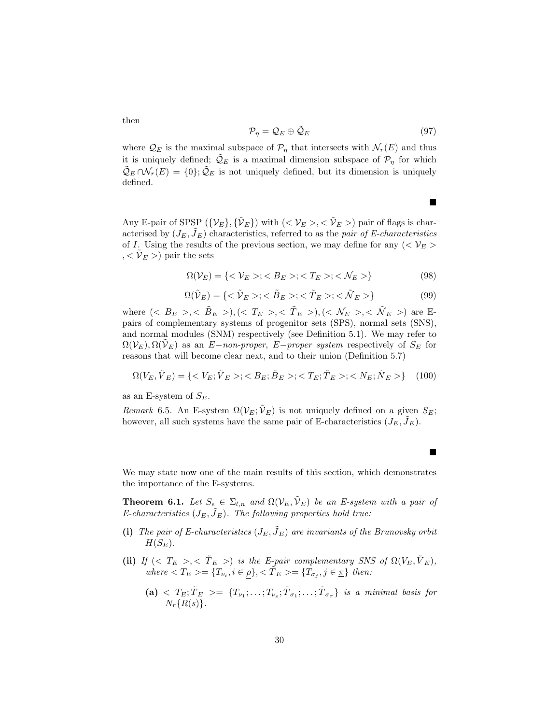$$
\mathcal{P}_{\eta} = \mathcal{Q}_E \oplus \tilde{\mathcal{Q}}_E \tag{97}
$$

 $\blacksquare$ 

 $\blacksquare$ 

where  $\mathcal{Q}_E$  is the maximal subspace of  $\mathcal{P}_\eta$  that intersects with  $\mathcal{N}_r(E)$  and thus it is uniquely defined;  $\mathcal{Q}_E$  is a maximal dimension subspace of  $\mathcal{P}_\eta$  for which  $\mathcal{Q}_E \cap \mathcal{N}_r(E) = \{0\}; \mathcal{Q}_E$  is not uniquely defined, but its dimension is uniquely defined.

Any E-pair of SPSP  $({\{\mathcal{V}_E\}, {\{\tilde{\mathcal{V}}_E\}}})$  with  $( ${\mathcal{V}_E}>, <{\tilde{\mathcal{V}}_E}$  >) pair of flags is char$ acterised by  $(J_E, J_E)$  characteristics, referred to as the pair of E-characteristics of I. Using the results of the previous section, we may define for any  $\langle \langle V_E \rangle$  $, <\hat{\mathcal{V}}_E$  >) pair the sets

$$
\Omega(V_E) = \{ < V_E > ; < B_E > ; < T_E > ; < \mathcal{N}_E > \} \tag{98}
$$

$$
\Omega(\tilde{\mathcal{V}}_E) = \{ \langle \tilde{\mathcal{V}}_E \rangle; \langle \tilde{B}_E \rangle; \langle \tilde{T}_E \rangle; \langle \tilde{\mathcal{N}}_E \rangle \} \tag{99}
$$

where  $(< B_E > , < \tilde{B}_E >), (< T_E > , < \tilde{T}_E >), (< \mathcal{N}_E > , < \tilde{\mathcal{N}}_E >)$  are Epairs of complementary systems of progenitor sets (SPS), normal sets (SNS), and normal modules (SNM) respectively (see Definition 5.1). We may refer to  $\Omega(\mathcal{V}_E), \Omega(\mathcal{V}_E)$  as an E−non-proper, E−proper system respectively of  $S_E$  for reasons that will become clear next, and to their union (Definition 5.7)

$$
\Omega(V_E, \tilde{V}_E) = \{ \langle V_E; \tilde{V}_E \rangle; \langle B_E; \tilde{B}_E \rangle; \langle T_E; \tilde{T}_E \rangle; \langle N_E; \tilde{N}_E \rangle \} \tag{100}
$$

as an E-system of  $S_E$ .

Remark 6.5. An E-system  $\Omega(\mathcal{V}_E;\tilde{\mathcal{V}}_E)$  is not uniquely defined on a given  $S_E$ ; however, all such systems have the same pair of E-characteristics  $(J_E, \tilde{J}_E)$ .

We may state now one of the main results of this section, which demonstrates the importance of the E-systems.

**Theorem 6.1.** Let  $S_e \in \Sigma_{l,n}$  and  $\Omega(\mathcal{V}_E, \tilde{\mathcal{V}}_E)$  be an E-system with a pair of E-characteristics  $(J_E, \tilde{J}_E)$ . The following properties hold true:

- (i) The pair of E-characteristics  $(J_E, \tilde{J}_E)$  are invariants of the Brunovsky orbit  $H(S_E)$ .
- (ii) If  $( $T_E > , < \tilde{T}_E >$ ) is the E-pair complementary SNS of  $\Omega(V_E, \tilde{V}_E)$ ,$ where  $\langle T_E \rangle = \{T_{\nu_i}, i \in \rho\}, \langle \tilde{T}_E \rangle = \{T_{\sigma_j}, j \in \underline{\pi}\}\$  then:

30

 $\mathbf{a}$   $\langle$   $T_E$ ;  $\tilde{T}_E$   $\rangle = \{T_{\nu_1}; \ldots; T_{\nu_p}; \tilde{T}_{\sigma_1}; \ldots; \tilde{T}_{\sigma_{\pi}}\}$  is a minimal basis for  $N_r\{R(s)\}.$ 

then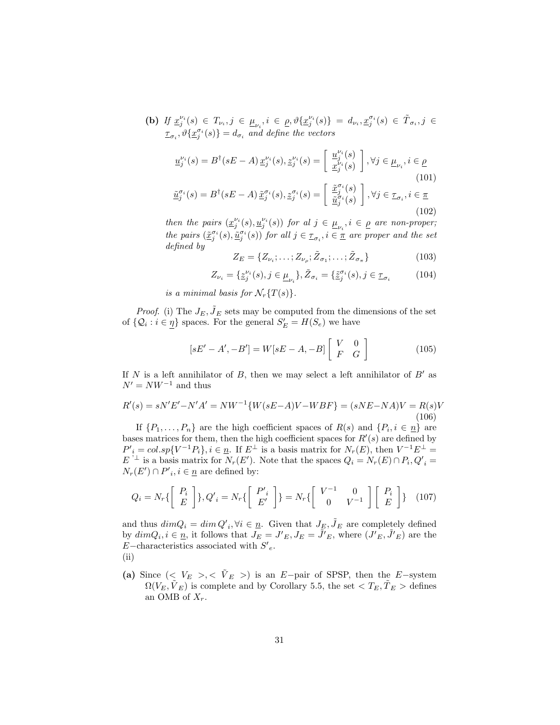(b) If  $\underline{x}_{j}^{\nu_{i}}(s) \in T_{\nu_{i}}, j \in \underline{\mu}_{\nu_{i}}, i \in \underline{\rho}, \vartheta \{ \underline{x}_{j}^{\nu_{i}}(s) \} = d_{\nu_{i}}, \underline{x}_{j}^{\sigma_{i}}(s) \in \tilde{T}_{\sigma_{i}}, j \in$  $\underline{\tau}_{\sigma_i}, \vartheta\{\underline{x}_j^{\sigma_i}(s)\} = d_{\sigma_i}$  and define the vectors

$$
\underline{u}_{j}^{\nu_{i}}(s) = B^{\dagger}(sE - A) \underline{x}_{j}^{\nu_{i}}(s), \underline{z}_{j}^{\nu_{i}}(s) = \begin{bmatrix} \underline{u}_{j}^{\nu_{i}}(s) \\ \underline{x}_{j}^{\nu_{i}}(s) \end{bmatrix}, \forall j \in \underline{\mu}_{\nu_{i}}, i \in \underline{\rho}
$$
\n
$$
(101)
$$
\n
$$
\underline{\tilde{u}}_{j}^{\sigma_{i}}(s) = B^{\dagger}(sE - A) \underline{\tilde{x}}_{j}^{\sigma_{i}}(s), \underline{z}_{j}^{\sigma_{i}}(s) = \begin{bmatrix} \underline{\tilde{x}}_{j}^{\sigma_{i}}(s) \\ \underline{\tilde{u}}_{j}^{\sigma_{i}}(s) \end{bmatrix}, \forall j \in \underline{\tau}_{\sigma_{i}}, i \in \underline{\pi}
$$
\n
$$
(102)
$$

then the pairs  $(\underline{x}_j^{\nu_i}(s), \underline{u}_j^{\nu_i}(s))$  for al  $j \in \underline{\mu}_{\nu_i}$ ,  $i \in \underline{\rho}$  are non-proper; the pairs  $(\underline{\tilde{x}}_j^{\sigma_i}(s), \underline{\tilde{u}}_j^{\sigma_i}(s))$  for all  $j \in \underline{\tau}_{\sigma_i}, i \in \underline{\tau}$  are proper and the set defined by

$$
Z_E = \{Z_{\nu_i}; \dots; Z_{\nu_\rho}; \tilde{Z}_{\sigma_1}; \dots; \tilde{Z}_{\sigma_\pi}\}\
$$
\n(103)

$$
Z_{\nu_i} = \{ \underline{z}_j^{\nu_i}(s), j \in \underline{\mu}_{\nu_i} \}, \tilde{Z}_{\sigma_i} = \{ \tilde{z}_j^{\sigma_i}(s), j \in \underline{\tau}_{\sigma_i} \tag{104}
$$

is a minimal basis for  $\mathcal{N}_r\{T(s)\}.$ 

*Proof.* (i) The  $J_E$ ,  $\tilde{J}_E$  sets may be computed from the dimensions of the set of  $\{Q_i : i \in \underline{\eta}\}$  spaces. For the general  $S'_E = H(S_e)$  we have

$$
[sE'-A', -B'] = W[sE-A, -B] \begin{bmatrix} V & 0 \\ F & G \end{bmatrix}
$$
 (105)

If N is a left annihilator of B, then we may select a left annihilator of  $B'$  as  $N' = NW^{-1}$  and thus

$$
R'(s) = sN'E' - N'A' = NW^{-1}\{W(sE - A)V - WBF\} = (sNE - NA)V = R(s)V
$$
\n(106)

If  $\{P_1, \ldots, P_n\}$  are the high coefficient spaces of  $R(s)$  and  $\{P_i, i \in \underline{n}\}$  are bases matrices for them, then the high coefficient spaces for  $R'(s)$  are defined by  $P'_{i} = col(sp\{V^{-1}P_{i}\}, i \in \underline{n}].$  If  $E^{\perp}$  is a basis matrix for  $N_{r}(E)$ , then  $V^{-1}E^{\perp} =$  $E^{\perp}$  is a basis matrix for  $N_r(E')$ . Note that the spaces  $Q_i = N_r(E) \cap P_i$ ,  $Q'_i =$  $N_r(E') \cap P'_{i}, i \in \underline{n}$  are defined by:

$$
Q_i = N_r \left\{ \begin{bmatrix} P_i \\ E \end{bmatrix} \right\}, Q'_i = N_r \left\{ \begin{bmatrix} P'_i \\ E' \end{bmatrix} \right\} = N_r \left\{ \begin{bmatrix} V^{-1} & 0 \\ 0 & V^{-1} \end{bmatrix} \begin{bmatrix} P_i \\ E \end{bmatrix} \right\} (107)
$$

and thus  $dimQ_i = dim Q'_{i}, \forall i \in \underline{n}$ . Given that  $J_{\underline{F}}, \tilde{J}_{E}$  are completely defined by  $dimQ_i, i \in \underline{n}$ , it follows that  $J_E = J'_{E}, J_E = \tilde{J'}_E$ , where  $(J'_{E}, \tilde{J'}_E)$  are the E-characteristics associated with  $S'_{e}$ . (ii)

(a) Since (<  $V_E$  >, <  $\tilde{V}_E$  >) is an E-pair of SPSP, then the E-system  $\Omega(V_E, \tilde{V}_E)$  is complete and by Corollary 5.5, the set  $\langle T_E, \tilde{T}_E \rangle$  defines an OMB of  $X_r$ .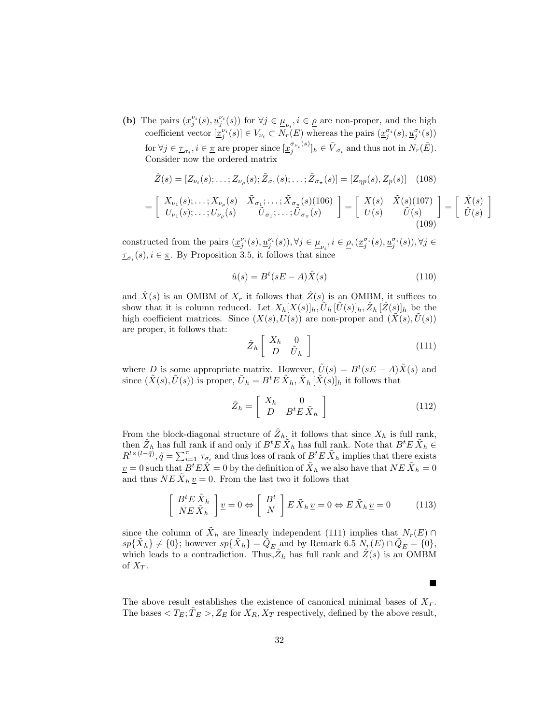(b) The pairs  $(\underline{x}_j^{\nu_i}(s), \underline{u}_j^{\nu_i}(s))$  for  $\forall j \in \underline{\mu}_{\nu_i}, i \in \underline{\rho}$  are non-proper, and the high coefficient vector  $[\underline{x}_j^{\nu_i}(s)] \in V_{\nu_i} \subset N_r(E)$  whereas the pairs  $(\underline{x}_j^{\sigma_i}(s), \underline{u}_j^{\sigma_i}(s))$ for  $\forall j \in \mathcal{I}_{\sigma_i}, i \in \mathcal{I}$  are proper since  $[\underline{x}_j^{\sigma_{\nu_i}(s)}]$  $[\sigma_{\nu_i}(s)]_h \in \tilde{V}_{\sigma_i}$  and thus not in  $N_r(\tilde{E})$ . Consider now the ordered matrix

$$
\hat{Z}(s) = [Z_{\nu_i}(s); \dots; Z_{\nu_\rho}(s); \tilde{Z}_{\sigma_1}(s); \dots; \tilde{Z}_{\sigma_\pi}(s)] = [Z_{\eta p}(s), Z_p(s)] \quad (108)
$$
\n
$$
= \begin{bmatrix} X_{\nu_1}(s); \dots; X_{\nu_\rho}(s) & X_{\sigma_1}; \dots; \tilde{X}_{\sigma_\pi}(s)(106) \\ U_{\nu_1}(s); \dots; U_{\nu_\rho}(s) & \tilde{U}_{\sigma_1}; \dots; \tilde{U}_{\sigma_\pi}(s) \end{bmatrix} = \begin{bmatrix} X(s) & \tilde{X}(s)(107) \\ U(s) & \tilde{U}(s) \end{bmatrix} = \begin{bmatrix} \hat{X}(s) \\ \hat{U}(s) \end{bmatrix}
$$
\n
$$
(109)
$$

constructed from the pairs  $(\underline{x}_j^{\nu_i}(s), \underline{u}_j^{\nu_i}(s)), \forall j \in \underline{\mu}_{\nu_i}, i \in \underline{\rho}, (\underline{x}_j^{\sigma_i}(s), \underline{u}_j^{\sigma_i}(s)), \forall j \in \underline{\rho},$  $\underline{\tau}_{\sigma_i}(s), i \in \underline{\pi}$ . By Proposition 3.5, it follows that since

$$
\hat{u}(s) = B^t(sE - A)\hat{X}(s) \tag{110}
$$

and  $\hat{X}(s)$  is an OMBM of  $X_r$  it follows that  $\hat{Z}(s)$  is an OMBM, it suffices to show that it is column reduced. Let  $X_h[X(s)]_h, \tilde{U}_h[\tilde{U}(s)]_h, \hat{Z}_h[\hat{Z}(s)]_h$  be the high coefficient matrices. Since  $(X(s), U(s))$  are non-proper and  $(\tilde{X}(s), \tilde{U}(s))$ are proper, it follows that:

$$
\hat{Z}_h \left[ \begin{array}{cc} X_h & 0 \\ D & \tilde{U}_h \end{array} \right] \tag{111}
$$

where D is some appropriate matrix. However,  $\tilde{U}(s) = B^{t}(sE - A)\tilde{X}(s)$  and since  $(\tilde{X}(s), \tilde{U}(s))$  is proper,  $\tilde{U}_h = B^t E \tilde{X}_h, \tilde{X}_h [\tilde{X}(s)]_h$  it follows that

$$
\hat{Z}_h = \left[ \begin{array}{cc} X_h & 0 \\ D & B^t E \tilde{X}_h \end{array} \right] \tag{112}
$$

From the block-diagonal structure of  $\hat{Z}_h$ , it follows that since  $X_h$  is full rank, then  $\hat{Z}_h$  has full rank if and only if  $B^t E \tilde{X}_h$  has full rank. Note that  $B^t E \tilde{X}_h \in$  $R^{l \times (l - \tilde{q})}$ ,  $\tilde{q} = \sum_{i=1}^{\pi} \tau_{\sigma_i}$  and thus loss of rank of  $B^t E \tilde{X}_h$  implies that there exists  $\underline{v} = 0$  such that  $B^t E \hat{X} = 0$  by the definition of  $\tilde{X}_h$  we also have that  $N E \tilde{X}_h = 0$ and thus  $NE \tilde{X}_h \underline{v} = 0$ . From the last two it follows that

$$
\begin{bmatrix}\nB^t E \tilde{X}_h \\
NE \tilde{X}_h\n\end{bmatrix} \underline{v} = 0 \Leftrightarrow \begin{bmatrix}\nB^t \\
N\n\end{bmatrix} E \tilde{X}_h \underline{v} = 0 \Leftrightarrow E \tilde{X}_h \underline{v} = 0
$$
\n(113)

since the column of  $\tilde{X}_h$  are linearly independent (111) implies that  $N_r(E) \cap$  $sp{\{\tilde{X}_h\}} \neq \{0\};$  however  $sp{\{\tilde{X}_h\}} = \tilde{Q}_E$  and by Remark 6.5  $N_r(E) \cap \tilde{Q}_E = \{0\},$ which leads to a contradiction. Thus,  $\hat{Z}_h$  has full rank and  $\hat{Z}(s)$  is an OMBM of  $X_T$ .

The above result establishes the existence of canonical minimal bases of  $X_T$ . The bases  $\langle T_E; T_E \rangle, Z_E$  for  $X_R, X_T$  respectively, defined by the above result,

П

1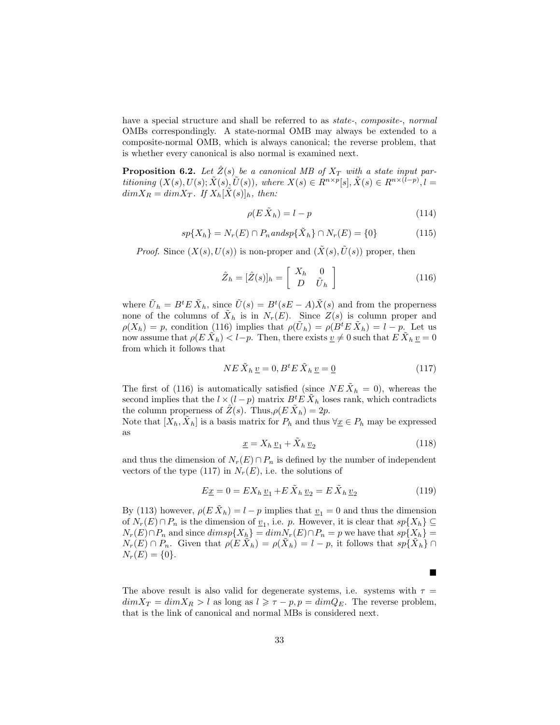have a special structure and shall be referred to as *state-*, *composite-*, *normal* OMBs correspondingly. A state-normal OMB may always be extended to a composite-normal OMB, which is always canonical; the reverse problem, that is whether every canonical is also normal is examined next.

**Proposition 6.2.** Let  $\hat{Z}(s)$  be a canonical MB of  $X_T$  with a state input partitioning  $(X(s), U(s); \tilde{X}(s), \tilde{U}(s)),$  where  $X(s) \in R^{n \times p}[s], \tilde{X}(s) \in R^{n \times (l-p)}, l =$  $dim X_R = dim X_T$ . If  $X_h[\tilde{X}(s)]_h$ , then:

$$
\rho(E\,\tilde{X}_h) = l - p \tag{114}
$$

$$
sp\{X_h\} = N_r(E) \cap P_n \text{ and } sp\{\tilde{X}_h\} \cap N_r(E) = \{0\}
$$
\n
$$
(115)
$$

*Proof.* Since  $(X(s), U(s))$  is non-proper and  $(\tilde{X}(s), \tilde{U}(s))$  proper, then

$$
\hat{Z}_h = [\hat{Z}(s)]_h = \begin{bmatrix} X_h & 0\\ D & \tilde{U}_h \end{bmatrix}
$$
\n(116)

where  $\tilde{U}_h = B^t E \tilde{X}_h$ , since  $\tilde{U}(s) = B^t (sE - A) \tilde{X}(s)$  and from the properness none of the columns of  $\tilde{X}_h$  is in  $N_r(E)$ . Since  $Z(s)$  is column proper and  $\rho(X_h) = p$ , condition (116) implies that  $\rho(\tilde{U}_h) = \rho(B^t E \tilde{X}_h) = l - p$ . Let us now assume that  $\rho(E\,\tilde{X}_h) < l-p$ . Then, there exists  $\underline{v} \neq 0$  such that  $E\,\tilde{X}_h\,\underline{v} = 0$ from which it follows that

$$
NE\,\tilde{X}_h\,\underline{v} = 0, B^t E\,\tilde{X}_h\,\underline{v} = \underline{0} \tag{117}
$$

The first of (116) is automatically satisfied (since  $NE\tilde{X}_h = 0$ ), whereas the second implies that the  $l \times (l - p)$  matrix  $B<sup>t</sup> E \tilde{X}<sub>h</sub>$  loses rank, which contradicts the column properness of  $\hat{Z}(s)$ . Thus,  $\rho(E \tilde{X}_h) = 2p$ .

Note that  $[X_h, \tilde{X}_h]$  is a basis matrix for  $P_h$  and thus  $\forall \underline{x} \in P_h$  may be expressed as

$$
\underline{x} = X_h \, \underline{v}_1 + \tilde{X}_h \, \underline{v}_2 \tag{118}
$$

and thus the dimension of  $N_r(E) \cap P_n$  is defined by the number of independent vectors of the type (117) in  $N_r(E)$ , i.e. the solutions of

$$
E_{\underline{x}} = 0 = EX_h \, \underline{v}_1 + E \, \tilde{X}_h \, \underline{v}_2 = E \, \tilde{X}_h \, \underline{v}_2 \tag{119}
$$

By (113) however,  $\rho(E \tilde{X}_h) = l - p$  implies that  $\underline{v}_1 = 0$  and thus the dimension of  $N_r(E) \cap P_n$  is the dimension of  $\underline{v}_1$ , i.e. p. However, it is clear that  $sp\{X_h\} \subseteq$  $N_r(E) \cap P_n$  and since  $dimsp\{X_h\} = dimN_r(E) \cap P_n = p$  we have that  $sp\{X_h\} =$  $N_r(E) \cap P_n$ . Given that  $\rho(E \tilde{X}_h) = \rho(\tilde{X}_h) = l - p$ , it follows that  $sp\{\tilde{X}_h\} \cap$  $N_r(E) = \{0\}.$ 

The above result is also valid for degenerate systems, i.e. systems with  $\tau =$  $dim X_T = dim X_R > l$  as long as  $l \geq \tau - p$ ,  $p = dim Q_E$ . The reverse problem, that is the link of canonical and normal MBs is considered next.

 $\blacksquare$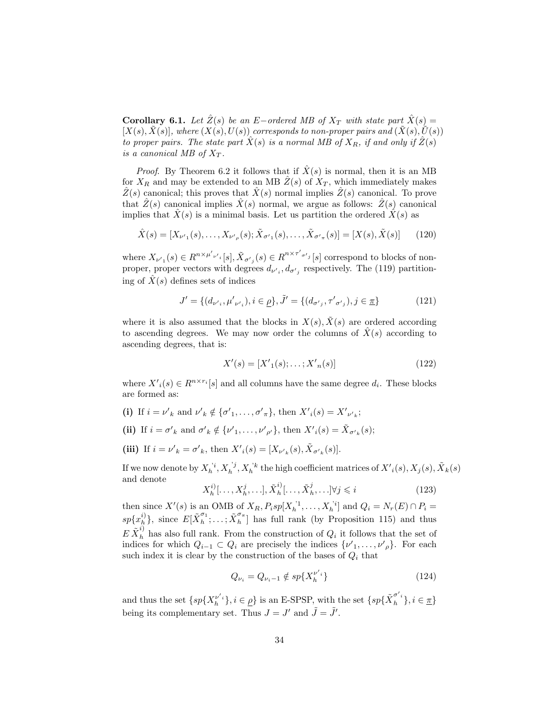**Corollary 6.1.** Let  $\hat{Z}(s)$  be an E−ordered MB of  $X_T$  with state part  $\hat{X}(s)$  =  $[X(s), \tilde{X}(s)]$ , where  $(X(s), U(s))$  corresponds to non-proper pairs and  $(\tilde{X}(s), \tilde{U}(s))$ to proper pairs. The state part  $X(s)$  is a normal MB of  $X_R$ , if and only if  $Z(s)$ is a canonical MB of  $X_T$ .

*Proof.* By Theorem 6.2 it follows that if  $\hat{X}(s)$  is normal, then it is an MB for  $X_R$  and may be extended to an MB  $\hat{Z}(s)$  of  $X_T$ , which immediately makes  $\hat{Z}(s)$  canonical; this proves that  $\hat{X}(s)$  normal implies  $\hat{Z}(s)$  canonical. To prove that  $\hat{Z}(s)$  canonical implies  $\hat{X}(s)$  normal, we argue as follows:  $\hat{Z}(s)$  canonical implies that  $X(s)$  is a minimal basis. Let us partition the ordered  $X(s)$  as

$$
\hat{X}(s) = [X_{\nu'1}(s), \dots, X_{\nu'_{\rho}}(s); \tilde{X}_{\sigma'1}(s), \dots, \tilde{X}_{\sigma'\pi}(s)] = [X(s), \tilde{X}(s)] \tag{120}
$$

where  $X_{\nu'1}(s) \in R^{n \times \mu'_{\nu'1}}[s], \tilde{X}_{\sigma'_{j}}(s) \in R^{n \times \tau'_{\sigma'j}}[s]$  correspond to blocks of nonproper, proper vectors with degrees  $d_{\nu',}, d_{\sigma'_{j}}$  respectively. The (119) partitioning of  $\hat{X}(s)$  defines sets of indices

$$
J' = \{ (d_{\nu',i}, \mu'_{\nu',i}), i \in \underline{\rho} \}, \tilde{J}' = \{ (d_{\sigma',i}, \tau'_{\sigma',i}), j \in \underline{\pi} \}
$$
(121)

where it is also assumed that the blocks in  $X(s)$ ,  $\tilde{X}(s)$  are ordered according to ascending degrees. We may now order the columns of  $X(s)$  according to ascending degrees, that is:

$$
X'(s) = [X'_{1}(s); \dots; X'_{n}(s)] \tag{122}
$$

where  $X'_{i}(s) \in R^{n \times r_{i}}[s]$  and all columns have the same degree  $d_{i}$ . These blocks are formed as:

- (i) If  $i = \nu'_{k}$  and  $\nu'_{k} \notin {\sigma'_{1}, \ldots, \sigma'_{\pi}}$ , then  $X'_{i}(s) = X'_{\nu'_{k}}$ ;
- (ii) If  $i = \sigma'_{k}$  and  $\sigma'_{k} \notin {\{\nu'_{1}, \ldots, \nu'_{\rho'}\}}$ , then  $X'_{i}(s) = \tilde{X}_{\sigma'_{k}}(s)$ ;
- (iii) If  $i = \nu'_{k} = \sigma'_{k}$ , then  $X'_{i}(s) = [X_{\nu'_{k}}(s), \tilde{X}_{\sigma'_{k}}(s)].$

If we now denote by  $X_h^{'i}, X_h^{'j}, X_h^{'k}$  the high coefficient matrices of  $X'(s), X_j(s), \tilde{X}_k(s)$ and denote

$$
X_h^i[\ldots, X_h^j, \ldots], \tilde{X}_h^i[\ldots, \tilde{X}_h^j, \ldots] \forall j \leq i
$$
\n(123)

then since  $X'(s)$  is an OMB of  $X_R$ ,  $P_i sp[X_h^{j_1}, \ldots, X_h^{j_i}]$  and  $Q_i = N_r(E) \cap P_i =$  $h \cdot \cdots \cdot \Lambda_h$  $sp\{x_{h}^{i)}$  $\{i\}\}\$ , since  $E[\tilde{X}_h^{\sigma_1}]$  $\tilde{\alpha}_h^{\sigma_1};\ldots;\tilde{X}_h^{\sigma_{\pi}}$  $\binom{6}{h}$  has full rank (by Proposition 115) and thus  $E \tilde{X}_{h}^{i}$  has also full rank. From the construction of  $Q_{i}$  it follows that the set of indices for which  $Q_{i-1} \subset Q_i$  are precisely the indices  $\{\nu'_1, \ldots, \nu'_\rho\}$ . For each such index it is clear by the construction of the bases of  $Q_i$  that

$$
Q_{\nu_i} = Q_{\nu_i - 1} \notin sp\{X_h^{\nu_i}\}\tag{124}
$$

and thus the set  $\{sp\{X_h^{\nu'_{i}}\}, i \in \rho\}$  is an E-SPSP, with the set  $\{sp\{\tilde{X}_h^{\sigma'_{i}}\}, i \in \pi\}$ being its complementary set. Thus  $J = J'$  and  $\tilde{J} = \tilde{J}'$ .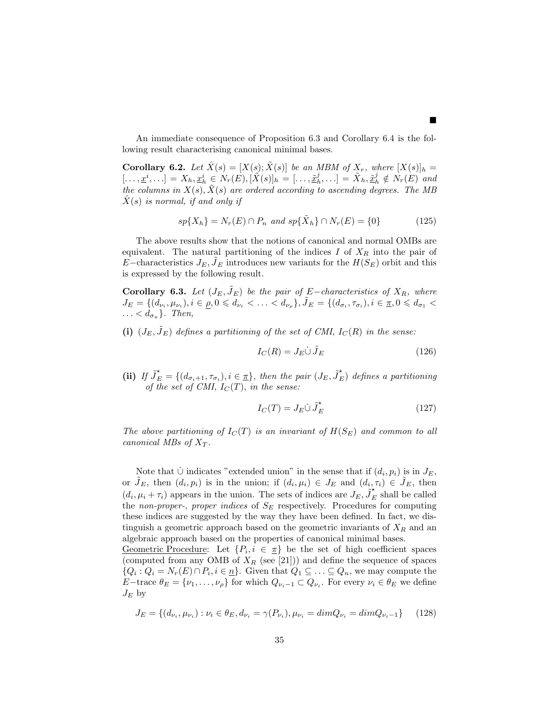An immediate consequence of Proposition 6.3 and Corollary 6.4 is the following result characterising canonical minimal bases.

**Corollary 6.2.** Let  $\hat{X}(s) = [X(s); \tilde{X}(s)]$  be an MBM of  $X_r$ , where  $[X(s)]_h =$  $[...,\underline{x}^i,...] = X_h, \underline{x}_h^i \in N_r(E), [\tilde{X}(s)]_h = [...,\tilde{\underline{x}}_h^j,...] = \tilde{X}_h, \tilde{\underline{x}}_h^j \notin N_r(E)$  and the columns in  $X(s)$ ,  $X(s)$  are ordered according to ascending degrees. The MB  $X(s)$  is normal, if and only if

$$
sp\{X_h\} = N_r(E) \cap P_n \text{ and } sp\{\tilde{X}_h\} \cap N_r(E) = \{0\}
$$
\n
$$
(125)
$$

The above results show that the notions of canonical and normal OMBs are equivalent. The natural partitioning of the indices  $I$  of  $X_R$  into the pair of E−characteristics  $J_E, J_E$  introduces new variants for the  $H(S_E)$  orbit and this is expressed by the following result.

**Corollary 6.3.** Let  $(J_E, \tilde{J}_E)$  be the pair of E−characteristics of  $X_R$ , where  $J_E = \{ (d_{\nu_i}, \mu_{\nu_i}), i \in \rho, 0 \leqslant d_{\nu_i} < \ldots < d_{\nu_\rho} \}, \tilde{J}_E = \{ (d_{\sigma_i}, \tau_{\sigma_i}), i \in \pi, 0 \leqslant d_{\sigma_1} < \rho \}$  $\ldots < d_{\sigma_{\pi}}$ . Then,

(i)  $(J_E, \tilde{J}_E)$  defines a partitioning of the set of CMI,  $I_C(R)$  in the sense:

$$
I_C(R) = J_E \dot{\cup} \tilde{J}_E \tag{126}
$$

 $\blacksquare$ 

(ii) If  $\tilde{J}_E^* = \{(d_{\sigma_i+1}, \tau_{\sigma_i}), i \in \pi\}$ , then the pair  $(J_E, \tilde{J}_E^*)$  defines a partitioning of the set of CMI,  $I_C(T)$ , in the sense:

$$
I_C(T) = J_E \dot{\cup} \tilde{J}_E^{\star}
$$
\n(127)

The above partitioning of  $I_{C}(T)$  is an invariant of  $H(S_{E})$  and common to all canonical MBs of  $X_T$ .

Note that  $\dot{\cup}$  indicates "extended union" in the sense that if  $(d_i, p_i)$  is in  $J_E$ , or  $\tilde{J}_E$ , then  $(d_i, p_i)$  is in the union; if  $(d_i, \mu_i) \in J_E$  and  $(d_i, \tau_i) \in \tilde{J}_E$ , then  $(d_i, \mu_i + \tau_i)$  appears in the union. The sets of indices are  $J_E$ ,  $\tilde{J}_E^*$  shall be called the non-proper-, proper indices of  $S_E$  respectively. Procedures for computing these indices are suggested by the way they have been defined. In fact, we distinguish a geometric approach based on the geometric invariants of  $X_R$  and an algebraic approach based on the properties of canonical minimal bases.

Geometric Procedure: Let  $\{P_i, i \in \pi\}$  be the set of high coefficient spaces (computed from any OMB of  $X_R$  (see [21])) and define the sequence of spaces  $\{Q_i: Q_i = N_r(E) \cap P_i, i \in \underline{n}\}\$ . Given that  $Q_1 \subseteq \ldots \subseteq Q_n$ , we may compute the E−trace  $\theta_E = \{\nu_1, \ldots, \nu_\rho\}$  for which  $Q_{\nu_i-1} \subset Q_{\nu_i}$ . For every  $\nu_i \in \theta_E$  we define  $J_E$  by

$$
J_E = \{ (d_{\nu_i}, \mu_{\nu_i}) : \nu_i \in \theta_E, d_{\nu_i} = \gamma(P_{\nu_i}), \mu_{\nu_i} = \dim Q_{\nu_i} = \dim Q_{\nu_i - 1} \}
$$
(128)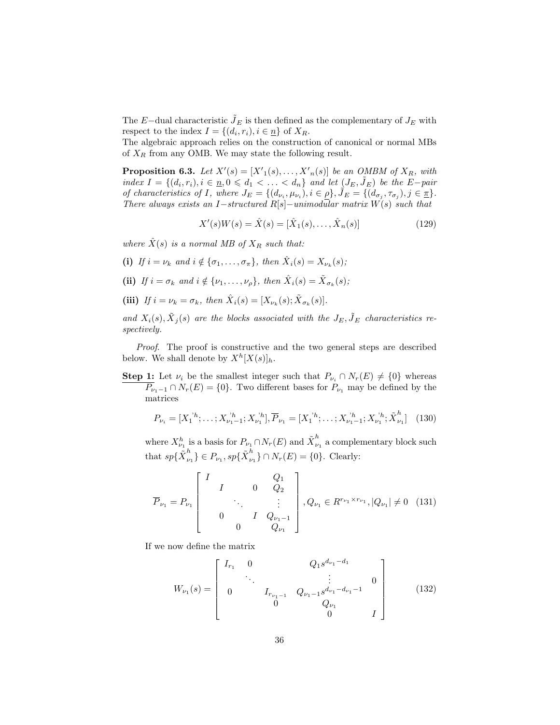The E−dual characteristic  $\tilde{J}_E$  is then defined as the complementary of  $J_E$  with respect to the index  $I = \{(d_i, r_i), i \in \underline{n}\}\$  of  $X_R$ .

The algebraic approach relies on the construction of canonical or normal MBs of  $X_R$  from any OMB. We may state the following result.

**Proposition 6.3.** Let  $X'(s) = [X'_{1}(s), \ldots, X'_{n}(s)]$  be an OMBM of  $X_{R}$ , with index  $I = \{(d_i, r_i), i \in \underline{n}, 0 \leqslant d_1 < \ldots < d_n\}$  and let  $(J_E, \tilde{J}_E)$  be the E-pair of characteristics of I, where  $J_E = \{(d_{\nu_i}, \mu_{\nu_i}), i \in \rho\}, \mathcal{\hat{J}}_E = \{(d_{\sigma_j}, \tau_{\sigma_j}), j \in \mathcal{\underline{\pi}}\}.$ There always exists an I−structured R[s]−unimodular matrix  $W(s)$  such that

$$
X'(s)W(s) = \hat{X}(s) = [\hat{X}_1(s), \dots, \hat{X}_n(s)]
$$
\n(129)

where  $\hat{X}(s)$  is a normal MB of  $X_R$  such that:

- (i) If  $i = \nu_k$  and  $i \notin {\sigma_1, \ldots, \sigma_{\pi}}$ , then  $\hat{X}_i(s) = X_{\nu_k}(s)$ ;
- (ii) If  $i = \sigma_k$  and  $i \notin \{ \nu_1, \ldots, \nu_\rho \}$ , then  $\hat{X}_i(s) = \tilde{X}_{\sigma_k}(s)$ ;
- (iii) If  $i = \nu_k = \sigma_k$ , then  $\hat{X}_i(s) = [X_{\nu_k}(s); \tilde{X}_{\sigma_k}(s)]$ .

and  $X_i(s)$ ,  $\tilde{X}_j(s)$  are the blocks associated with the  $J_E$ ,  $\tilde{J}_E$  characteristics respectively.

Proof. The proof is constructive and the two general steps are described below. We shall denote by  $X^h[X(s)]_h$ .

**Step 1:** Let  $\nu_i$  be the smallest integer such that  $P_{\nu_i} \cap N_r(E) \neq \{0\}$  whereas  $\overline{P}_{\nu_1-1} \cap N_r(E) = \{0\}.$  Two different bases for  $P_{\nu_1}$  may be defined by the matrices

$$
P_{\nu_i} = [X_1^{'h}; \dots; X_{\nu_1 - 1}^{'h}; X_{\nu_1}^{'h}], \overline{P}_{\nu_1} = [X_1^{'h}; \dots; X_{\nu_1 - 1}^{'h}; X_{\nu_1}^{'h}; \tilde{X}_{\nu_1}^h]
$$
(130)

where  $X_{\nu_1}^h$  is a basis for  $P_{\nu_1} \cap N_r(E)$  and  $\tilde{X}_{\nu}^h$  $\mu_1$  a complementary block such that  $sp\{\tilde{X}_{\nu}^{h}$  $\{b_{\nu_1}\}\in P_{\nu_1}, sp\{\tilde{X}_{\nu_1}^{h}\}$  $\binom{n}{\nu_1} \cap N_r(E) = \{0\}.$  Clearly:

$$
\overline{P}_{\nu_1} = P_{\nu_1} \begin{bmatrix} I & & & Q_1 \\ & I & & 0 & Q_2 \\ & & \ddots & & \vdots \\ & & & I & Q_{\nu_1 - 1} \\ & & & & Q_{\nu_1} \end{bmatrix}, Q_{\nu_1} \in R^{r_{\nu_1} \times r_{\nu_1}}, |Q_{\nu_1}| \neq 0 \quad (131)
$$

If we now define the matrix

$$
W_{\nu_1}(s) = \begin{bmatrix} I_{r_1} & 0 & Q_1 s^{d_{\nu_1} - d_1} & & \\ & \ddots & & \vdots & & 0 \\ 0 & & I_{r_{\nu_1 - 1}} & Q_{\nu_1 - 1} s^{d_{\nu_1} - d_{\nu_1} - 1} & & \\ & & 0 & Q_{\nu_1} & & \\ & & & 0 & I \end{bmatrix}
$$
 (132)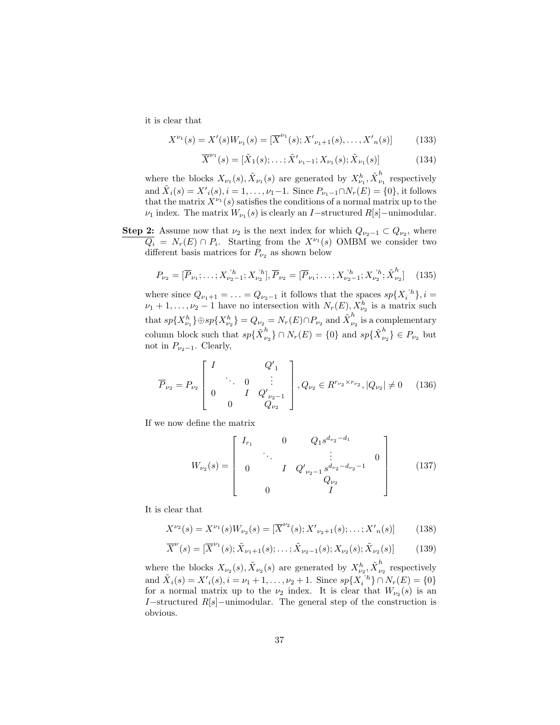it is clear that

$$
X^{\nu_1}(s) = X'(s)W_{\nu_1}(s) = [\overline{X}^{\nu_1}(s); X'_{\nu_1+1}(s), \dots, X'_{n}(s)]
$$
 (133)

$$
\overline{X}^{\nu_1}(s) = [\tilde{X}_1(s); \dots; \tilde{X}'_{\nu_1 - 1}; X_{\nu_1}(s); \tilde{X}_{\nu_1}(s)]
$$
\n(134)

where the blocks  $X_{\nu_1}(s), \tilde{X}_{\nu_1}(s)$  are generated by  $X_{\nu_1}^h, \tilde{X}_{\nu}^h$  $\int_{\nu_1}^{\nu}$  respectively and  $\tilde{X}_i(s) = {X'}_i(s), i = 1, ..., \nu_1-1$ . Since  $P_{\nu_1-1} \cap N_r(E) = \{0\}$ , it follows that the matrix  $X^{\nu_1}(s)$  satisfies the conditions of a normal matrix up to the  $\nu_1$  index. The matrix  $W_{\nu_1}(s)$  is clearly an *I*-structured  $R[s]$ -unimodular.

**Step 2:** Assume now that  $\nu_2$  is the next index for which  $Q_{\nu_2-1} \subset Q_{\nu_2}$ , where  $\overline{Q_i} = N_r(E) \cap P_i$ . Starting from the  $X^{\nu_1}(s)$  OMBM we consider two different basis matrices for  $P_{\nu_2}$  as shown below

$$
P_{\nu_2} = [\overline{P}_{\nu_1}; \dots; X_{\nu_2-1}^{\ \prime h}; X_{\nu_2}^{\ \prime h}], \overline{P}_{\nu_2} = [\overline{P}_{\nu_1}; \dots; X_{\nu_2-1}^{\ \prime h}; X_{\nu_2}^{\ \prime h}; \tilde{X}_{\nu_2}^h] \tag{135}
$$

where since  $Q_{\nu_1+1} = \ldots = Q_{\nu_2-1}$  it follows that the spaces  $sp\{X_i^{\ h}\}, i =$  $\nu_1 + 1, \ldots, \nu_2 - 1$  have no intersection with  $N_r(E), X_{\nu_2}^h$  is a matrix such that  $sp\{X_{\nu_1}^h\}\oplus sp\{X_{\nu_2}^h\}=Q_{\nu_2}=N_r(E)\cap P_{\nu_2}$  and  $\tilde{X}_{\nu}^h$  $\int_{\nu_2}^{\nu_1}$  is a complementary column block such that  $sp\{\tilde{X}_{\nu}^{h}$  $\binom{h}{\nu_2} \cap N_r(E) = \{0\}$  and  $sp\{\tilde{X}_{\nu_1}^h\}$  $\{ \nu_{\nu_2}^n \} \in P_{\nu_2}$  but not in  $P_{\nu_2-1}$ . Clearly,

$$
\overline{P}_{\nu_2} = P_{\nu_2} \begin{bmatrix} I & Q'_{1} \\ \cdot & \cdot & 0 & \vdots \\ 0 & I & Q'_{\nu_2 - 1} \\ 0 & Q_{\nu_2} & Q_{\nu_2} \end{bmatrix}, Q_{\nu_2} \in R^{r_{\nu_2} \times r_{\nu_2}}, |Q_{\nu_2}| \neq 0 \quad (136)
$$

If we now define the matrix

$$
W_{\nu_2}(s) = \begin{bmatrix} I_{r_1} & 0 & Q_1 s^{d_{\nu_2} - d_1} \\ \cdot & \cdot & \cdot \\ 0 & I & Q'_{\nu_2 - 1} s^{d_{\nu_2} - d_{\nu_2} - 1} \\ 0 & I & Q_{\nu_2} \\ 0 & I \end{bmatrix}
$$
(137)

It is clear that

$$
X^{\nu_2}(s) = X^{\nu_1}(s)W_{\nu_2}(s) = [\overline{X}^{\nu_2}(s); X'_{\nu_2+1}(s); \dots; X'_{n}(s)] \tag{138}
$$

$$
\overline{X}^{\nu}(s) = [\overline{X}^{\nu_1}(s); \tilde{X}_{\nu_1+1}(s); \dots; \tilde{X}_{\nu_2-1}(s); X_{\nu_2}(s); \tilde{X}_{\nu_2}(s)] \tag{139}
$$

where the blocks  $X_{\nu_2}(s), \tilde{X}_{\nu_2}(s)$  are generated by  $X_{\nu_2}^h, \tilde{X}_{\nu_2}^h$  $\sum_{\nu_2}^{\infty}$  respectively and  $\tilde{X}_i(s) = X'_i(s), i = \nu_1 + 1, \dots, \nu_2 + 1$ . Since  $sp\{X_i^{b_i}\} \cap N_r(E) = \{0\}$ for a normal matrix up to the  $\nu_2$  index. It is clear that  $W_{\nu_2}(s)$  is an I−structured  $R[s]$ −unimodular. The general step of the construction is obvious.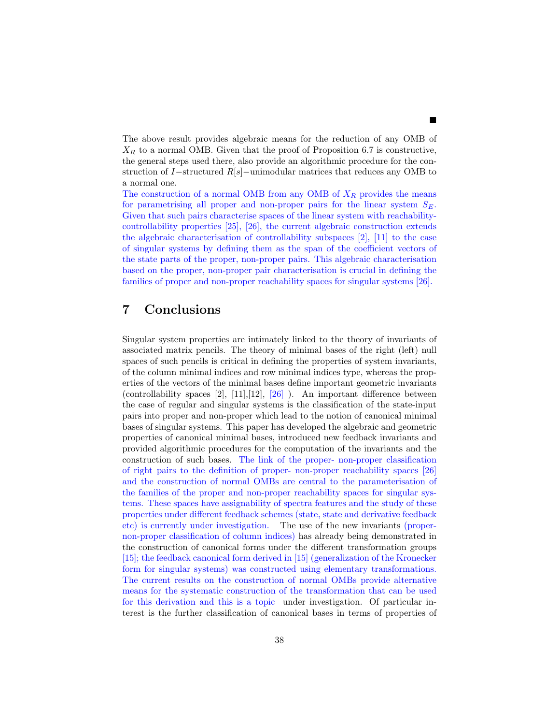The above result provides algebraic means for the reduction of any OMB of  $X_R$  to a normal OMB. Given that the proof of Proposition 6.7 is constructive, the general steps used there, also provide an algorithmic procedure for the construction of I−structured R[s]−unimodular matrices that reduces any OMB to a normal one.

The construction of a normal OMB from any OMB of  $X_R$  provides the means for parametrising all proper and non-proper pairs for the linear system  $S_E$ . Given that such pairs characterise spaces of the linear system with reachabilitycontrollability properties [25], [26], the current algebraic construction extends the algebraic characterisation of controllability subspaces [2], [11] to the case of singular systems by defining them as the span of the coefficient vectors of the state parts of the proper, non-proper pairs. This algebraic characterisation based on the proper, non-proper pair characterisation is crucial in defining the families of proper and non-proper reachability spaces for singular systems [26].

#### 7 Conclusions

Singular system properties are intimately linked to the theory of invariants of associated matrix pencils. The theory of minimal bases of the right (left) null spaces of such pencils is critical in defining the properties of system invariants, of the column minimal indices and row minimal indices type, whereas the properties of the vectors of the minimal bases define important geometric invariants (controllability spaces  $[2]$ ,  $[11]$ ,  $[12]$ ,  $[26]$ ). An important difference between the case of regular and singular systems is the classification of the state-input pairs into proper and non-proper which lead to the notion of canonical minimal bases of singular systems. This paper has developed the algebraic and geometric properties of canonical minimal bases, introduced new feedback invariants and provided algorithmic procedures for the computation of the invariants and the construction of such bases. The link of the proper- non-proper classification of right pairs to the definition of proper- non-proper reachability spaces [26] and the construction of normal OMBs are central to the parameterisation of the families of the proper and non-proper reachability spaces for singular systems. These spaces have assignability of spectra features and the study of these properties under different feedback schemes (state, state and derivative feedback etc) is currently under investigation. The use of the new invariants (propernon-proper classification of column indices) has already being demonstrated in the construction of canonical forms under the different transformation groups [15]; the feedback canonical form derived in [15] (generalization of the Kronecker form for singular systems) was constructed using elementary transformations. The current results on the construction of normal OMBs provide alternative means for the systematic construction of the transformation that can be used for this derivation and this is a topic under investigation. Of particular interest is the further classification of canonical bases in terms of properties of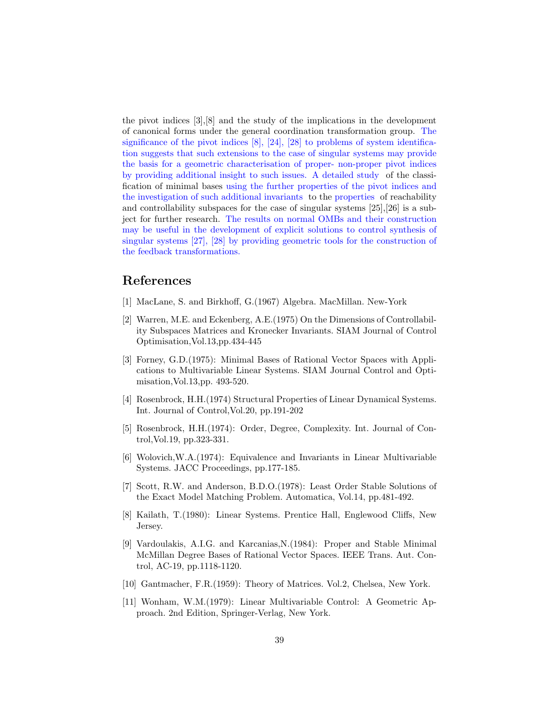the pivot indices [3],[8] and the study of the implications in the development of canonical forms under the general coordination transformation group. The significance of the pivot indices  $[8]$ ,  $[24]$ ,  $[28]$  to problems of system identification suggests that such extensions to the case of singular systems may provide the basis for a geometric characterisation of proper- non-proper pivot indices by providing additional insight to such issues. A detailed study of the classification of minimal bases using the further properties of the pivot indices and the investigation of such additional invariants to the properties of reachability and controllability subspaces for the case of singular systems [25],[26] is a subject for further research. The results on normal OMBs and their construction may be useful in the development of explicit solutions to control synthesis of singular systems [27], [28] by providing geometric tools for the construction of the feedback transformations.

#### References

- [1] MacLane, S. and Birkhoff, G.(1967) Algebra. MacMillan. New-York
- [2] Warren, M.E. and Eckenberg, A.E.(1975) On the Dimensions of Controllability Subspaces Matrices and Kronecker Invariants. SIAM Journal of Control Optimisation,Vol.13,pp.434-445
- [3] Forney, G.D.(1975): Minimal Bases of Rational Vector Spaces with Applications to Multivariable Linear Systems. SIAM Journal Control and Optimisation,Vol.13,pp. 493-520.
- [4] Rosenbrock, H.H.(1974) Structural Properties of Linear Dynamical Systems. Int. Journal of Control,Vol.20, pp.191-202
- [5] Rosenbrock, H.H.(1974): Order, Degree, Complexity. Int. Journal of Control,Vol.19, pp.323-331.
- [6] Wolovich,W.A.(1974): Equivalence and Invariants in Linear Multivariable Systems. JACC Proceedings, pp.177-185.
- [7] Scott, R.W. and Anderson, B.D.O.(1978): Least Order Stable Solutions of the Exact Model Matching Problem. Automatica, Vol.14, pp.481-492.
- [8] Kailath, T.(1980): Linear Systems. Prentice Hall, Englewood Cliffs, New Jersey.
- [9] Vardoulakis, A.I.G. and Karcanias,N.(1984): Proper and Stable Minimal McMillan Degree Bases of Rational Vector Spaces. IEEE Trans. Aut. Control, AC-19, pp.1118-1120.
- [10] Gantmacher, F.R.(1959): Theory of Matrices. Vol.2, Chelsea, New York.
- [11] Wonham, W.M.(1979): Linear Multivariable Control: A Geometric Approach. 2nd Edition, Springer-Verlag, New York.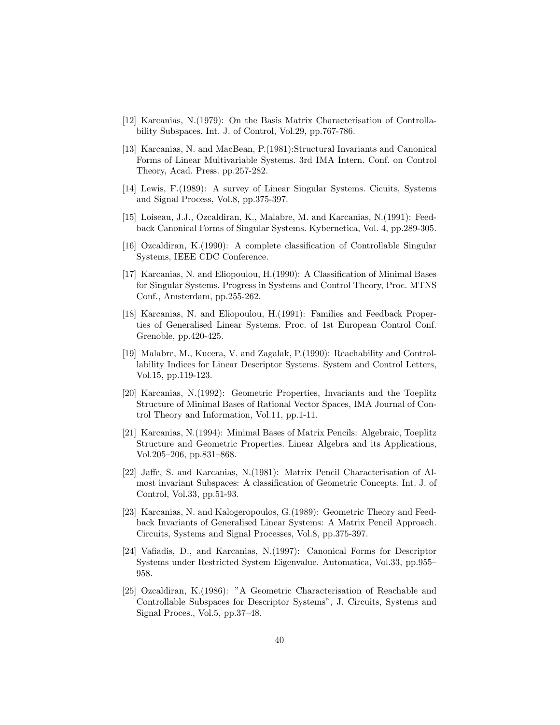- [12] Karcanias, N.(1979): On the Basis Matrix Characterisation of Controllability Subspaces. Int. J. of Control, Vol.29, pp.767-786.
- [13] Karcanias, N. and MacBean, P.(1981):Structural Invariants and Canonical Forms of Linear Multivariable Systems. 3rd IMA Intern. Conf. on Control Theory, Acad. Press. pp.257-282.
- [14] Lewis, F.(1989): A survey of Linear Singular Systems. Cicuits, Systems and Signal Process, Vol.8, pp.375-397.
- [15] Loiseau, J.J., Ozcaldiran, K., Malabre, M. and Karcanias, N.(1991): Feedback Canonical Forms of Singular Systems. Kybernetica, Vol. 4, pp.289-305.
- [16] Ozcaldiran, K.(1990): A complete classification of Controllable Singular Systems, IEEE CDC Conference.
- [17] Karcanias, N. and Eliopoulou, H.(1990): A Classification of Minimal Bases for Singular Systems. Progress in Systems and Control Theory, Proc. MTNS Conf., Amsterdam, pp.255-262.
- [18] Karcanias, N. and Eliopoulou, H.(1991): Families and Feedback Properties of Generalised Linear Systems. Proc. of 1st European Control Conf. Grenoble, pp.420-425.
- [19] Malabre, M., Kucera, V. and Zagalak, P.(1990): Reachability and Controllability Indices for Linear Descriptor Systems. System and Control Letters, Vol.15, pp.119-123.
- [20] Karcanias, N.(1992): Geometric Properties, Invariants and the Toeplitz Structure of Minimal Bases of Rational Vector Spaces, IMA Journal of Control Theory and Information, Vol.11, pp.1-11.
- [21] Karcanias, N.(1994): Minimal Bases of Matrix Pencils: Algebraic, Toeplitz Structure and Geometric Properties. Linear Algebra and its Applications, Vol.205–206, pp.831–868.
- [22] Jaffe, S. and Karcanias, N.(1981): Matrix Pencil Characterisation of Almost invariant Subspaces: A classification of Geometric Concepts. Int. J. of Control, Vol.33, pp.51-93.
- [23] Karcanias, N. and Kalogeropoulos, G.(1989): Geometric Theory and Feedback Invariants of Generalised Linear Systems: A Matrix Pencil Approach. Circuits, Systems and Signal Processes, Vol.8, pp.375-397.
- [24] Vafiadis, D., and Karcanias, N.(1997): Canonical Forms for Descriptor Systems under Restricted System Eigenvalue. Automatica, Vol.33, pp.955– 958.
- [25] Ozcaldiran, K.(1986): "A Geometric Characterisation of Reachable and Controllable Subspaces for Descriptor Systems", J. Circuits, Systems and Signal Proces., Vol.5, pp.37–48.